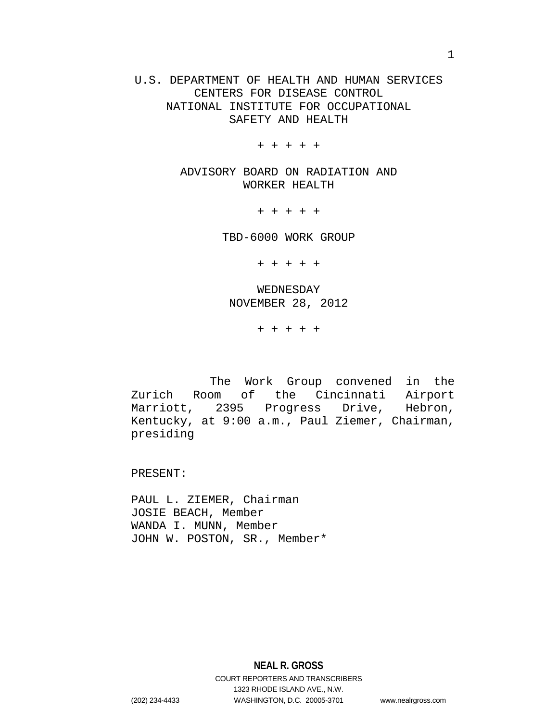U.S. DEPARTMENT OF HEALTH AND HUMAN SERVICES CENTERS FOR DISEASE CONTROL NATIONAL INSTITUTE FOR OCCUPATIONAL SAFETY AND HEALTH

+ + + + +

ADVISORY BOARD ON RADIATION AND WORKER HEALTH

+ + + + +

TBD-6000 WORK GROUP

+ + + + +

WEDNESDAY NOVEMBER 28, 2012

+ + + + +

The Work Group convened in the Zurich Room of the Cincinnati Airport Marriott, 2395 Progress Drive, Hebron, Kentucky, at 9:00 a.m., Paul Ziemer, Chairman, presiding

PRESENT:

PAUL L. ZIEMER, Chairman JOSIE BEACH, Member WANDA I. MUNN, Member JOHN W. POSTON, SR., Member\*

**NEAL R. GROSS** COURT REPORTERS AND TRANSCRIBERS 1323 RHODE ISLAND AVE., N.W. (202) 234-4433 WASHINGTON, D.C. 20005-3701 www.nealrgross.com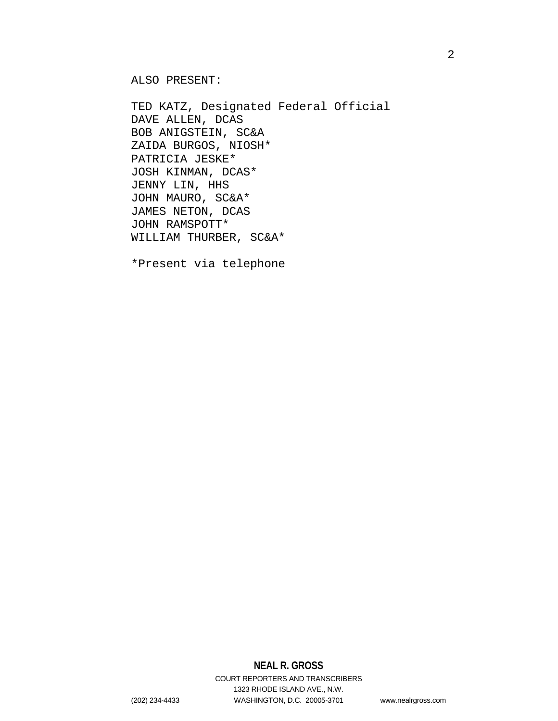ALSO PRESENT:

TED KATZ, Designated Federal Official DAVE ALLEN, DCAS BOB ANIGSTEIN, SC&A ZAIDA BURGOS, NIOSH\* PATRICIA JESKE\* JOSH KINMAN, DCAS\* JENNY LIN, HHS JOHN MAURO, SC&A\* JAMES NETON, DCAS JOHN RAMSPOTT\* WILLIAM THURBER, SC&A\*

\*Present via telephone

## **NEAL R. GROSS**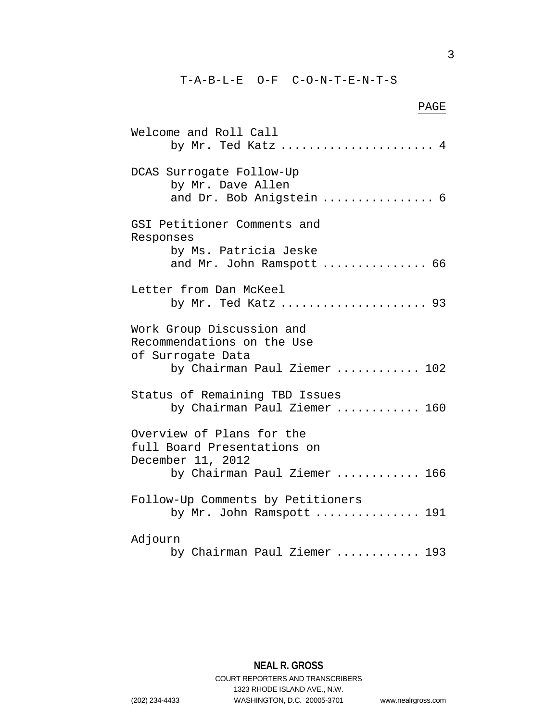T-A-B-L-E O-F C-O-N-T-E-N-T-S

Welcome and Roll Call

DCAS Surrogate Follow-Up

by Mr. Dave Allen

# PAGE by Mr. Ted Katz ...................... 4 and Dr. Bob Anigstein ................ 6

GSI Petitioner Comments and Responses by Ms. Patricia Jeske and Mr. John Ramspott ............... 66 Letter from Dan McKeel by Mr. Ted Katz ..................... 93 Work Group Discussion and Recommendations on the Use of Surrogate Data by Chairman Paul Ziemer ............ 102 Status of Remaining TBD Issues by Chairman Paul Ziemer ............ 160 Overview of Plans for the full Board Presentations on December 11, 2012 by Chairman Paul Ziemer ............ 166 Follow-Up Comments by Petitioners by Mr. John Ramspott ............... 191 Adjourn

```
by Chairman Paul Ziemer ............ 193
```
**NEAL R. GROSS** COURT REPORTERS AND TRANSCRIBERS

1323 RHODE ISLAND AVE., N.W.

(202) 234-4433 WASHINGTON, D.C. 20005-3701 www.nealrgross.com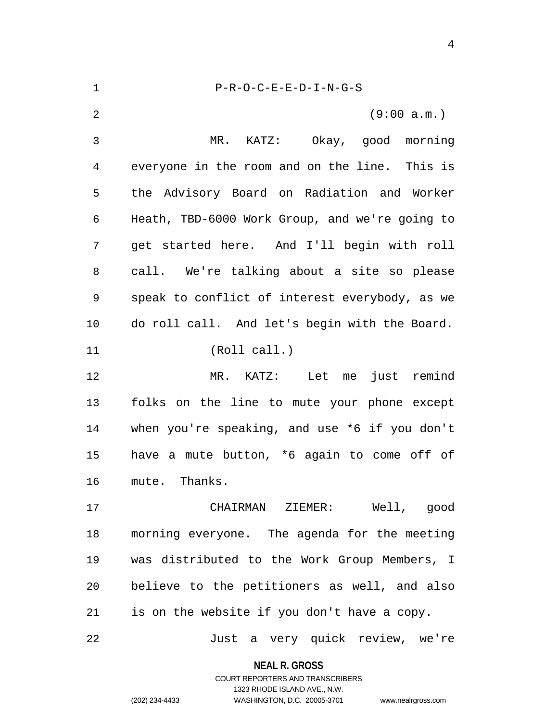| $\mathbf 1$    | $P-R-O-C-E-E-D-I-N-G-S$                        |
|----------------|------------------------------------------------|
| $\overline{2}$ | (9:00 a.m.)                                    |
| 3              | MR.<br>KATZ: Okay, good morning                |
| 4              | everyone in the room and on the line. This is  |
| 5              | the Advisory Board on Radiation and Worker     |
| 6              | Heath, TBD-6000 Work Group, and we're going to |
| 7              | get started here. And I'll begin with roll     |
| 8              | call. We're talking about a site so please     |
| 9              | speak to conflict of interest everybody, as we |
| 10             | do roll call. And let's begin with the Board.  |
| 11             | (Roll call.)                                   |
| 12             | Let me just remind<br>$MR.$ $KATZ:$            |
| 13             | folks on the line to mute your phone except    |
| 14             | when you're speaking, and use *6 if you don't  |
| 15             | have a mute button, *6 again to come off of    |
| 16             | mute. Thanks.                                  |
| 17             | CHAIRMAN ZIEMER: Well, good                    |
| 18             | morning everyone. The agenda for the meeting   |
| 19             | was distributed to the Work Group Members, I   |
| 20             | believe to the petitioners as well, and also   |
| 21             | is on the website if you don't have a copy.    |
| 22             | Just a very quick review, we're                |

**NEAL R. GROSS** COURT REPORTERS AND TRANSCRIBERS

1323 RHODE ISLAND AVE., N.W.

(202) 234-4433 WASHINGTON, D.C. 20005-3701 www.nealrgross.com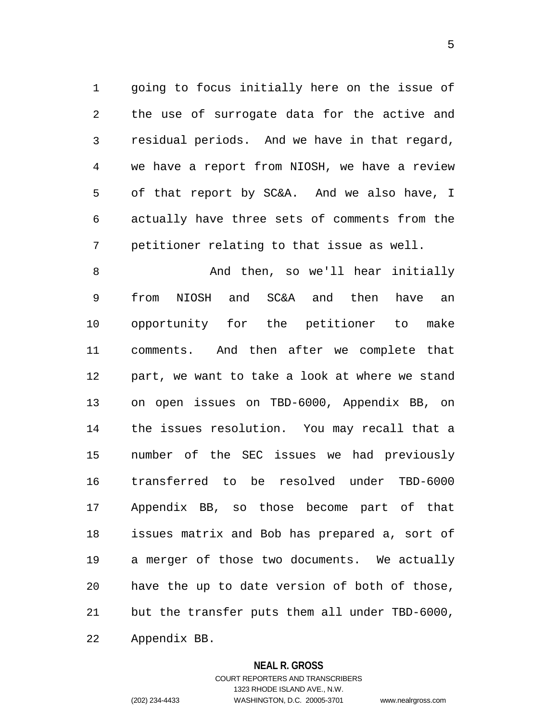1 going to focus initially here on the issue of 2 3 4 5 6 7 the use of surrogate data for the active and residual periods. And we have in that regard, we have a report from NIOSH, we have a review of that report by SC&A. And we also have, I actually have three sets of comments from the petitioner relating to that issue as well.

8 9 10 11 12 13 14 15 16 17 18 19 20 21 22 And then, so we'll hear initially from NIOSH and SC&A and then have an opportunity for the petitioner to make comments. And then after we complete that part, we want to take a look at where we stand on open issues on TBD-6000, Appendix BB, on the issues resolution. You may recall that a number of the SEC issues we had previously transferred to be resolved under TBD-6000 Appendix BB, so those become part of that issues matrix and Bob has prepared a, sort of a merger of those two documents. We actually have the up to date version of both of those, but the transfer puts them all under TBD-6000, Appendix BB.

## **NEAL R. GROSS**

COURT REPORTERS AND TRANSCRIBERS 1323 RHODE ISLAND AVE., N.W. (202) 234-4433 WASHINGTON, D.C. 20005-3701 www.nealrgross.com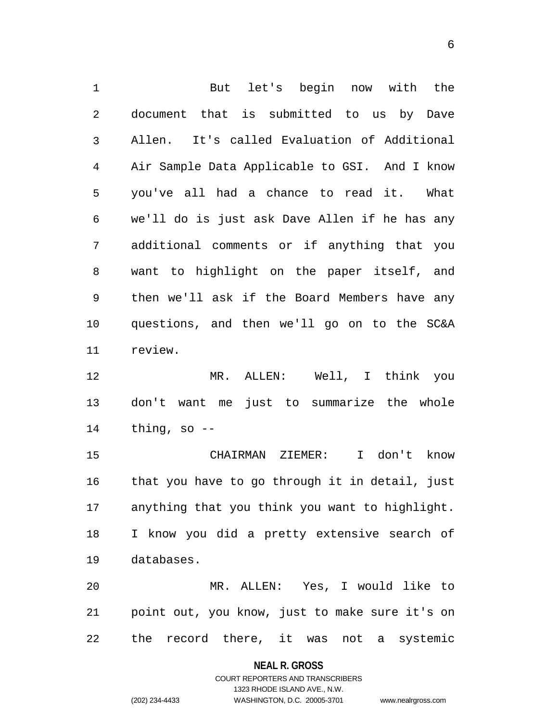1 But let's begin now with the 2 3 4 5 6 7 8 9 10 11 document that is submitted to us by Dave Allen. It's called Evaluation of Additional Air Sample Data Applicable to GSI. And I know you've all had a chance to read it. What we'll do is just ask Dave Allen if he has any additional comments or if anything that you want to highlight on the paper itself, and then we'll ask if the Board Members have any questions, and then we'll go on to the SC&A review.

12 13 14 MR. ALLEN: Well, I think you don't want me just to summarize the whole thing, so  $-$ 

15 16 17 18 19 CHAIRMAN ZIEMER: I don't know that you have to go through it in detail, just anything that you think you want to highlight. I know you did a pretty extensive search of databases.

20 21 22 MR. ALLEN: Yes, I would like to point out, you know, just to make sure it's on the record there, it was not a systemic

**NEAL R. GROSS**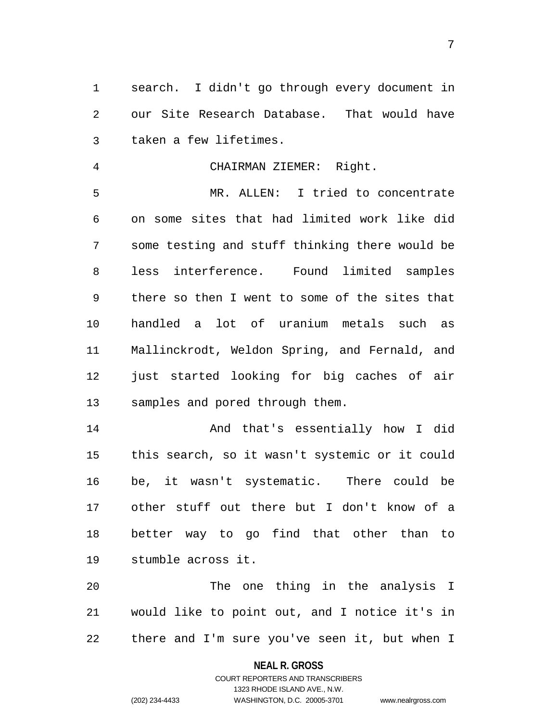1 search. I didn't go through every document in 2 3 our Site Research Database. That would have taken a few lifetimes.

4 CHAIRMAN ZIEMER: Right.

5 6 7 8 9 10 11 12 13 MR. ALLEN: I tried to concentrate on some sites that had limited work like did some testing and stuff thinking there would be less interference. Found limited samples there so then I went to some of the sites that handled a lot of uranium metals such as Mallinckrodt, Weldon Spring, and Fernald, and just started looking for big caches of air samples and pored through them.

14 15 16 17 18 19 And that's essentially how I did this search, so it wasn't systemic or it could be, it wasn't systematic. There could be other stuff out there but I don't know of a better way to go find that other than to stumble across it.

20 21 22 The one thing in the analysis I would like to point out, and I notice it's in there and I'm sure you've seen it, but when I

## **NEAL R. GROSS**

## COURT REPORTERS AND TRANSCRIBERS 1323 RHODE ISLAND AVE., N.W. (202) 234-4433 WASHINGTON, D.C. 20005-3701 www.nealrgross.com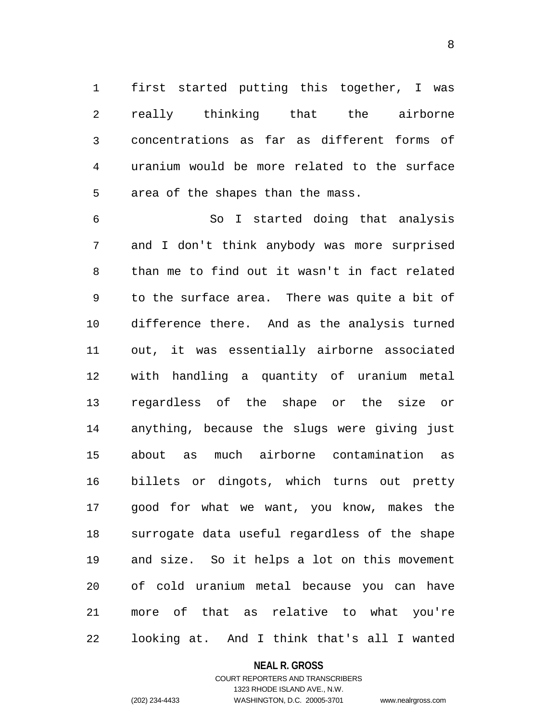1 first started putting this together, I was 2 3 4 5 really thinking that the airborne concentrations as far as different forms of uranium would be more related to the surface area of the shapes than the mass.

6 7 8 9 10 11 12 13 14 15 16 17 18 19 20 21 22 So I started doing that analysis and I don't think anybody was more surprised than me to find out it wasn't in fact related to the surface area. There was quite a bit of difference there. And as the analysis turned out, it was essentially airborne associated with handling a quantity of uranium metal regardless of the shape or the size or anything, because the slugs were giving just about as much airborne contamination as billets or dingots, which turns out pretty good for what we want, you know, makes the surrogate data useful regardless of the shape and size. So it helps a lot on this movement of cold uranium metal because you can have more of that as relative to what you're looking at. And I think that's all I wanted

#### **NEAL R. GROSS**

## COURT REPORTERS AND TRANSCRIBERS 1323 RHODE ISLAND AVE., N.W. (202) 234-4433 WASHINGTON, D.C. 20005-3701 www.nealrgross.com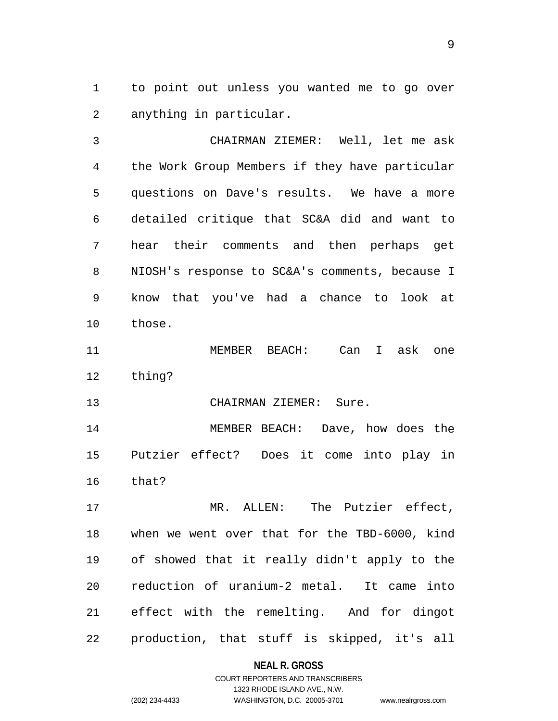1 to point out unless you wanted me to go over 2 anything in particular.

3 4 5 6 7 8 9 10 CHAIRMAN ZIEMER: Well, let me ask the Work Group Members if they have particular questions on Dave's results. We have a more detailed critique that SC&A did and want to hear their comments and then perhaps get NIOSH's response to SC&A's comments, because I know that you've had a chance to look at those.

11 12 MEMBER BEACH: Can I ask one thing?

13 CHAIRMAN ZIEMER: Sure.

14 15 16 MEMBER BEACH: Dave, how does the Putzier effect? Does it come into play in that?

17 18 19 20 21 22 MR. ALLEN: The Putzier effect, when we went over that for the TBD-6000, kind of showed that it really didn't apply to the reduction of uranium-2 metal. It came into effect with the remelting. And for dingot production, that stuff is skipped, it's all

**NEAL R. GROSS**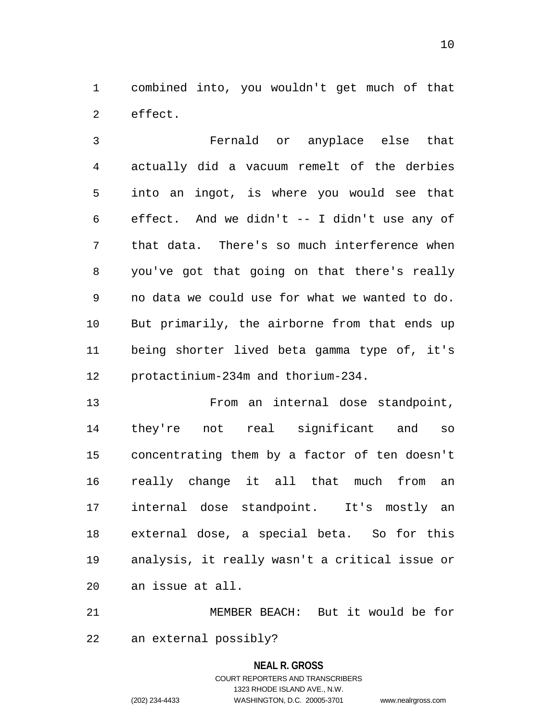1 combined into, you wouldn't get much of that 2 effect.

3 4 5 6 7 8 9 10 11 12 Fernald or anyplace else that actually did a vacuum remelt of the derbies into an ingot, is where you would see that effect. And we didn't -- I didn't use any of that data. There's so much interference when you've got that going on that there's really no data we could use for what we wanted to do. But primarily, the airborne from that ends up being shorter lived beta gamma type of, it's protactinium-234m and thorium-234.

13 14 15 16 17 18 19 20 From an internal dose standpoint, they're not real significant and so concentrating them by a factor of ten doesn't really change it all that much from an internal dose standpoint. It's mostly an external dose, a special beta. So for this analysis, it really wasn't a critical issue or an issue at all.

21 22 MEMBER BEACH: But it would be for an external possibly?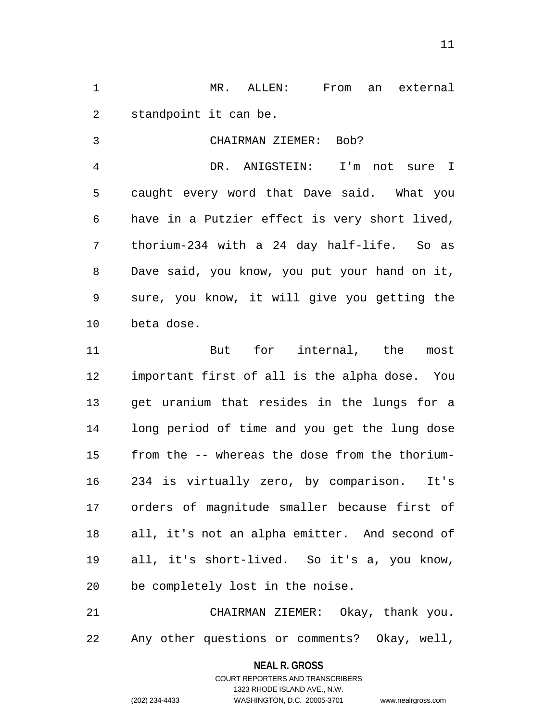1 MR. ALLEN: From an external 2 standpoint it can be.

CHAIRMAN ZIEMER: Bob?

3

4 5 6 7 8 9 10 DR. ANIGSTEIN: I'm not sure I caught every word that Dave said. What you have in a Putzier effect is very short lived, thorium-234 with a 24 day half-life. So as Dave said, you know, you put your hand on it, sure, you know, it will give you getting the beta dose.

11 12 13 14 15 16 17 18 19 20 But for internal, the most important first of all is the alpha dose. You get uranium that resides in the lungs for a long period of time and you get the lung dose from the -- whereas the dose from the thorium-234 is virtually zero, by comparison. It's orders of magnitude smaller because first of all, it's not an alpha emitter. And second of all, it's short-lived. So it's a, you know, be completely lost in the noise.

21 22 CHAIRMAN ZIEMER: Okay, thank you. Any other questions or comments? Okay, well,

> **NEAL R. GROSS** COURT REPORTERS AND TRANSCRIBERS 1323 RHODE ISLAND AVE., N.W. (202) 234-4433 WASHINGTON, D.C. 20005-3701 www.nealrgross.com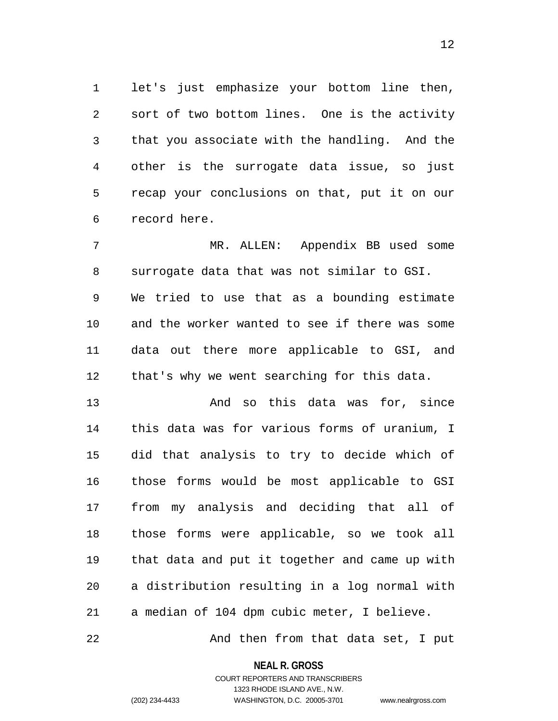1 let's just emphasize your bottom line then, 2 3 4 5 6 sort of two bottom lines. One is the activity that you associate with the handling. And the other is the surrogate data issue, so just recap your conclusions on that, put it on our record here.

7 8 9 10 11 12 MR. ALLEN: Appendix BB used some surrogate data that was not similar to GSI. We tried to use that as a bounding estimate and the worker wanted to see if there was some data out there more applicable to GSI, and that's why we went searching for this data.

13 14 15 16 17 18 19 20 21 And so this data was for, since this data was for various forms of uranium, I did that analysis to try to decide which of those forms would be most applicable to GSI from my analysis and deciding that all of those forms were applicable, so we took all that data and put it together and came up with a distribution resulting in a log normal with a median of 104 dpm cubic meter, I believe.

22 And then from that data set, I put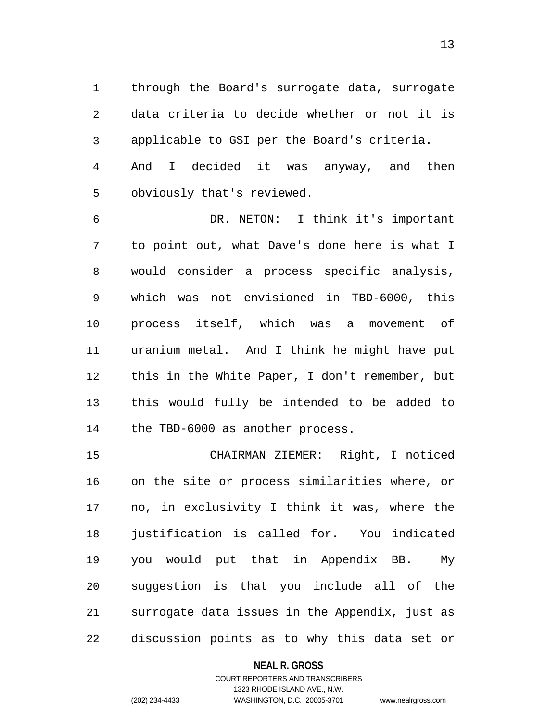1 through the Board's surrogate data, surrogate 2 3 4 5 data criteria to decide whether or not it is applicable to GSI per the Board's criteria. And I decided it was anyway, and then obviously that's reviewed.

6 7 8 9 10 11 12 13 14 DR. NETON: I think it's important to point out, what Dave's done here is what I would consider a process specific analysis, which was not envisioned in TBD-6000, this process itself, which was a movement of uranium metal. And I think he might have put this in the White Paper, I don't remember, but this would fully be intended to be added to the TBD-6000 as another process.

15 16 17 18 19 20 21 22 CHAIRMAN ZIEMER: Right, I noticed on the site or process similarities where, or no, in exclusivity I think it was, where the justification is called for. You indicated you would put that in Appendix BB. My suggestion is that you include all of the surrogate data issues in the Appendix, just as discussion points as to why this data set or

## **NEAL R. GROSS**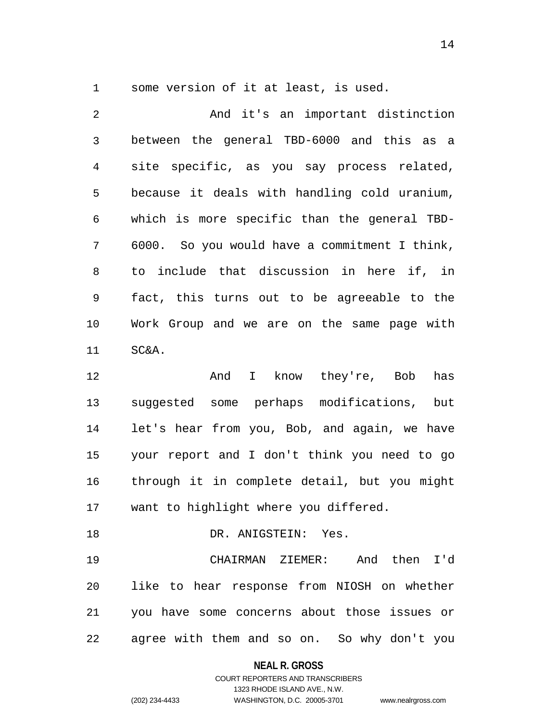1 some version of it at least, is used.

2 3 4 5 6 7 8 9 10 11 12 13 14 15 16 And it's an important distinction between the general TBD-6000 and this as a site specific, as you say process related, because it deals with handling cold uranium, which is more specific than the general TBD-6000. So you would have a commitment I think, to include that discussion in here if, in fact, this turns out to be agreeable to the Work Group and we are on the same page with SC&A. And I know they're, Bob has suggested some perhaps modifications, but let's hear from you, Bob, and again, we have your report and I don't think you need to go through it in complete detail, but you might

17 want to highlight where you differed.

18 19 20 21 22 DR. ANIGSTEIN: Yes. CHAIRMAN ZIEMER: And then I'd like to hear response from NIOSH on whether you have some concerns about those issues or agree with them and so on. So why don't you

**NEAL R. GROSS**

## COURT REPORTERS AND TRANSCRIBERS 1323 RHODE ISLAND AVE., N.W. (202) 234-4433 WASHINGTON, D.C. 20005-3701 www.nealrgross.com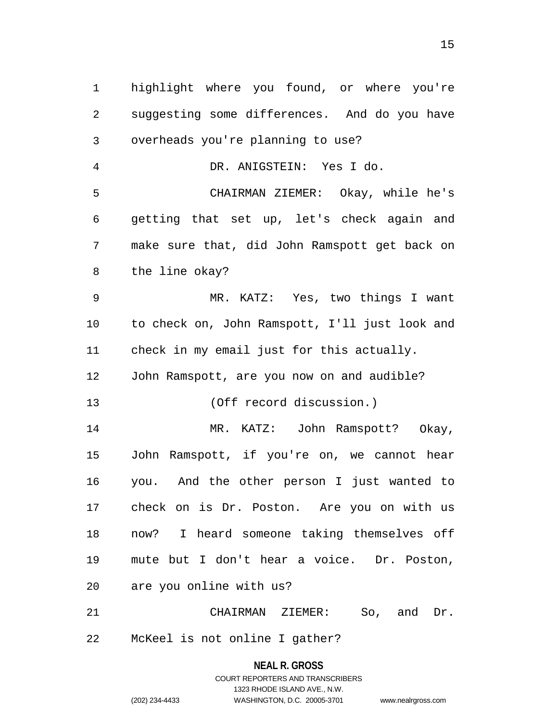1 highlight where you found, or where you're 2 3 4 5 6 7 8 9 10 11 12 13 14 15 16 17 18 19 20 21 suggesting some differences. And do you have overheads you're planning to use? DR. ANIGSTEIN: Yes I do. CHAIRMAN ZIEMER: Okay, while he's getting that set up, let's check again and make sure that, did John Ramspott get back on the line okay? MR. KATZ: Yes, two things I want to check on, John Ramspott, I'll just look and check in my email just for this actually. John Ramspott, are you now on and audible? (Off record discussion.) MR. KATZ: John Ramspott? Okay, John Ramspott, if you're on, we cannot hear you. And the other person I just wanted to check on is Dr. Poston. Are you on with us now? I heard someone taking themselves off mute but I don't hear a voice. Dr. Poston, are you online with us? CHAIRMAN ZIEMER: So, and Dr.

22 McKeel is not online I gather?

> **NEAL R. GROSS** COURT REPORTERS AND TRANSCRIBERS 1323 RHODE ISLAND AVE., N.W. (202) 234-4433 WASHINGTON, D.C. 20005-3701 www.nealrgross.com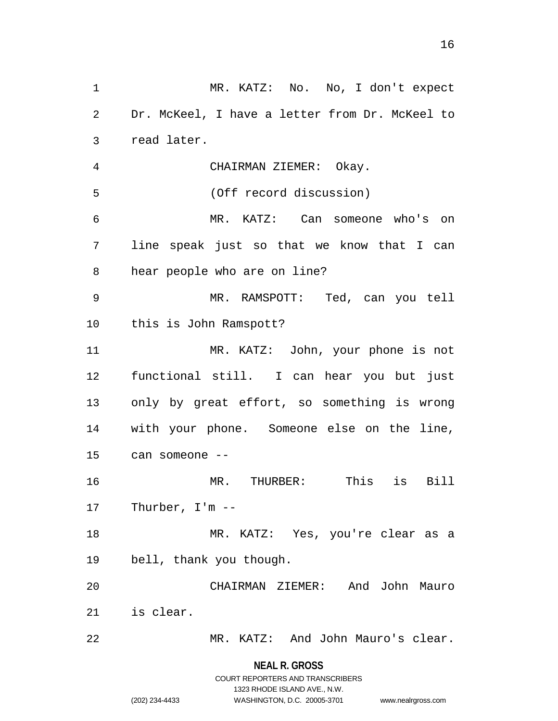1 MR. KATZ: No. No, I don't expect 2 3 4 5 6 7 8 9 10 11 12 13 14 15 16 17 18 19 20 21 22 Dr. McKeel, I have a letter from Dr. McKeel to read later. CHAIRMAN ZIEMER: Okay. (Off record discussion) MR. KATZ: Can someone who's on line speak just so that we know that I can hear people who are on line? MR. RAMSPOTT: Ted, can you tell this is John Ramspott? MR. KATZ: John, your phone is not functional still. I can hear you but just only by great effort, so something is wrong with your phone. Someone else on the line, can someone -- MR. THURBER: This is Bill Thurber, I'm -- MR. KATZ: Yes, you're clear as a bell, thank you though. CHAIRMAN ZIEMER: And John Mauro is clear. MR. KATZ: And John Mauro's clear.

> **NEAL R. GROSS** COURT REPORTERS AND TRANSCRIBERS

> > 1323 RHODE ISLAND AVE., N.W.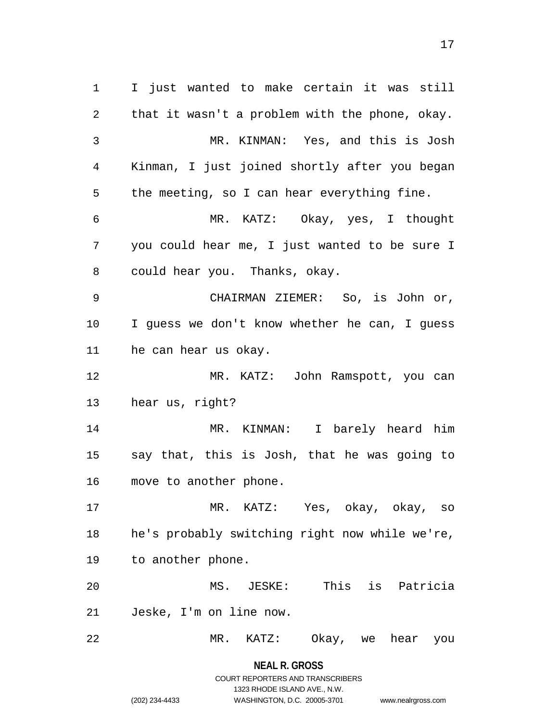1 I just wanted to make certain it was still 2 3 4 5 6 7 8 9 10 11 12 13 14 15 16 17 18 19 20 21 22 that it wasn't a problem with the phone, okay. MR. KINMAN: Yes, and this is Josh Kinman, I just joined shortly after you began the meeting, so I can hear everything fine. MR. KATZ: Okay, yes, I thought you could hear me, I just wanted to be sure I could hear you. Thanks, okay. CHAIRMAN ZIEMER: So, is John or, I guess we don't know whether he can, I guess he can hear us okay. MR. KATZ: John Ramspott, you can hear us, right? MR. KINMAN: I barely heard him say that, this is Josh, that he was going to move to another phone. MR. KATZ: Yes, okay, okay, so he's probably switching right now while we're, to another phone. MS. JESKE: This is Patricia Jeske, I'm on line now. MR. KATZ: Okay, we hear you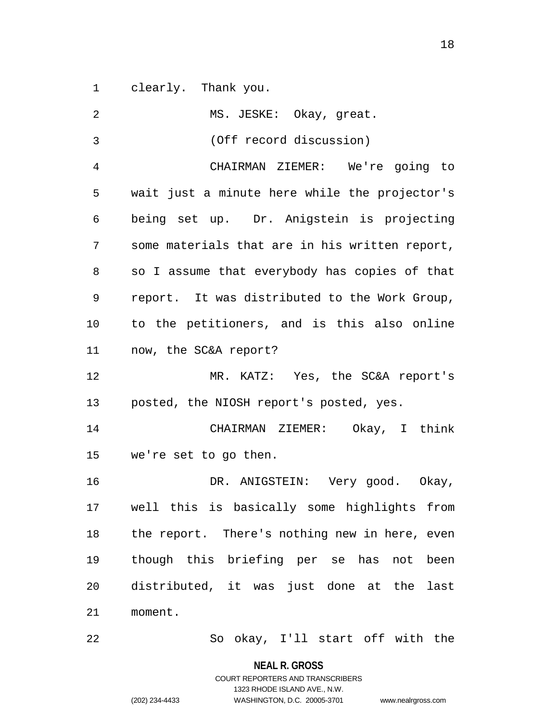1 clearly. Thank you.

| 2            | MS. JESKE: Okay, great.                        |
|--------------|------------------------------------------------|
| $\mathbf{3}$ | (Off record discussion)                        |
| 4            | CHAIRMAN ZIEMER: We're going to                |
| 5            | wait just a minute here while the projector's  |
| 6            | being set up. Dr. Anigstein is projecting      |
| 7            | some materials that are in his written report, |
| 8            | so I assume that everybody has copies of that  |
| 9            | report. It was distributed to the Work Group,  |
| 10           | to the petitioners, and is this also online    |
| 11           | now, the SC&A report?                          |
| 12           | MR. KATZ: Yes, the SC&A report's               |
| 13           | posted, the NIOSH report's posted, yes.        |
| 14           | CHAIRMAN ZIEMER: Okay, I think                 |
| 15           | we're set to go then.                          |
| 16           | DR. ANIGSTEIN: Very good. Okay,                |
| 17           | well this is basically some highlights from    |
| 18           | the report. There's nothing new in here, even  |
| 19           | though this briefing per se has not been       |
| 20           | distributed, it was just done at the<br>last   |
| 21           | moment.                                        |
| 22           | So okay, I'll start off with the               |

1323 RHODE ISLAND AVE., N.W.

(202) 234-4433 WASHINGTON, D.C. 20005-3701 www.nealrgross.com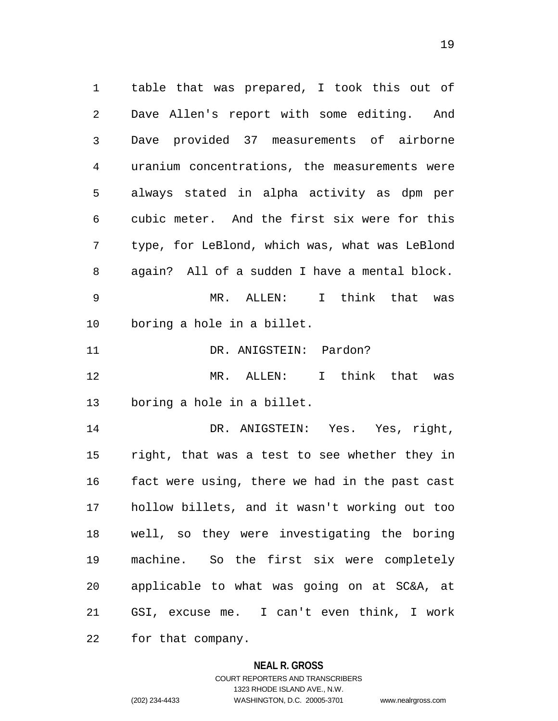1 table that was prepared, I took this out of 2 3 4 5 6 7 8 Dave Allen's report with some editing. And Dave provided 37 measurements of airborne uranium concentrations, the measurements were always stated in alpha activity as dpm per cubic meter. And the first six were for this type, for LeBlond, which was, what was LeBlond again? All of a sudden I have a mental block.

9 10 MR. ALLEN: I think that was boring a hole in a billet.

11 DR. ANIGSTEIN: Pardon?

12 13 MR. ALLEN: I think that was boring a hole in a billet.

14 15 16 17 18 19 20 21 22 DR. ANIGSTEIN: Yes. Yes, right, right, that was a test to see whether they in fact were using, there we had in the past cast hollow billets, and it wasn't working out too well, so they were investigating the boring machine. So the first six were completely applicable to what was going on at SC&A, at GSI, excuse me. I can't even think, I work for that company.

#### **NEAL R. GROSS**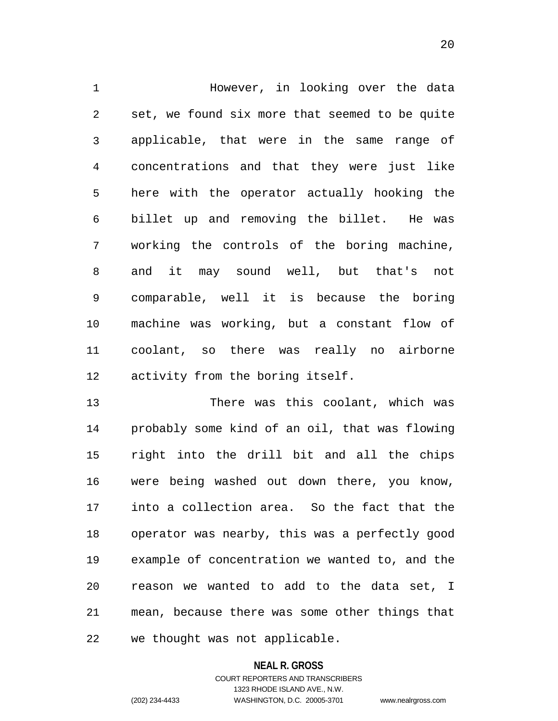1 However, in looking over the data 2 3 4 5 6 7 8 9 10 11 12 set, we found six more that seemed to be quite applicable, that were in the same range of concentrations and that they were just like here with the operator actually hooking the billet up and removing the billet. He was working the controls of the boring machine, and it may sound well, but that's not comparable, well it is because the boring machine was working, but a constant flow of coolant, so there was really no airborne activity from the boring itself.

13 14 15 16 17 18 19 20 21 22 There was this coolant, which was probably some kind of an oil, that was flowing right into the drill bit and all the chips were being washed out down there, you know, into a collection area. So the fact that the operator was nearby, this was a perfectly good example of concentration we wanted to, and the reason we wanted to add to the data set, I mean, because there was some other things that we thought was not applicable.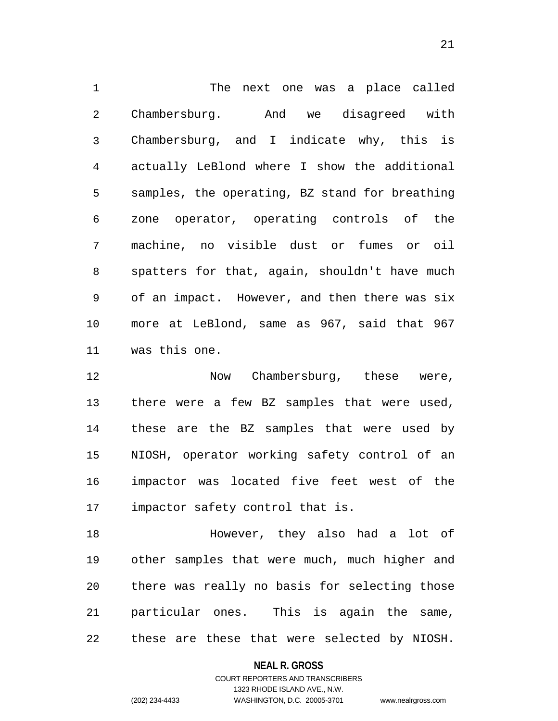1 The next one was a place called 2 3 4 5 6 7 8 9 10 11 Chambersburg. And we disagreed with Chambersburg, and I indicate why, this is actually LeBlond where I show the additional samples, the operating, BZ stand for breathing zone operator, operating controls of the machine, no visible dust or fumes or oil spatters for that, again, shouldn't have much of an impact. However, and then there was six more at LeBlond, same as 967, said that 967 was this one.

12 13 14 15 16 17 Now Chambersburg, these were, there were a few BZ samples that were used, these are the BZ samples that were used by NIOSH, operator working safety control of an impactor was located five feet west of the impactor safety control that is.

18 19 20 21 22 However, they also had a lot of other samples that were much, much higher and there was really no basis for selecting those particular ones. This is again the same, these are these that were selected by NIOSH.

## **NEAL R. GROSS** COURT REPORTERS AND TRANSCRIBERS

1323 RHODE ISLAND AVE., N.W.

(202) 234-4433 WASHINGTON, D.C. 20005-3701 www.nealrgross.com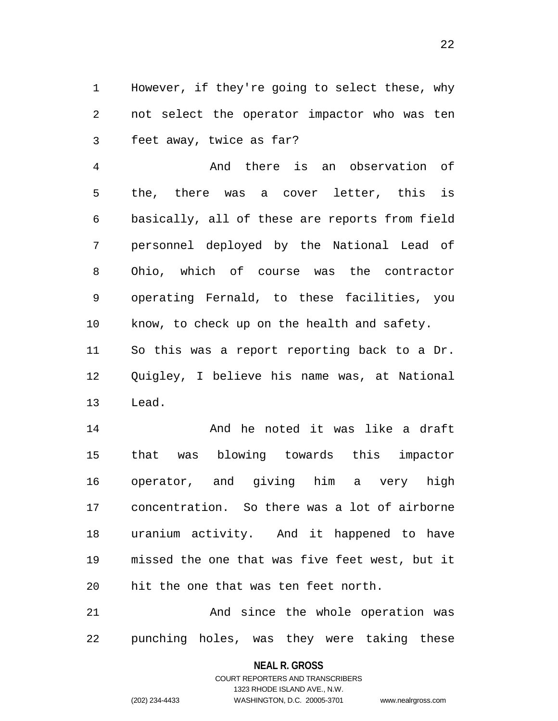1 However, if they're going to select these, why 2 3 not select the operator impactor who was ten feet away, twice as far?

4 5 6 7 8 9 10 11 And there is an observation of the, there was a cover letter, this is basically, all of these are reports from field personnel deployed by the National Lead of Ohio, which of course was the contractor operating Fernald, to these facilities, you know, to check up on the health and safety. So this was a report reporting back to a Dr.

12 13 Quigley, I believe his name was, at National Lead.

14 15 16 17 18 19 20 And he noted it was like a draft that was blowing towards this impactor operator, and giving him a very high concentration. So there was a lot of airborne uranium activity. And it happened to have missed the one that was five feet west, but it hit the one that was ten feet north.

21 22 And since the whole operation was punching holes, was they were taking these

#### **NEAL R. GROSS**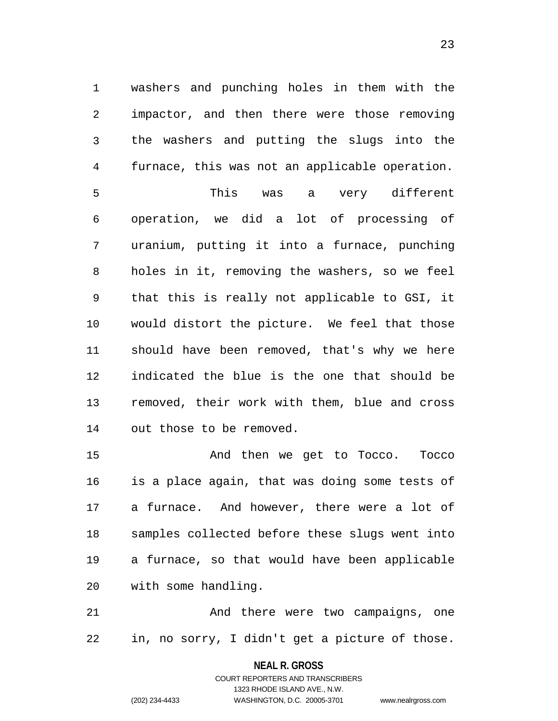1 washers and punching holes in them with the 2 3 4 5 impactor, and then there were those removing the washers and putting the slugs into the furnace, this was not an applicable operation. This was a very different

6 7 8 9 10 11 12 13 14 operation, we did a lot of processing of uranium, putting it into a furnace, punching holes in it, removing the washers, so we feel that this is really not applicable to GSI, it would distort the picture. We feel that those should have been removed, that's why we here indicated the blue is the one that should be removed, their work with them, blue and cross out those to be removed.

15 16 17 18 19 20 And then we get to Tocco. Tocco is a place again, that was doing some tests of a furnace. And however, there were a lot of samples collected before these slugs went into a furnace, so that would have been applicable with some handling.

21 22 And there were two campaigns, one in, no sorry, I didn't get a picture of those.

## **NEAL R. GROSS** COURT REPORTERS AND TRANSCRIBERS

1323 RHODE ISLAND AVE., N.W.

(202) 234-4433 WASHINGTON, D.C. 20005-3701 www.nealrgross.com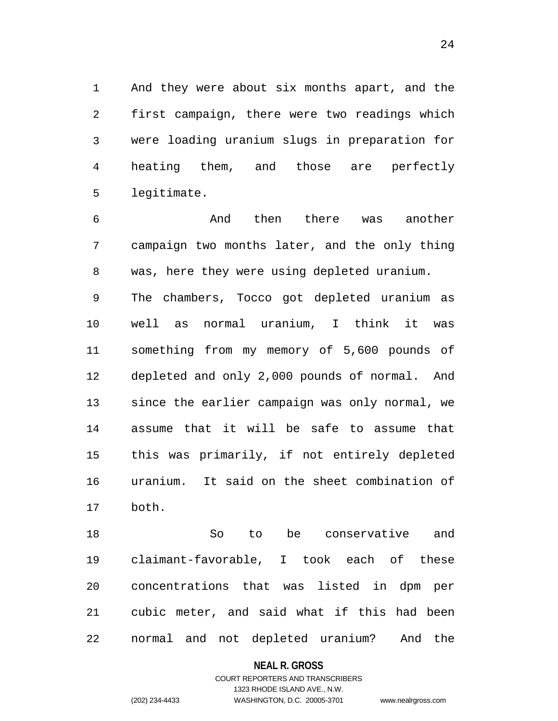1 And they were about six months apart, and the 2 3 4 5 first campaign, there were two readings which were loading uranium slugs in preparation for heating them, and those are perfectly legitimate.

6 7 8 9 10 11 And then there was another campaign two months later, and the only thing was, here they were using depleted uranium. The chambers, Tocco got depleted uranium as well as normal uranium, I think it was something from my memory of 5,600 pounds of

12 13 14 15 16 17 depleted and only 2,000 pounds of normal. And since the earlier campaign was only normal, we assume that it will be safe to assume that this was primarily, if not entirely depleted uranium. It said on the sheet combination of both.

18 19 20 21 22 So to be conservative and claimant-favorable, I took each of these concentrations that was listed in dpm per cubic meter, and said what if this had been normal and not depleted uranium? And the

#### **NEAL R. GROSS**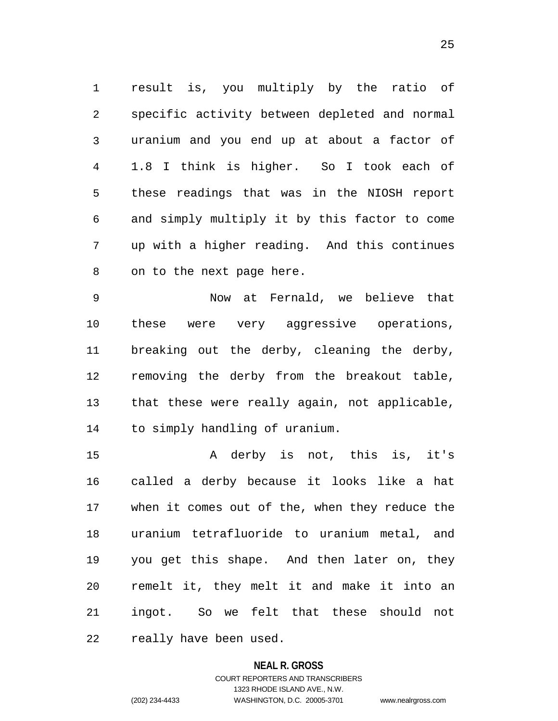1 result is, you multiply by the ratio of 2 3 4 5 6 7 8 specific activity between depleted and normal uranium and you end up at about a factor of 1.8 I think is higher. So I took each of these readings that was in the NIOSH report and simply multiply it by this factor to come up with a higher reading. And this continues on to the next page here.

9 10 11 12 13 14 Now at Fernald, we believe that these were very aggressive operations, breaking out the derby, cleaning the derby, removing the derby from the breakout table, that these were really again, not applicable, to simply handling of uranium.

15 16 17 18 19 20 21 22 A derby is not, this is, it's called a derby because it looks like a hat when it comes out of the, when they reduce the uranium tetrafluoride to uranium metal, and you get this shape. And then later on, they remelt it, they melt it and make it into an ingot. So we felt that these should not really have been used.

## **NEAL R. GROSS**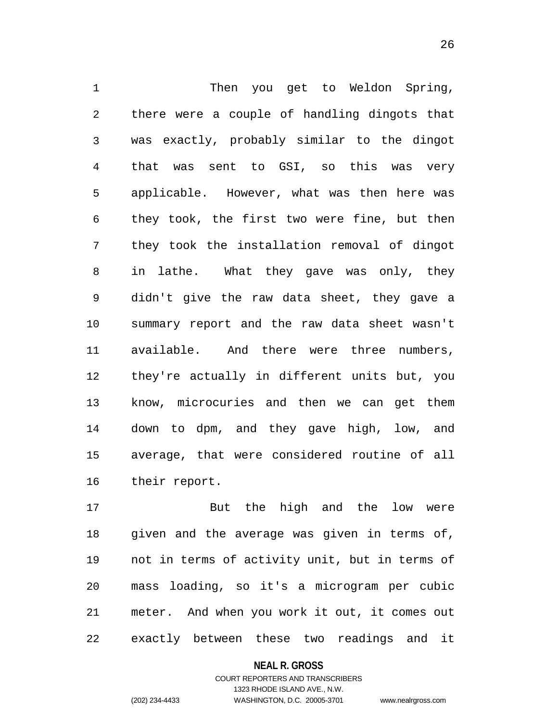1 Then you get to Weldon Spring, 2 3 4 5 6 7 8 9 10 11 12 13 14 15 16 there were a couple of handling dingots that was exactly, probably similar to the dingot that was sent to GSI, so this was very applicable. However, what was then here was they took, the first two were fine, but then they took the installation removal of dingot in lathe. What they gave was only, they didn't give the raw data sheet, they gave a summary report and the raw data sheet wasn't available. And there were three numbers, they're actually in different units but, you know, microcuries and then we can get them down to dpm, and they gave high, low, and average, that were considered routine of all their report.

17 18 19 20 21 22 But the high and the low were given and the average was given in terms of, not in terms of activity unit, but in terms of mass loading, so it's a microgram per cubic meter. And when you work it out, it comes out exactly between these two readings and it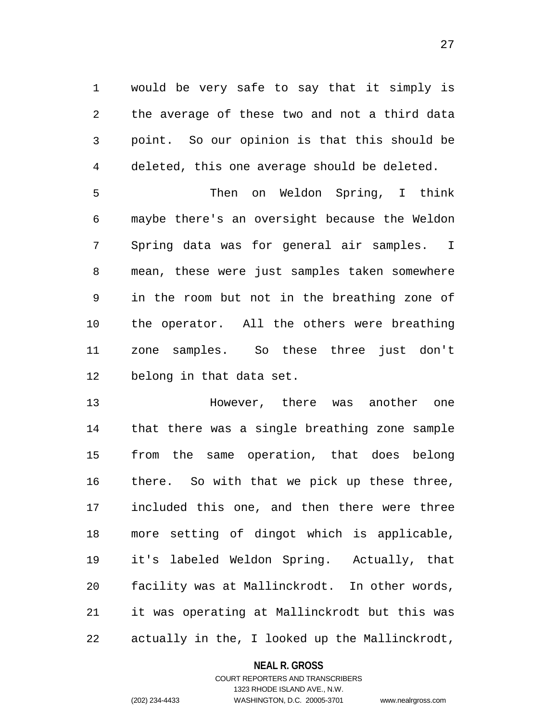1 would be very safe to say that it simply is 2 3 4 the average of these two and not a third data point. So our opinion is that this should be deleted, this one average should be deleted.

5 6 7 8 9 10 11 12 Then on Weldon Spring, I think maybe there's an oversight because the Weldon Spring data was for general air samples. I mean, these were just samples taken somewhere in the room but not in the breathing zone of the operator. All the others were breathing zone samples. So these three just don't belong in that data set.

13 14 15 16 17 18 19 20 21 22 However, there was another one that there was a single breathing zone sample from the same operation, that does belong there. So with that we pick up these three, included this one, and then there were three more setting of dingot which is applicable, it's labeled Weldon Spring. Actually, that facility was at Mallinckrodt. In other words, it was operating at Mallinckrodt but this was actually in the, I looked up the Mallinckrodt,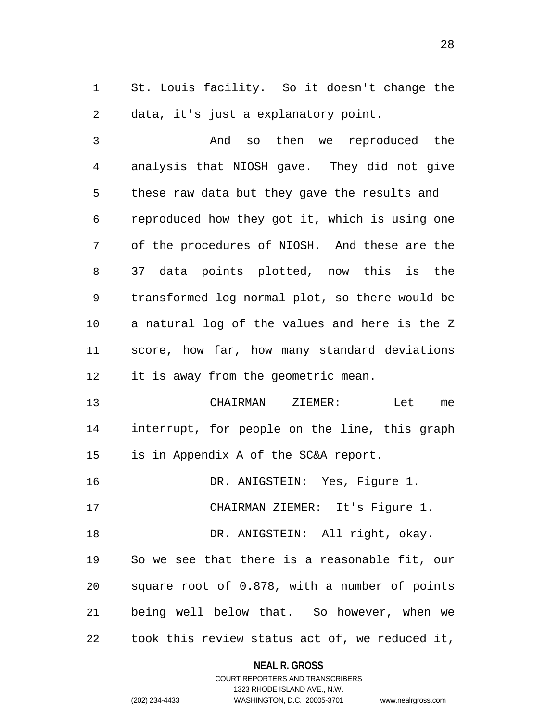1 St. Louis facility. So it doesn't change the 2 data, it's just a explanatory point.

3 4 5 6 7 8 9 10 11 12 And so then we reproduced the analysis that NIOSH gave. They did not give these raw data but they gave the results and reproduced how they got it, which is using one of the procedures of NIOSH. And these are the 37 data points plotted, now this is the transformed log normal plot, so there would be a natural log of the values and here is the Z score, how far, how many standard deviations it is away from the geometric mean.

13 14 15 CHAIRMAN ZIEMER: Let me interrupt, for people on the line, this graph is in Appendix A of the SC&A report.

16 DR. ANIGSTEIN: Yes, Figure 1.

17 CHAIRMAN ZIEMER: It's Figure 1.

18 DR. ANIGSTEIN: All right, okay.

19 20 21 22 So we see that there is a reasonable fit, our square root of 0.878, with a number of points being well below that. So however, when we took this review status act of, we reduced it,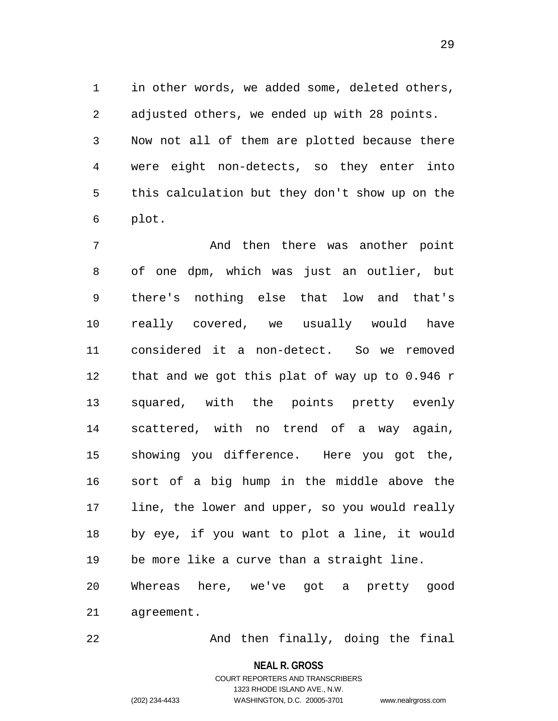1 in other words, we added some, deleted others, 2 3 4 5 6 adjusted others, we ended up with 28 points. Now not all of them are plotted because there were eight non-detects, so they enter into this calculation but they don't show up on the plot.

7 8 9 10 11 12 13 14 15 16 17 18 19 20 21 And then there was another point of one dpm, which was just an outlier, but there's nothing else that low and that's really covered, we usually would have considered it a non-detect. So we removed that and we got this plat of way up to 0.946 r squared, with the points pretty evenly scattered, with no trend of a way again, showing you difference. Here you got the, sort of a big hump in the middle above the line, the lower and upper, so you would really by eye, if you want to plot a line, it would be more like a curve than a straight line. Whereas here, we've got a pretty good agreement.

And then finally, doing the final

**NEAL R. GROSS**

# COURT REPORTERS AND TRANSCRIBERS 1323 RHODE ISLAND AVE., N.W. (202) 234-4433 WASHINGTON, D.C. 20005-3701 www.nealrgross.com

22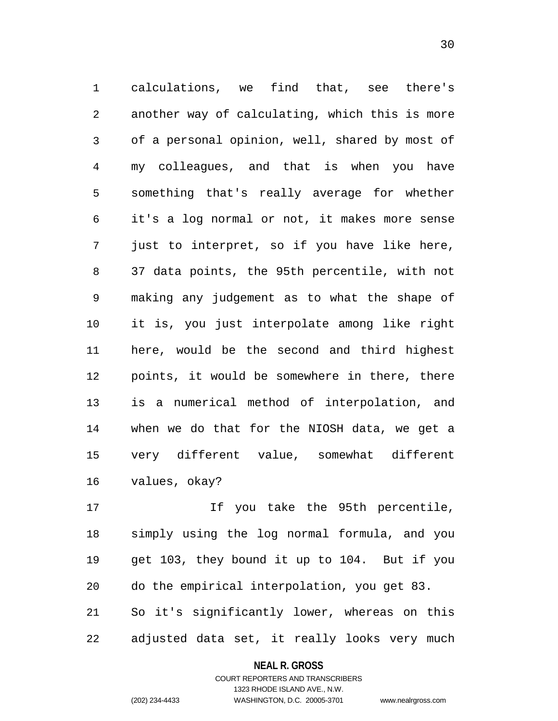1 calculations, we find that, see there's 2 3 4 5 6 7 8 9 10 11 12 13 14 15 16 another way of calculating, which this is more of a personal opinion, well, shared by most of my colleagues, and that is when you have something that's really average for whether it's a log normal or not, it makes more sense just to interpret, so if you have like here, 37 data points, the 95th percentile, with not making any judgement as to what the shape of it is, you just interpolate among like right here, would be the second and third highest points, it would be somewhere in there, there is a numerical method of interpolation, and when we do that for the NIOSH data, we get a very different value, somewhat different values, okay?

17 18 19 20 21 22 If you take the 95th percentile, simply using the log normal formula, and you get 103, they bound it up to 104. But if you do the empirical interpolation, you get 83. So it's significantly lower, whereas on this adjusted data set, it really looks very much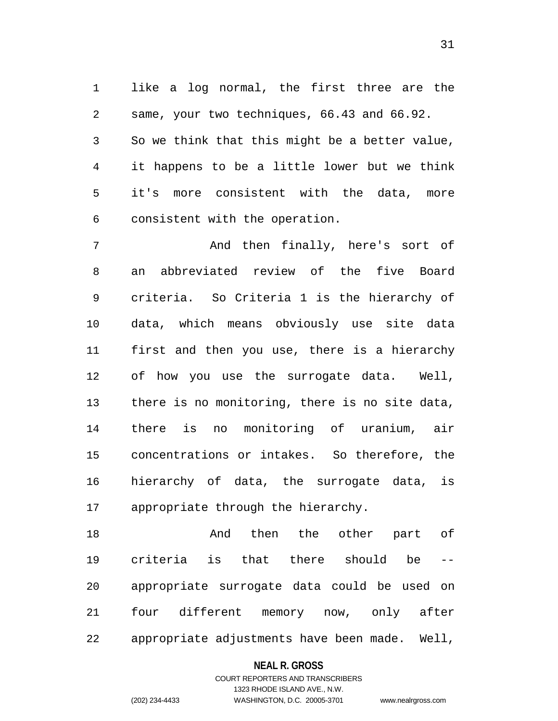1 like a log normal, the first three are the 2 3 4 5 6 same, your two techniques, 66.43 and 66.92. So we think that this might be a better value, it happens to be a little lower but we think it's more consistent with the data, more consistent with the operation.

7 8 9 10 11 12 13 14 15 16 17 And then finally, here's sort of an abbreviated review of the five Board criteria. So Criteria 1 is the hierarchy of data, which means obviously use site data first and then you use, there is a hierarchy of how you use the surrogate data. Well, there is no monitoring, there is no site data, there is no monitoring of uranium, air concentrations or intakes. So therefore, the hierarchy of data, the surrogate data, is appropriate through the hierarchy.

18 19 20 21 22 And then the other part of criteria is that there should be - appropriate surrogate data could be used on four different memory now, only after appropriate adjustments have been made. Well,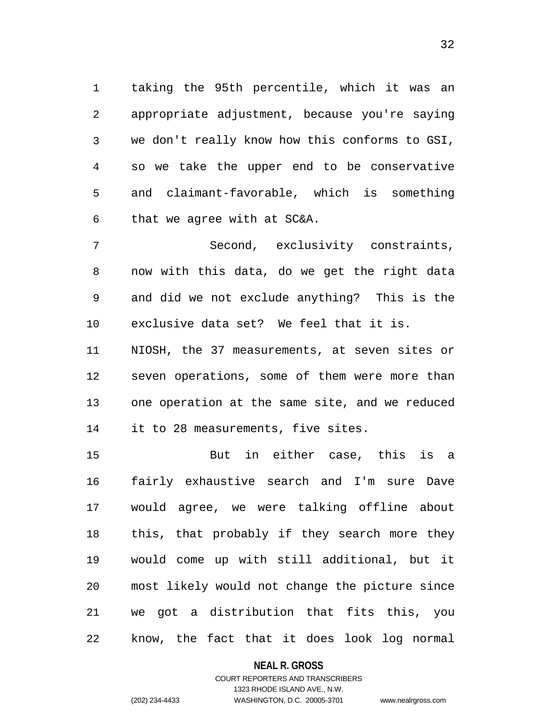1 taking the 95th percentile, which it was an 2 3 4 5 6 appropriate adjustment, because you're saying we don't really know how this conforms to GSI, so we take the upper end to be conservative and claimant-favorable, which is something that we agree with at SC&A.

7 8 9 10 Second, exclusivity constraints, now with this data, do we get the right data and did we not exclude anything? This is the exclusive data set? We feel that it is.

11 12 13 14 NIOSH, the 37 measurements, at seven sites or seven operations, some of them were more than one operation at the same site, and we reduced it to 28 measurements, five sites.

15 16 17 18 19 20 21 22 But in either case, this is a fairly exhaustive search and I'm sure Dave would agree, we were talking offline about this, that probably if they search more they would come up with still additional, but it most likely would not change the picture since we got a distribution that fits this, you know, the fact that it does look log normal

## **NEAL R. GROSS**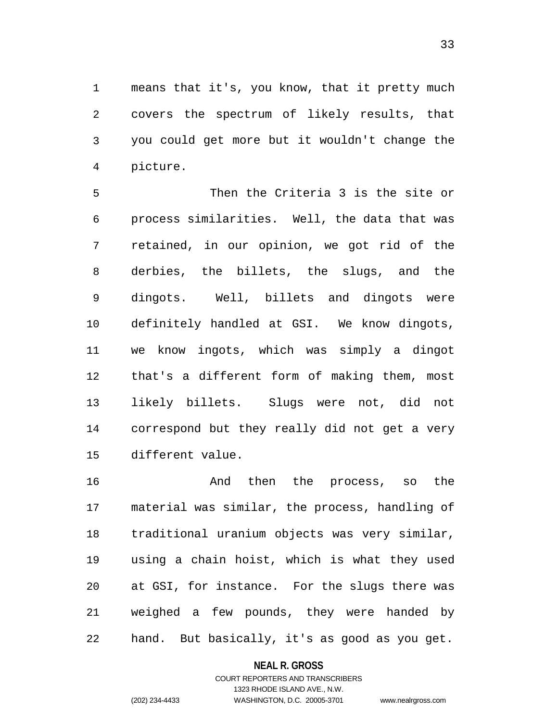1 means that it's, you know, that it pretty much 2 3 4 covers the spectrum of likely results, that you could get more but it wouldn't change the picture.

5 6 7 8 9 10 11 12 13 14 15 Then the Criteria 3 is the site or process similarities. Well, the data that was retained, in our opinion, we got rid of the derbies, the billets, the slugs, and the dingots. Well, billets and dingots were definitely handled at GSI. We know dingots, we know ingots, which was simply a dingot that's a different form of making them, most likely billets. Slugs were not, did not correspond but they really did not get a very different value.

16 17 18 19 20 21 22 And then the process, so the material was similar, the process, handling of traditional uranium objects was very similar, using a chain hoist, which is what they used at GSI, for instance. For the slugs there was weighed a few pounds, they were handed by hand. But basically, it's as good as you get.

## **NEAL R. GROSS**

COURT REPORTERS AND TRANSCRIBERS 1323 RHODE ISLAND AVE., N.W. (202) 234-4433 WASHINGTON, D.C. 20005-3701 www.nealrgross.com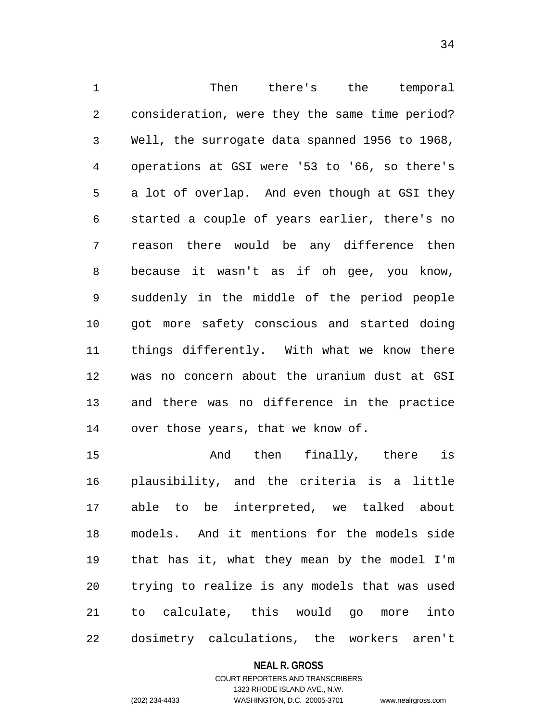1 Then there's the temporal 2 3 4 5 6 7 8 9 10 11 12 13 14 consideration, were they the same time period? Well, the surrogate data spanned 1956 to 1968, operations at GSI were '53 to '66, so there's a lot of overlap. And even though at GSI they started a couple of years earlier, there's no reason there would be any difference then because it wasn't as if oh gee, you know, suddenly in the middle of the period people got more safety conscious and started doing things differently. With what we know there was no concern about the uranium dust at GSI and there was no difference in the practice over those years, that we know of.

15 16 17 18 19 20 21 22 And then finally, there is plausibility, and the criteria is a little able to be interpreted, we talked about models. And it mentions for the models side that has it, what they mean by the model I'm trying to realize is any models that was used to calculate, this would go more into dosimetry calculations, the workers aren't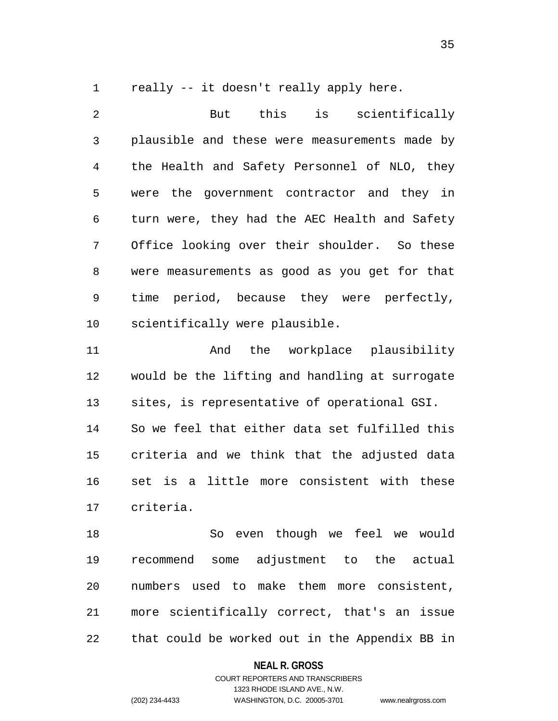1 really -- it doesn't really apply here.

2 3 4 5 6 7 8 9 10 11 12 13 14 15 16 17 18 19 20 But this is scientifically plausible and these were measurements made by the Health and Safety Personnel of NLO, they were the government contractor and they in turn were, they had the AEC Health and Safety Office looking over their shoulder. So these were measurements as good as you get for that time period, because they were perfectly, scientifically were plausible. And the workplace plausibility would be the lifting and handling at surrogate sites, is representative of operational GSI. So we feel that either data set fulfilled this criteria and we think that the adjusted data set is a little more consistent with these criteria. So even though we feel we would recommend some adjustment to the actual numbers used to make them more consistent,

21 22 more scientifically correct, that's an issue that could be worked out in the Appendix BB in

## **NEAL R. GROSS**

COURT REPORTERS AND TRANSCRIBERS 1323 RHODE ISLAND AVE., N.W. (202) 234-4433 WASHINGTON, D.C. 20005-3701 www.nealrgross.com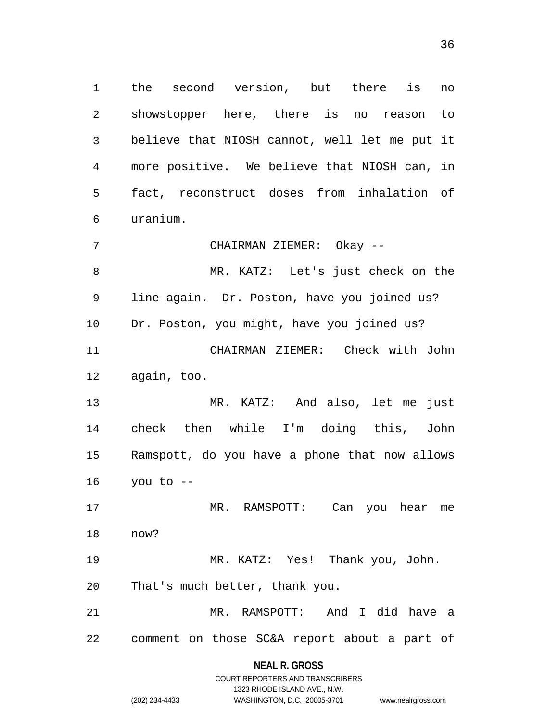1 the second version, but there is no 2 3 4 5 6 showstopper here, there is no reason to believe that NIOSH cannot, well let me put it more positive. We believe that NIOSH can, in fact, reconstruct doses from inhalation of uranium.

7 CHAIRMAN ZIEMER: Okay --

8 9 10 11 12 MR. KATZ: Let's just check on the line again. Dr. Poston, have you joined us? Dr. Poston, you might, have you joined us? CHAIRMAN ZIEMER: Check with John again, too.

13 14 15 16 MR. KATZ: And also, let me just check then while I'm doing this, John Ramspott, do you have a phone that now allows you to --

17 18 MR. RAMSPOTT: Can you hear me now?

19 20 MR. KATZ: Yes! Thank you, John. That's much better, thank you.

21 22 MR. RAMSPOTT: And I did have a comment on those SC&A report about a part of

> **NEAL R. GROSS** COURT REPORTERS AND TRANSCRIBERS

> > 1323 RHODE ISLAND AVE., N.W.

```
(202) 234-4433 WASHINGTON, D.C. 20005-3701 www.nealrgross.com
```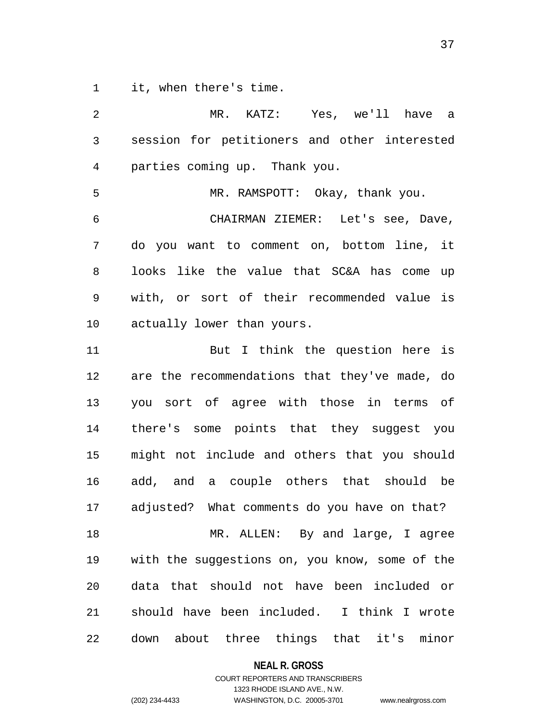1 it, when there's time.

2 3 4 5 6 7 8 9 10 11 12 13 14 15 16 17 18 19 20 21 22 MR. KATZ: Yes, we'll have a session for petitioners and other interested parties coming up. Thank you. MR. RAMSPOTT: Okay, thank you. CHAIRMAN ZIEMER: Let's see, Dave, do you want to comment on, bottom line, it looks like the value that SC&A has come up with, or sort of their recommended value is actually lower than yours. But I think the question here is are the recommendations that they've made, do you sort of agree with those in terms of there's some points that they suggest you might not include and others that you should add, and a couple others that should be adjusted? What comments do you have on that? MR. ALLEN: By and large, I agree with the suggestions on, you know, some of the data that should not have been included or should have been included. I think I wrote down about three things that it's minor

**NEAL R. GROSS**

COURT REPORTERS AND TRANSCRIBERS 1323 RHODE ISLAND AVE., N.W. (202) 234-4433 WASHINGTON, D.C. 20005-3701 www.nealrgross.com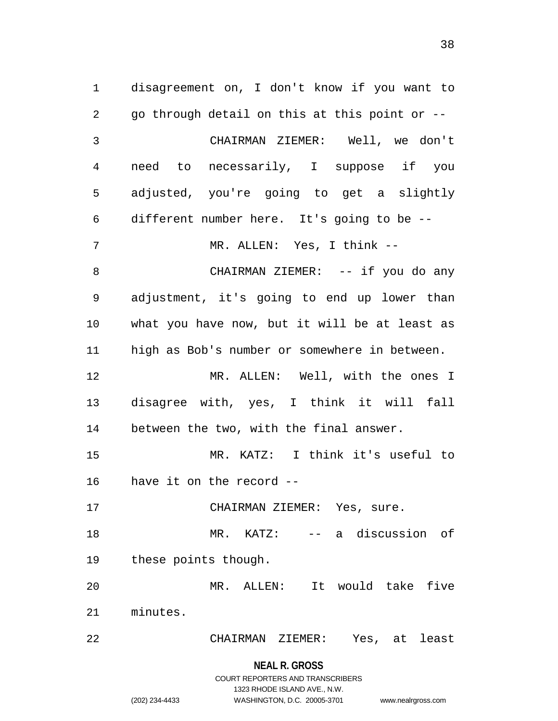1 disagreement on, I don't know if you want to 2 3 4 5 6 7 8 9 10 11 12 13 14 15 16 17 18 19 20 21 22 go through detail on this at this point or -- CHAIRMAN ZIEMER: Well, we don't need to necessarily, I suppose if you adjusted, you're going to get a slightly different number here. It's going to be -- MR. ALLEN: Yes, I think -- CHAIRMAN ZIEMER: -- if you do any adjustment, it's going to end up lower than what you have now, but it will be at least as high as Bob's number or somewhere in between. MR. ALLEN: Well, with the ones I disagree with, yes, I think it will fall between the two, with the final answer. MR. KATZ: I think it's useful to have it on the record -- CHAIRMAN ZIEMER: Yes, sure. MR. KATZ: -- a discussion of these points though. MR. ALLEN: It would take five minutes. CHAIRMAN ZIEMER: Yes, at least

1323 RHODE ISLAND AVE., N.W.

(202) 234-4433 WASHINGTON, D.C. 20005-3701 www.nealrgross.com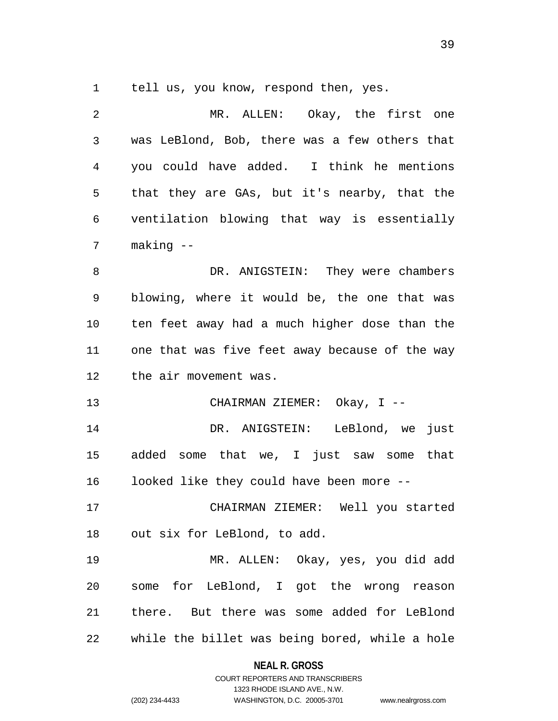1 tell us, you know, respond then, yes.

| 2              | MR. ALLEN: Okay, the first one                 |
|----------------|------------------------------------------------|
| $\mathfrak{Z}$ | was LeBlond, Bob, there was a few others that  |
| $\overline{4}$ | you could have added. I think he mentions      |
| 5              | that they are GAs, but it's nearby, that the   |
| 6              | ventilation blowing that way is essentially    |
| 7              | making --                                      |
| 8              | DR. ANIGSTEIN: They were chambers              |
| 9              | blowing, where it would be, the one that was   |
| 10             | ten feet away had a much higher dose than the  |
| 11             | one that was five feet away because of the way |
| 12             | the air movement was.                          |
| 13             | CHAIRMAN ZIEMER: Okay, I --                    |
| 14             | DR. ANIGSTEIN: LeBlond, we just                |
| 15             | added some that we, I just saw some that       |
| 16             | looked like they could have been more --       |
| 17             | CHAIRMAN ZIEMER: Well you started              |
|                | 18 out six for LeBlond, to add.                |
| 19             | MR. ALLEN: Okay, yes, you did add              |
| 20             | some for LeBlond, I got the wrong reason       |
| 21             | there. But there was some added for LeBlond    |
| 22             | while the billet was being bored, while a hole |

**NEAL R. GROSS**

COURT REPORTERS AND TRANSCRIBERS 1323 RHODE ISLAND AVE., N.W. (202) 234-4433 WASHINGTON, D.C. 20005-3701 www.nealrgross.com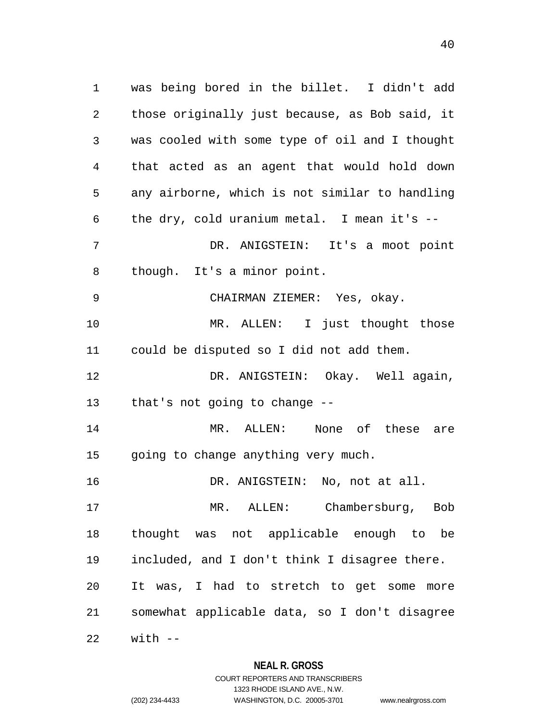1 was being bored in the billet. I didn't add 2 3 4 5 6 7 8 9 10 11 12 13 14 15 16 17 18 19 20 21 22 those originally just because, as Bob said, it was cooled with some type of oil and I thought that acted as an agent that would hold down any airborne, which is not similar to handling the dry, cold uranium metal. I mean it's -- DR. ANIGSTEIN: It's a moot point though. It's a minor point. CHAIRMAN ZIEMER: Yes, okay. MR. ALLEN: I just thought those could be disputed so I did not add them. DR. ANIGSTEIN: Okay. Well again, that's not going to change -- MR. ALLEN: None of these are going to change anything very much. DR. ANIGSTEIN: No, not at all. MR. ALLEN: Chambersburg, Bob thought was not applicable enough to be included, and I don't think I disagree there. It was, I had to stretch to get some more somewhat applicable data, so I don't disagree  $with$   $-$ 

## **NEAL R. GROSS**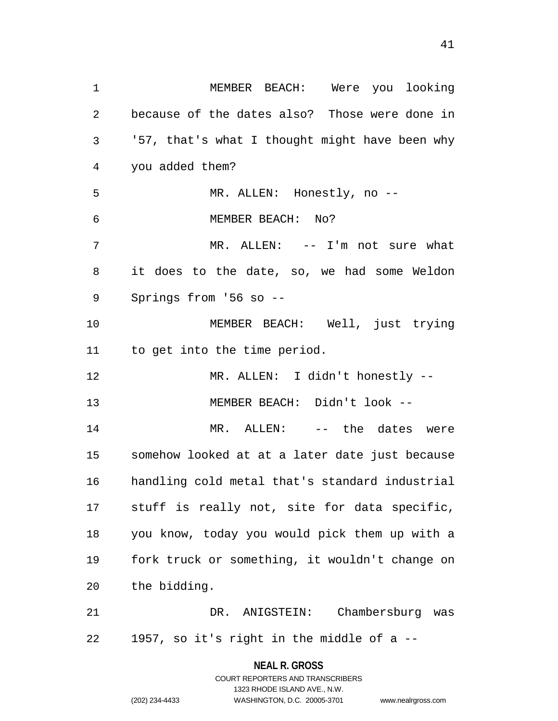1 MEMBER BEACH: Were you looking 2 3 4 5 6 7 8 9 10 11 12 13 14 15 16 17 18 19 20 21 because of the dates also? Those were done in '57, that's what I thought might have been why you added them? MR. ALLEN: Honestly, no -- MEMBER BEACH: No? MR. ALLEN: -- I'm not sure what it does to the date, so, we had some Weldon Springs from '56 so -- MEMBER BEACH: Well, just trying to get into the time period. MR. ALLEN: I didn't honestly -- MEMBER BEACH: Didn't look -- MR. ALLEN: -- the dates were somehow looked at at a later date just because handling cold metal that's standard industrial stuff is really not, site for data specific, you know, today you would pick them up with a fork truck or something, it wouldn't change on the bidding. DR. ANIGSTEIN: Chambersburg was

22 1957, so it's right in the middle of a --

> **NEAL R. GROSS** COURT REPORTERS AND TRANSCRIBERS

> > 1323 RHODE ISLAND AVE., N.W.

(202) 234-4433 WASHINGTON, D.C. 20005-3701 www.nealrgross.com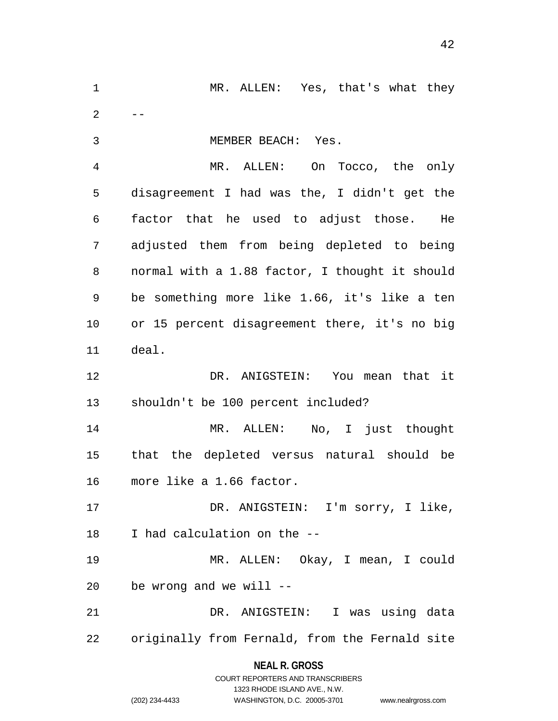**NEAL R. GROSS** 1 MR. ALLEN: Yes, that's what they 2 3 4 5 6 7 8 9 10 11 12 13 14 15 16 17 18 19 20 21 22 -- MEMBER BEACH: Yes. MR. ALLEN: On Tocco, the only disagreement I had was the, I didn't get the factor that he used to adjust those. He adjusted them from being depleted to being normal with a 1.88 factor, I thought it should be something more like 1.66, it's like a ten or 15 percent disagreement there, it's no big deal. DR. ANIGSTEIN: You mean that it shouldn't be 100 percent included? MR. ALLEN: No, I just thought that the depleted versus natural should be more like a 1.66 factor. DR. ANIGSTEIN: I'm sorry, I like, I had calculation on the -- MR. ALLEN: Okay, I mean, I could be wrong and we will -- DR. ANIGSTEIN: I was using data originally from Fernald, from the Fernald site

> COURT REPORTERS AND TRANSCRIBERS 1323 RHODE ISLAND AVE., N.W. (202) 234-4433 WASHINGTON, D.C. 20005-3701 www.nealrgross.com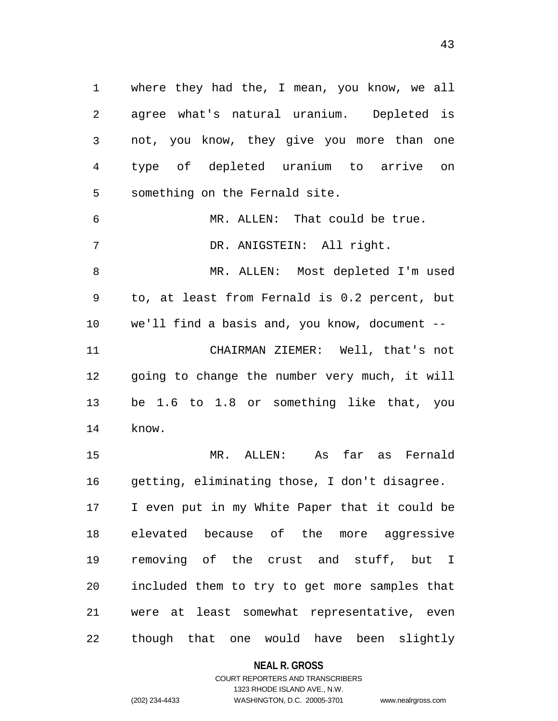1 where they had the, I mean, you know, we all 2 3 4 5 agree what's natural uranium. Depleted is not, you know, they give you more than one type of depleted uranium to arrive on something on the Fernald site.

6 7 MR. ALLEN: That could be true. DR. ANIGSTEIN: All right.

8 9 10 11 12 13 14 MR. ALLEN: Most depleted I'm used to, at least from Fernald is 0.2 percent, but we'll find a basis and, you know, document -- CHAIRMAN ZIEMER: Well, that's not going to change the number very much, it will be 1.6 to 1.8 or something like that, you know.

15 16 17 18 19 20 21 22 MR. ALLEN: As far as Fernald getting, eliminating those, I don't disagree. I even put in my White Paper that it could be elevated because of the more aggressive removing of the crust and stuff, but I included them to try to get more samples that were at least somewhat representative, even though that one would have been slightly

**NEAL R. GROSS**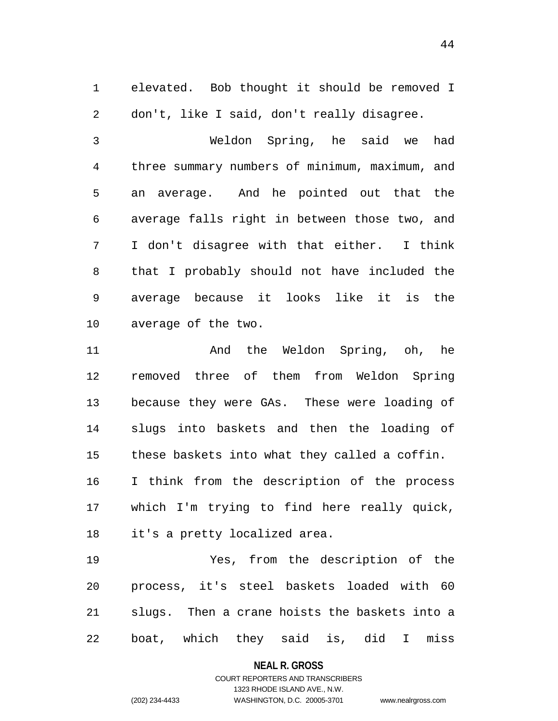1 elevated. Bob thought it should be removed I 2 don't, like I said, don't really disagree.

3 4 5 6 7 8 9 10 Weldon Spring, he said we had three summary numbers of minimum, maximum, and an average. And he pointed out that the average falls right in between those two, and I don't disagree with that either. I think that I probably should not have included the average because it looks like it is the average of the two.

11 12 13 14 15 16 17 18 And the Weldon Spring, oh, he removed three of them from Weldon Spring because they were GAs. These were loading of slugs into baskets and then the loading of these baskets into what they called a coffin. I think from the description of the process which I'm trying to find here really quick, it's a pretty localized area.

19 20 21 22 Yes, from the description of the process, it's steel baskets loaded with 60 slugs. Then a crane hoists the baskets into a boat, which they said is, did I miss

#### **NEAL R. GROSS**

### COURT REPORTERS AND TRANSCRIBERS 1323 RHODE ISLAND AVE., N.W. (202) 234-4433 WASHINGTON, D.C. 20005-3701 www.nealrgross.com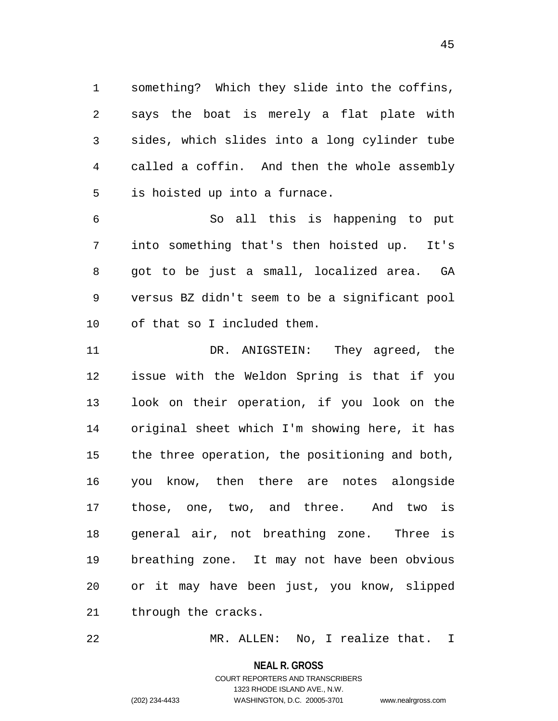1 something? Which they slide into the coffins, 2 3 4 5 says the boat is merely a flat plate with sides, which slides into a long cylinder tube called a coffin. And then the whole assembly is hoisted up into a furnace.

6 7 8 9 10 So all this is happening to put into something that's then hoisted up. It's got to be just a small, localized area. GA versus BZ didn't seem to be a significant pool of that so I included them.

11 12 13 14 15 16 17 18 19 20 21 DR. ANIGSTEIN: They agreed, the issue with the Weldon Spring is that if you look on their operation, if you look on the original sheet which I'm showing here, it has the three operation, the positioning and both, you know, then there are notes alongside those, one, two, and three. And two is general air, not breathing zone. Three is breathing zone. It may not have been obvious or it may have been just, you know, slipped through the cracks.

22 MR. ALLEN: No, I realize that. I

**NEAL R. GROSS**

## COURT REPORTERS AND TRANSCRIBERS 1323 RHODE ISLAND AVE., N.W. (202) 234-4433 WASHINGTON, D.C. 20005-3701 www.nealrgross.com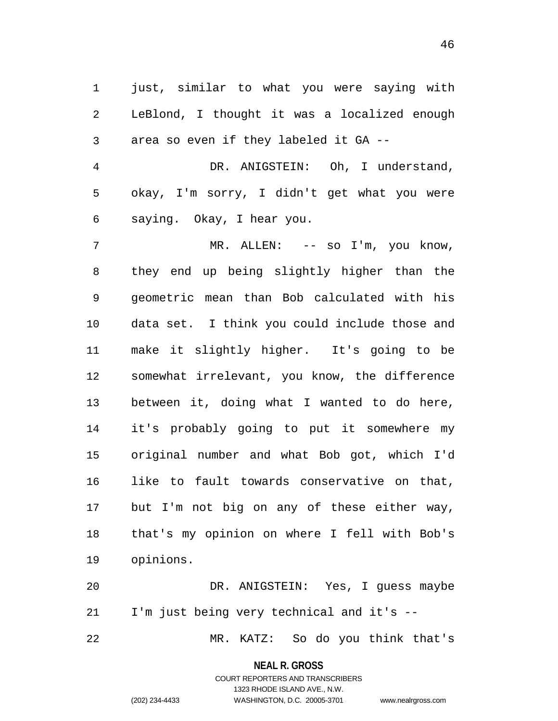1 just, similar to what you were saying with 2 3 LeBlond, I thought it was a localized enough area so even if they labeled it GA --

4 5 6 DR. ANIGSTEIN: Oh, I understand, okay, I'm sorry, I didn't get what you were saying. Okay, I hear you.

7 8 9 10 11 12 13 14 15 16 17 18 19 MR. ALLEN: -- so I'm, you know, they end up being slightly higher than the geometric mean than Bob calculated with his data set. I think you could include those and make it slightly higher. It's going to be somewhat irrelevant, you know, the difference between it, doing what I wanted to do here, it's probably going to put it somewhere my original number and what Bob got, which I'd like to fault towards conservative on that, but I'm not big on any of these either way, that's my opinion on where I fell with Bob's opinions.

20 21 DR. ANIGSTEIN: Yes, I guess maybe I'm just being very technical and it's --

MR. KATZ: So do you think that's

**NEAL R. GROSS**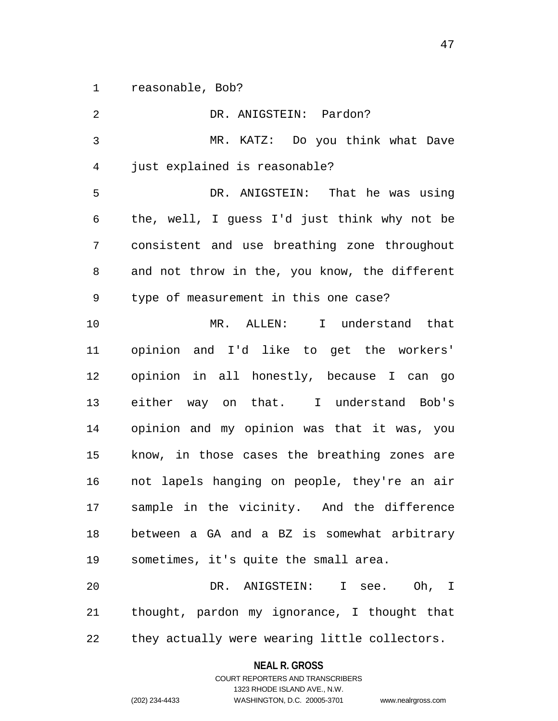1 reasonable, Bob?

| 2  | DR. ANIGSTEIN: Pardon?                        |
|----|-----------------------------------------------|
| 3  | MR. KATZ: Do you think what Dave              |
| 4  | just explained is reasonable?                 |
| 5  | DR. ANIGSTEIN: That he was using              |
| 6  | the, well, I guess I'd just think why not be  |
| 7  | consistent and use breathing zone throughout  |
| 8  | and not throw in the, you know, the different |
| 9  | type of measurement in this one case?         |
| 10 | MR. ALLEN: I understand that                  |
| 11 | opinion and I'd like to get the workers'      |
| 12 | opinion in all honestly, because I can go     |
| 13 | either way on that. I understand Bob's        |
| 14 | opinion and my opinion was that it was, you   |
| 15 | know, in those cases the breathing zones are  |
| 16 | not lapels hanging on people, they're an air  |
| 17 | sample in the vicinity. And the difference    |
| 18 | between a GA and a BZ is somewhat arbitrary   |
| 19 | sometimes, it's quite the small area.         |
| 20 | DR. ANIGSTEIN: I see. Oh, I                   |
| 21 | thought, pardon my ignorance, I thought that  |
| 22 | they actually were wearing little collectors. |

**NEAL R. GROSS**

COURT REPORTERS AND TRANSCRIBERS 1323 RHODE ISLAND AVE., N.W. (202) 234-4433 WASHINGTON, D.C. 20005-3701 www.nealrgross.com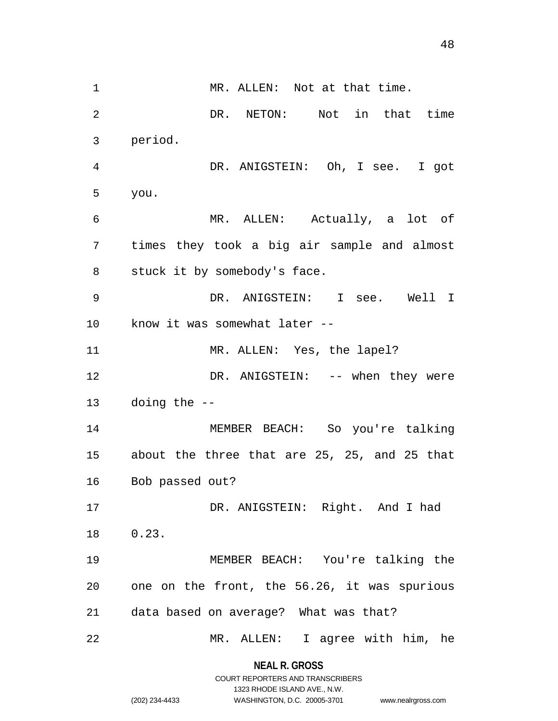1 MR. ALLEN: Not at that time. DR. NETON: Not in that time

4 5 6 7 8 9 10 11 12 13 14 15 16 17 18 19 20 21 DR. ANIGSTEIN: Oh, I see. I got you. MR. ALLEN: Actually, a lot of times they took a big air sample and almost stuck it by somebody's face. DR. ANIGSTEIN: I see. Well I know it was somewhat later -- MR. ALLEN: Yes, the lapel? DR. ANIGSTEIN: -- when they were doing the -- MEMBER BEACH: So you're talking about the three that are 25, 25, and 25 that Bob passed out? DR. ANIGSTEIN: Right. And I had 0.23. MEMBER BEACH: You're talking the one on the front, the 56.26, it was spurious data based on average? What was that?

22 MR. ALLEN: I agree with him, he

> **NEAL R. GROSS** COURT REPORTERS AND TRANSCRIBERS

> > 1323 RHODE ISLAND AVE., N.W.

2

3

period.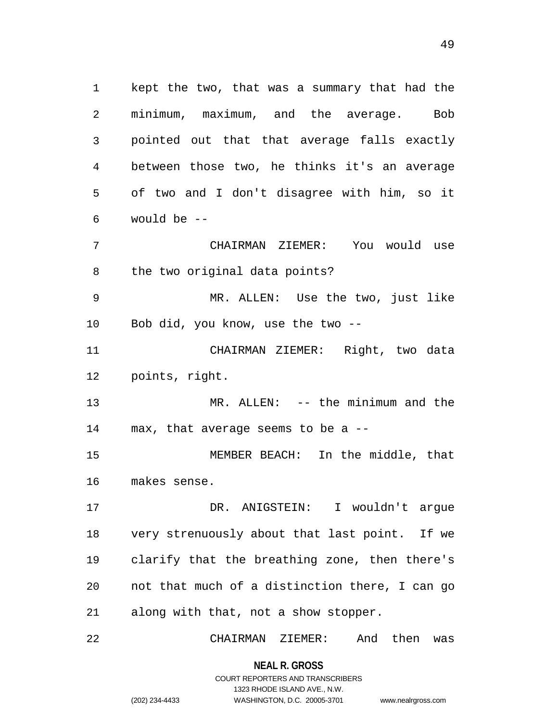1 kept the two, that was a summary that had the 2 3 4 5 6 7 minimum, maximum, and the average. Bob pointed out that that average falls exactly between those two, he thinks it's an average of two and I don't disagree with him, so it would be -- CHAIRMAN ZIEMER: You would use

8 the two original data points?

9 10 MR. ALLEN: Use the two, just like Bob did, you know, use the two --

11 12 CHAIRMAN ZIEMER: Right, two data points, right.

13 14 MR. ALLEN: -- the minimum and the max, that average seems to be a --

15 16 MEMBER BEACH: In the middle, that makes sense.

17 18 19 20 21 DR. ANIGSTEIN: I wouldn't arque very strenuously about that last point. If we clarify that the breathing zone, then there's not that much of a distinction there, I can go along with that, not a show stopper.

22 CHAIRMAN ZIEMER: And then was

> **NEAL R. GROSS** COURT REPORTERS AND TRANSCRIBERS

> > 1323 RHODE ISLAND AVE., N.W.

(202) 234-4433 WASHINGTON, D.C. 20005-3701 www.nealrgross.com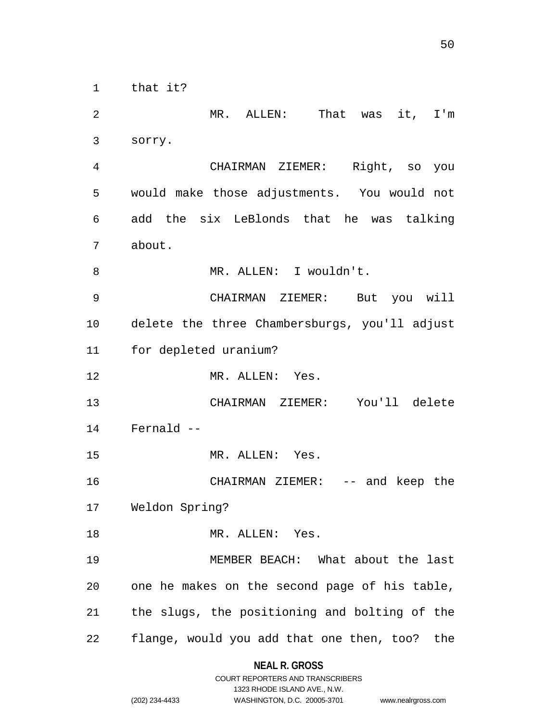1 that it?

2 3 4 5 6 7 8 9 10 11 12 13 14 15 16 17 18 19 20 21 22 MR. ALLEN: That was it, I'm sorry. CHAIRMAN ZIEMER: Right, so you would make those adjustments. You would not add the six LeBlonds that he was talking about. MR. ALLEN: I wouldn't. CHAIRMAN ZIEMER: But you will delete the three Chambersburgs, you'll adjust for depleted uranium? MR. ALLEN: Yes. CHAIRMAN ZIEMER: You'll delete Fernald -- MR. ALLEN: Yes. CHAIRMAN ZIEMER: -- and keep the Weldon Spring? MR. ALLEN: Yes. MEMBER BEACH: What about the last one he makes on the second page of his table, the slugs, the positioning and bolting of the flange, would you add that one then, too? the

## **NEAL R. GROSS** COURT REPORTERS AND TRANSCRIBERS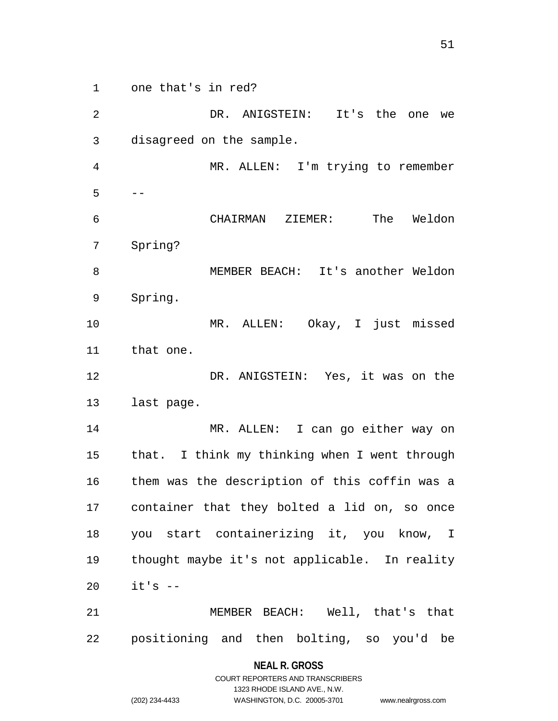1 one that's in red?

2 3 4 5 6 7 8 9 10 11 12 13 14 15 16 17 18 19 20 21 DR. ANIGSTEIN: It's the one we disagreed on the sample. MR. ALLEN: I'm trying to remember -- CHAIRMAN ZIEMER: The Weldon Spring? MEMBER BEACH: It's another Weldon Spring. MR. ALLEN: Okay, I just missed that one. DR. ANIGSTEIN: Yes, it was on the last page. MR. ALLEN: I can go either way on that. I think my thinking when I went through them was the description of this coffin was a container that they bolted a lid on, so once you start containerizing it, you know, I thought maybe it's not applicable. In reality  $it's$   $-$ MEMBER BEACH: Well, that's that

22 positioning and then bolting, so you'd be

> **NEAL R. GROSS** COURT REPORTERS AND TRANSCRIBERS

> > 1323 RHODE ISLAND AVE., N.W.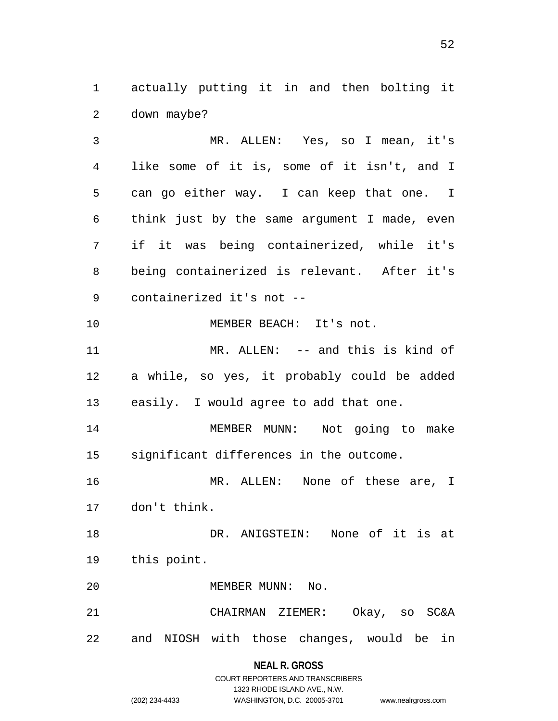1 actually putting it in and then bolting it 2 down maybe?

3 4 5 6 7 8 9 10 MR. ALLEN: Yes, so I mean, it's like some of it is, some of it isn't, and I can go either way. I can keep that one. I think just by the same argument I made, even if it was being containerized, while it's being containerized is relevant. After it's containerized it's not -- MEMBER BEACH: It's not.

11 12 13 MR. ALLEN: -- and this is kind of a while, so yes, it probably could be added easily. I would agree to add that one.

14 15 MEMBER MUNN: Not going to make significant differences in the outcome.

16 17 MR. ALLEN: None of these are, I don't think.

18 19 DR. ANIGSTEIN: None of it is at this point.

20 MEMBER MUNN: No.

21 22 CHAIRMAN ZIEMER: Okay, so SC&A and NIOSH with those changes, would be in

**NEAL R. GROSS**

|                | COURT REPORTERS AND TRANSCRIBERS |                    |
|----------------|----------------------------------|--------------------|
|                | 1323 RHODE ISLAND AVE N.W.       |                    |
| (202) 234-4433 | WASHINGTON, D.C. 20005-3701      | www.nealrgross.com |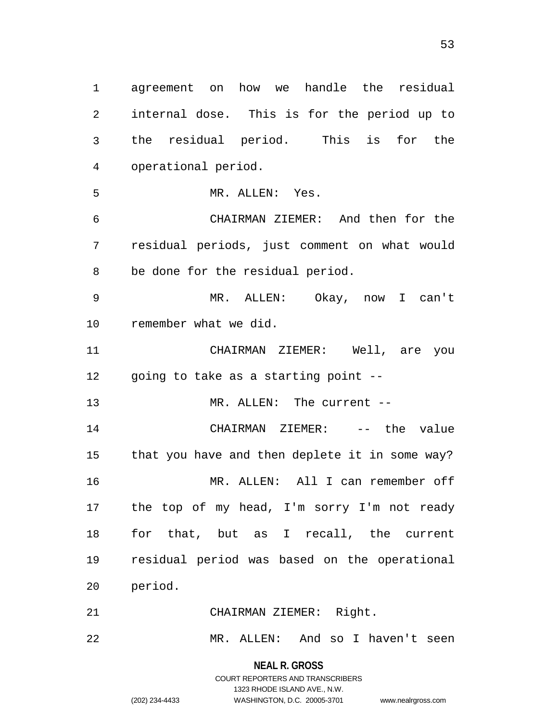1 agreement on how we handle the residual 2 3 4 5 6 7 8 9 10 11 12 13 14 15 16 17 18 19 20 21 22 internal dose. This is for the period up to the residual period. This is for the operational period. MR. ALLEN: Yes. CHAIRMAN ZIEMER: And then for the residual periods, just comment on what would be done for the residual period. MR. ALLEN: Okay, now I can't remember what we did. CHAIRMAN ZIEMER: Well, are you going to take as a starting point -- MR. ALLEN: The current -- CHAIRMAN ZIEMER: -- the value that you have and then deplete it in some way? MR. ALLEN: All I can remember off the top of my head, I'm sorry I'm not ready for that, but as I recall, the current residual period was based on the operational period. CHAIRMAN ZIEMER: Right. MR. ALLEN: And so I haven't seen

> **NEAL R. GROSS** COURT REPORTERS AND TRANSCRIBERS 1323 RHODE ISLAND AVE., N.W. (202) 234-4433 WASHINGTON, D.C. 20005-3701 www.nealrgross.com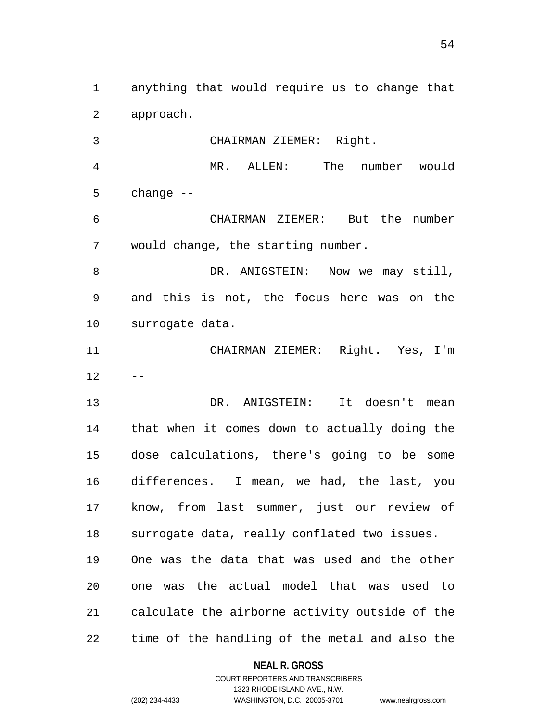1 anything that would require us to change that 2 approach.

3 CHAIRMAN ZIEMER: Right.

4 5 MR. ALLEN: The number would change --

6 7 CHAIRMAN ZIEMER: But the number would change, the starting number.

8 9 10 DR. ANIGSTEIN: Now we may still, and this is not, the focus here was on the surrogate data.

11 12 CHAIRMAN ZIEMER: Right. Yes, I'm --

13 14 15 16 17 18 19 20 21 22 DR. ANIGSTEIN: It doesn't mean that when it comes down to actually doing the dose calculations, there's going to be some differences. I mean, we had, the last, you know, from last summer, just our review of surrogate data, really conflated two issues. One was the data that was used and the other one was the actual model that was used to calculate the airborne activity outside of the time of the handling of the metal and also the

#### **NEAL R. GROSS**

COURT REPORTERS AND TRANSCRIBERS 1323 RHODE ISLAND AVE., N.W. (202) 234-4433 WASHINGTON, D.C. 20005-3701 www.nealrgross.com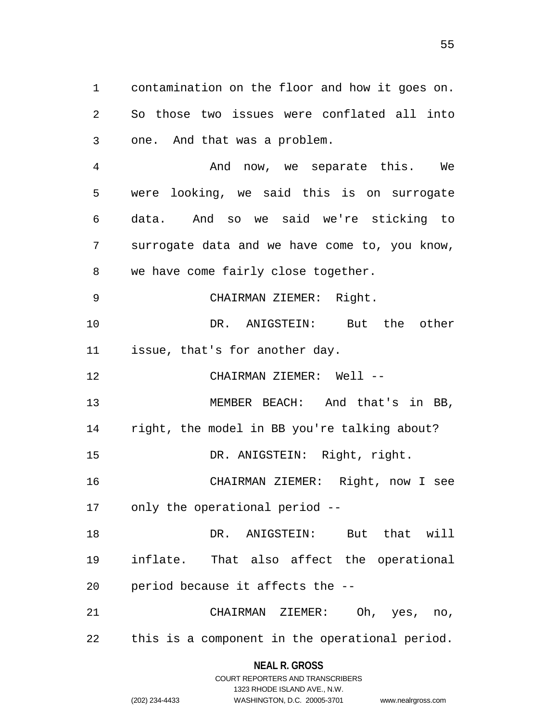1 contamination on the floor and how it goes on. 2 3 4 5 6 7 8 9 10 11 12 13 14 15 16 17 18 So those two issues were conflated all into one. And that was a problem. And now, we separate this. We were looking, we said this is on surrogate data. And so we said we're sticking to surrogate data and we have come to, you know, we have come fairly close together. CHAIRMAN ZIEMER: Right. DR. ANIGSTEIN: But the other issue, that's for another day. CHAIRMAN ZIEMER: Well -- MEMBER BEACH: And that's in BB, right, the model in BB you're talking about? DR. ANIGSTEIN: Right, right. CHAIRMAN ZIEMER: Right, now I see only the operational period -- DR. ANIGSTEIN: But that will

19 20 inflate. That also affect the operational period because it affects the --

21 22 CHAIRMAN ZIEMER: Oh, yes, no, this is a component in the operational period.

## **NEAL R. GROSS** COURT REPORTERS AND TRANSCRIBERS

1323 RHODE ISLAND AVE., N.W.

(202) 234-4433 WASHINGTON, D.C. 20005-3701 www.nealrgross.com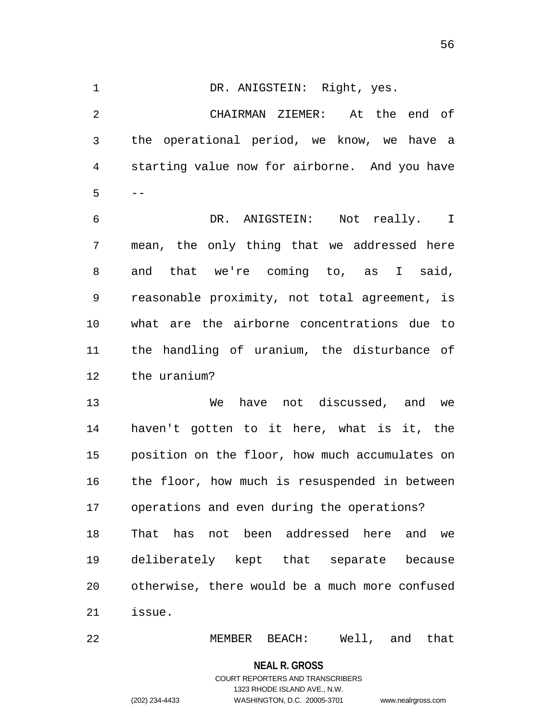56

1 DR. ANIGSTEIN: Right, yes. 2 3 4 5 6 7 8 9 10 11 12 13 14 15 16 17 18 19 20 21 CHAIRMAN ZIEMER: At the end of the operational period, we know, we have a starting value now for airborne. And you have -- DR. ANIGSTEIN: Not really. I mean, the only thing that we addressed here and that we're coming to, as I said, reasonable proximity, not total agreement, is what are the airborne concentrations due to the handling of uranium, the disturbance of the uranium? We have not discussed, and we haven't gotten to it here, what is it, the position on the floor, how much accumulates on the floor, how much is resuspended in between operations and even during the operations? That has not been addressed here and we deliberately kept that separate because otherwise, there would be a much more confused issue.

22 MEMBER BEACH: Well, and that

**NEAL R. GROSS**

## COURT REPORTERS AND TRANSCRIBERS 1323 RHODE ISLAND AVE., N.W. (202) 234-4433 WASHINGTON, D.C. 20005-3701 www.nealrgross.com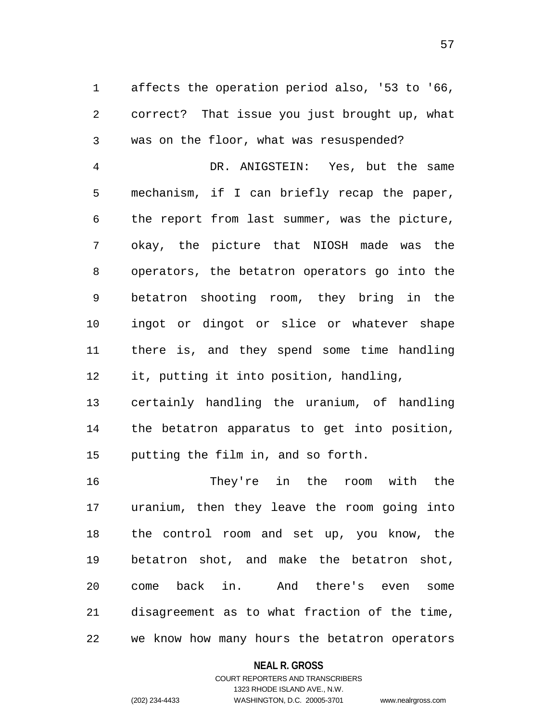1 affects the operation period also, '53 to '66, 2 3 correct? That issue you just brought up, what was on the floor, what was resuspended?

4 5 6 7 8 9 10 11 12 DR. ANIGSTEIN: Yes, but the same mechanism, if I can briefly recap the paper, the report from last summer, was the picture, okay, the picture that NIOSH made was the operators, the betatron operators go into the betatron shooting room, they bring in the ingot or dingot or slice or whatever shape there is, and they spend some time handling it, putting it into position, handling,

13 14 15 certainly handling the uranium, of handling the betatron apparatus to get into position, putting the film in, and so forth.

16 17 18 19 20 21 22 They're in the room with the uranium, then they leave the room going into the control room and set up, you know, the betatron shot, and make the betatron shot, come back in. And there's even some disagreement as to what fraction of the time, we know how many hours the betatron operators

#### **NEAL R. GROSS**

## COURT REPORTERS AND TRANSCRIBERS 1323 RHODE ISLAND AVE., N.W. (202) 234-4433 WASHINGTON, D.C. 20005-3701 www.nealrgross.com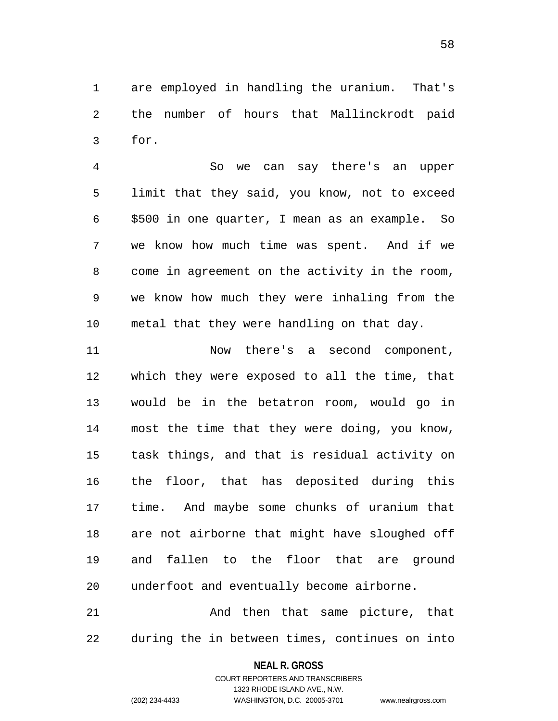1 are employed in handling the uranium. That's 2 3 the number of hours that Mallinckrodt paid for.

4 5 6 7 8 9 10 So we can say there's an upper limit that they said, you know, not to exceed \$500 in one quarter, I mean as an example. So we know how much time was spent. And if we come in agreement on the activity in the room, we know how much they were inhaling from the metal that they were handling on that day.

11 12 13 14 15 16 17 18 19 20 Now there's a second component, which they were exposed to all the time, that would be in the betatron room, would go in most the time that they were doing, you know, task things, and that is residual activity on the floor, that has deposited during this time. And maybe some chunks of uranium that are not airborne that might have sloughed off and fallen to the floor that are ground underfoot and eventually become airborne.

21 22 And then that same picture, that during the in between times, continues on into

## **NEAL R. GROSS** COURT REPORTERS AND TRANSCRIBERS

1323 RHODE ISLAND AVE., N.W. (202) 234-4433 WASHINGTON, D.C. 20005-3701 www.nealrgross.com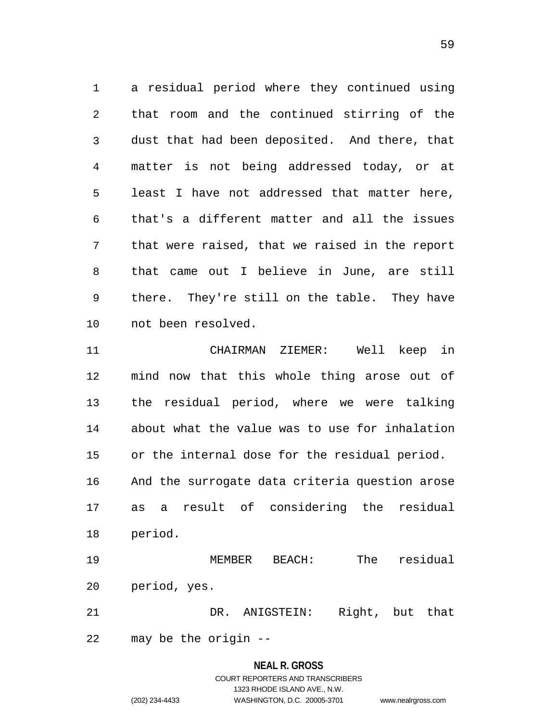1 a residual period where they continued using 2 3 4 5 6 7 8 9 10 that room and the continued stirring of the dust that had been deposited. And there, that matter is not being addressed today, or at least I have not addressed that matter here, that's a different matter and all the issues that were raised, that we raised in the report that came out I believe in June, are still there. They're still on the table. They have not been resolved.

11 12 13 14 15 16 17 18 CHAIRMAN ZIEMER: Well keep in mind now that this whole thing arose out of the residual period, where we were talking about what the value was to use for inhalation or the internal dose for the residual period. And the surrogate data criteria question arose as a result of considering the residual period.

19 20 MEMBER BEACH: The residual period, yes.

21 DR. ANIGSTEIN: Right, but that

22 may be the origin --

#### **NEAL R. GROSS**

## COURT REPORTERS AND TRANSCRIBERS 1323 RHODE ISLAND AVE., N.W. (202) 234-4433 WASHINGTON, D.C. 20005-3701 www.nealrgross.com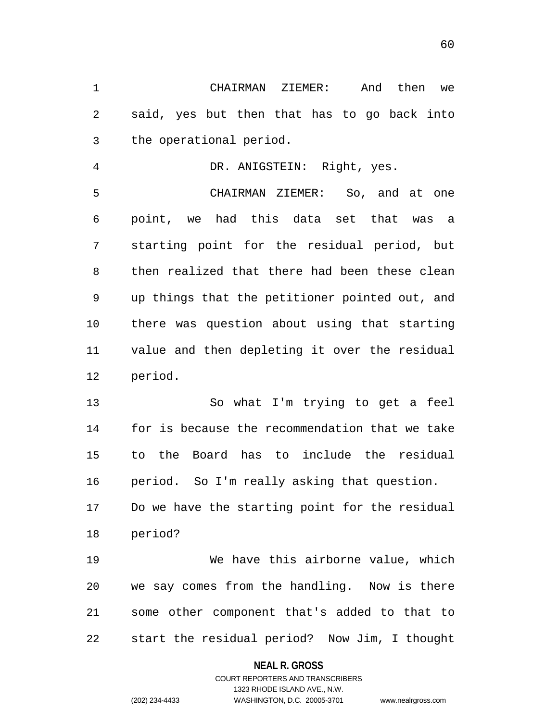1 CHAIRMAN ZIEMER: And then we 2 3 said, yes but then that has to go back into the operational period.

4 5 6 7 8 9 10 11 12 DR. ANIGSTEIN: Right, yes. CHAIRMAN ZIEMER: So, and at one point, we had this data set that was a starting point for the residual period, but then realized that there had been these clean up things that the petitioner pointed out, and there was question about using that starting value and then depleting it over the residual period.

13 14 15 16 So what I'm trying to get a feel for is because the recommendation that we take to the Board has to include the residual period. So I'm really asking that question.

17 18 Do we have the starting point for the residual period?

19 20 21 22 We have this airborne value, which we say comes from the handling. Now is there some other component that's added to that to start the residual period? Now Jim, I thought

#### **NEAL R. GROSS**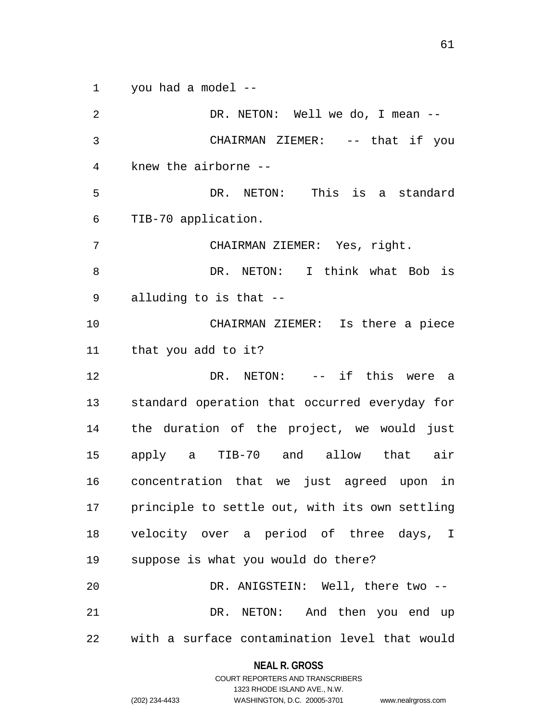1 you had a model --

2 3 4 5 6 7 8 9 10 11 12 13 14 15 16 17 18 19 20 21 22 DR. NETON: Well we do, I mean -- CHAIRMAN ZIEMER: -- that if you knew the airborne -- DR. NETON: This is a standard TIB-70 application. CHAIRMAN ZIEMER: Yes, right. DR. NETON: I think what Bob is alluding to is that -- CHAIRMAN ZIEMER: Is there a piece that you add to it? DR. NETON: -- if this were a standard operation that occurred everyday for the duration of the project, we would just apply a TIB-70 and allow that air concentration that we just agreed upon in principle to settle out, with its own settling velocity over a period of three days, I suppose is what you would do there? DR. ANIGSTEIN: Well, there two --DR. NETON: And then you end up with a surface contamination level that would

#### **NEAL R. GROSS**

COURT REPORTERS AND TRANSCRIBERS 1323 RHODE ISLAND AVE., N.W. (202) 234-4433 WASHINGTON, D.C. 20005-3701 www.nealrgross.com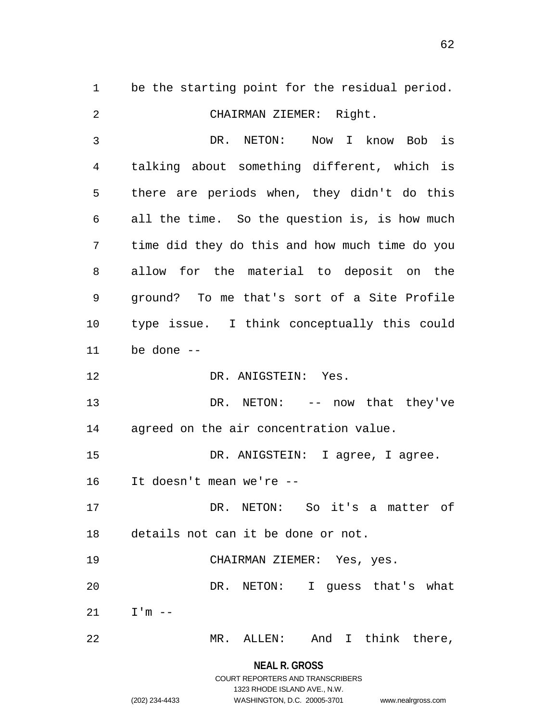1 be the starting point for the residual period. 2 3 4 5 6 7 8 9 10 11 12 13 14 15 16 17 18 19 20 21 CHAIRMAN ZIEMER: Right. DR. NETON: Now I know Bob is talking about something different, which is there are periods when, they didn't do this all the time. So the question is, is how much time did they do this and how much time do you allow for the material to deposit on the ground? To me that's sort of a Site Profile type issue. I think conceptually this could be done -- DR. ANIGSTEIN: Yes. DR. NETON: -- now that they've agreed on the air concentration value. DR. ANIGSTEIN: I agree, I agree. It doesn't mean we're -- DR. NETON: So it's a matter of details not can it be done or not. CHAIRMAN ZIEMER: Yes, yes. DR. NETON: I quess that's what  $I'm$  --

22 MR. ALLEN: And I think there,

> **NEAL R. GROSS** COURT REPORTERS AND TRANSCRIBERS

> > 1323 RHODE ISLAND AVE., N.W.

(202) 234-4433 WASHINGTON, D.C. 20005-3701 www.nealrgross.com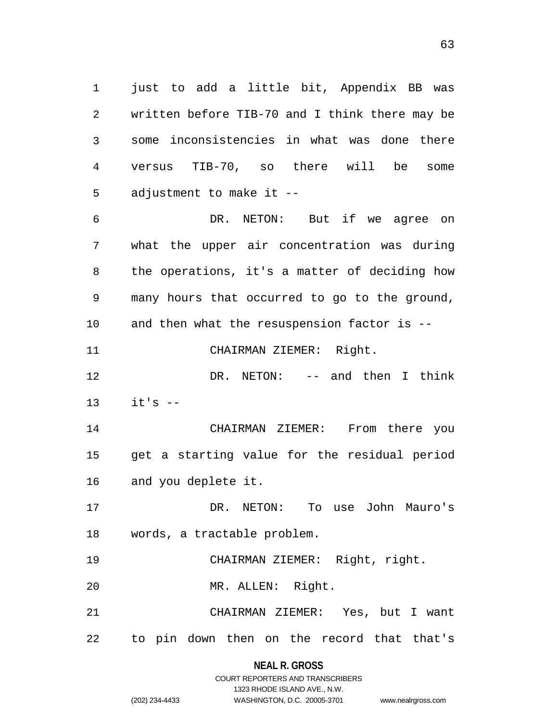1 just to add a little bit, Appendix BB was 2 3 4 5 written before TIB-70 and I think there may be some inconsistencies in what was done there versus TIB-70, so there will be some adjustment to make it --

6 7 8 9 10 11 DR. NETON: But if we agree on what the upper air concentration was during the operations, it's a matter of deciding how many hours that occurred to go to the ground, and then what the resuspension factor is -- CHAIRMAN ZIEMER: Right.

12 13 DR. NETON: -- and then I think  $it's$   $-$ 

14 15 16 CHAIRMAN ZIEMER: From there you get a starting value for the residual period and you deplete it.

17 18 DR. NETON: To use John Mauro's words, a tractable problem.

19 CHAIRMAN ZIEMER: Right, right.

20 MR. ALLEN: Right.

21 22 CHAIRMAN ZIEMER: Yes, but I want to pin down then on the record that that's

> **NEAL R. GROSS** COURT REPORTERS AND TRANSCRIBERS

> > 1323 RHODE ISLAND AVE., N.W.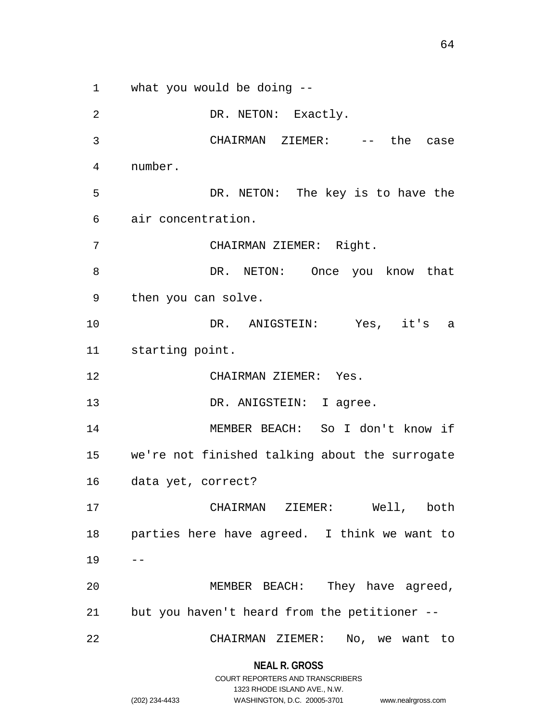1 what you would be doing -- 2 3 4 5 6 7 8 9 10 11 12 13 14 15 16 17 18 19 20 DR. NETON: Exactly. CHAIRMAN ZIEMER: -- the case number. DR. NETON: The key is to have the air concentration. CHAIRMAN ZIEMER: Right. DR. NETON: Once you know that then you can solve. DR. ANIGSTEIN: Yes, it's a starting point. CHAIRMAN ZIEMER: Yes. DR. ANIGSTEIN: I agree. MEMBER BEACH: So I don't know if we're not finished talking about the surrogate data yet, correct? CHAIRMAN ZIEMER: Well, both parties here have agreed. I think we want to -- MEMBER BEACH: They have agreed,

21 but you haven't heard from the petitioner --

22 CHAIRMAN ZIEMER: No, we want to

> **NEAL R. GROSS** COURT REPORTERS AND TRANSCRIBERS

> > 1323 RHODE ISLAND AVE., N.W.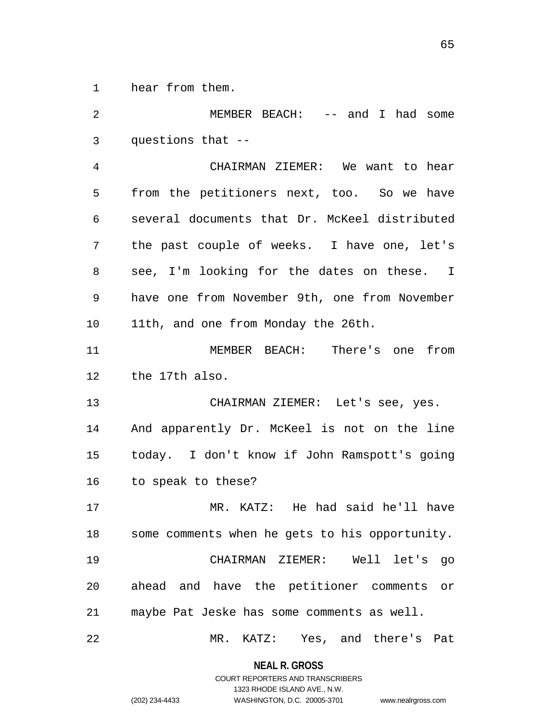1 hear from them.

2 3 4 5 6 7 8 9 10 11 12 13 14 15 16 17 18 19 20 21 22 MEMBER BEACH: -- and I had some questions that -- CHAIRMAN ZIEMER: We want to hear from the petitioners next, too. So we have several documents that Dr. McKeel distributed the past couple of weeks. I have one, let's see, I'm looking for the dates on these. I have one from November 9th, one from November 11th, and one from Monday the 26th. MEMBER BEACH: There's one from the 17th also. CHAIRMAN ZIEMER: Let's see, yes. And apparently Dr. McKeel is not on the line today. I don't know if John Ramspott's going to speak to these? MR. KATZ: He had said he'll have some comments when he gets to his opportunity. CHAIRMAN ZIEMER: Well let's go ahead and have the petitioner comments or maybe Pat Jeske has some comments as well. MR. KATZ: Yes, and there's Pat

**NEAL R. GROSS**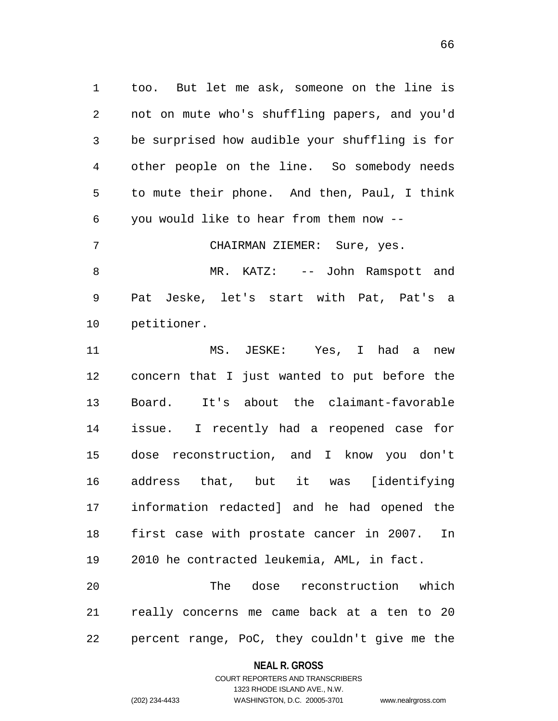1 too. But let me ask, someone on the line is 2 3 4 5 6 not on mute who's shuffling papers, and you'd be surprised how audible your shuffling is for other people on the line. So somebody needs to mute their phone. And then, Paul, I think you would like to hear from them now --

7 8 9 10 CHAIRMAN ZIEMER: Sure, yes. MR. KATZ: -- John Ramspott and Pat Jeske, let's start with Pat, Pat's a petitioner.

11 12 13 14 15 16 17 18 19 MS. JESKE: Yes, I had a new concern that I just wanted to put before the Board. It's about the claimant-favorable issue. I recently had a reopened case for dose reconstruction, and I know you don't address that, but it was [identifying information redacted] and he had opened the first case with prostate cancer in 2007. In 2010 he contracted leukemia, AML, in fact.

20 21 22 The dose reconstruction which really concerns me came back at a ten to 20 percent range, PoC, they couldn't give me the

#### **NEAL R. GROSS**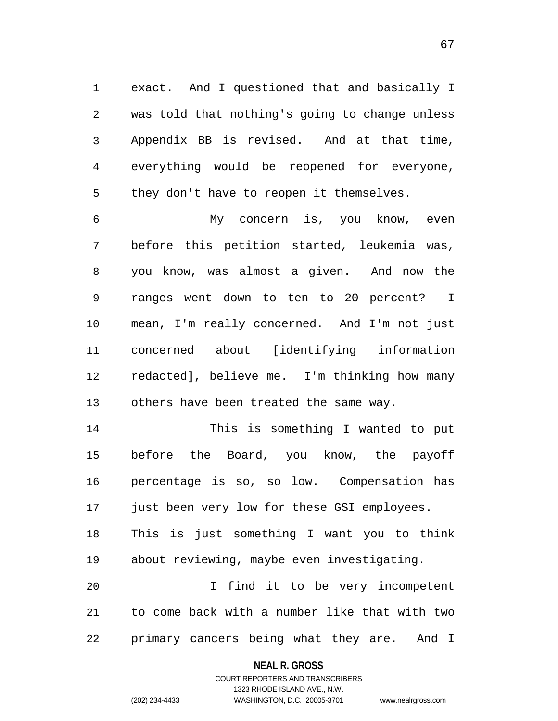1 exact. And I questioned that and basically I 2 3 4 5 was told that nothing's going to change unless Appendix BB is revised. And at that time, everything would be reopened for everyone, they don't have to reopen it themselves.

6 7 8 9 10 11 12 13 My concern is, you know, even before this petition started, leukemia was, you know, was almost a given. And now the ranges went down to ten to 20 percent? I mean, I'm really concerned. And I'm not just concerned about [identifying information redacted], believe me. I'm thinking how many others have been treated the same way.

14 15 16 17 18 19 20 This is something I wanted to put before the Board, you know, the payoff percentage is so, so low. Compensation has just been very low for these GSI employees. This is just something I want you to think about reviewing, maybe even investigating. I find it to be very incompetent

21 22 to come back with a number like that with two primary cancers being what they are. And I

> **NEAL R. GROSS** COURT REPORTERS AND TRANSCRIBERS

> > 1323 RHODE ISLAND AVE., N.W.

(202) 234-4433 WASHINGTON, D.C. 20005-3701 www.nealrgross.com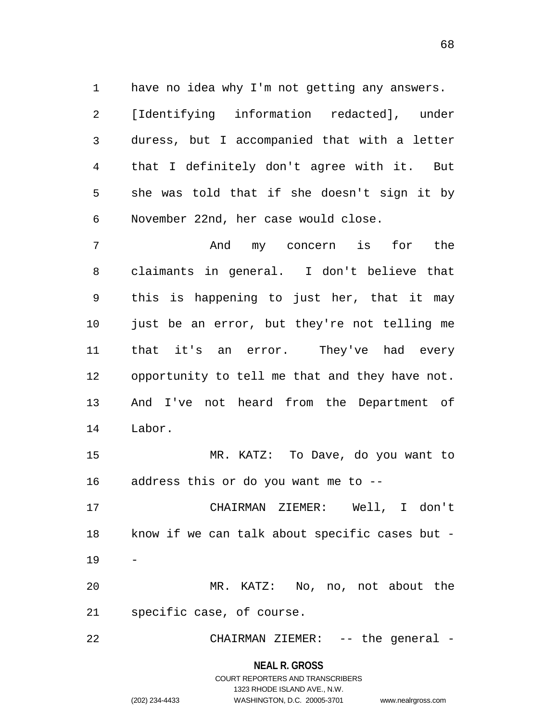1 have no idea why I'm not getting any answers. 2 3 4 5 6 [Identifying information redacted], under duress, but I accompanied that with a letter that I definitely don't agree with it. But she was told that if she doesn't sign it by November 22nd, her case would close.

7 8 9 10 11 12 13 14 And my concern is for the claimants in general. I don't believe that this is happening to just her, that it may just be an error, but they're not telling me that it's an error. They've had every opportunity to tell me that and they have not. And I've not heard from the Department of Labor.

15 16 MR. KATZ: To Dave, do you want to address this or do you want me to --

17 18 19 20 CHAIRMAN ZIEMER: Well, I don't know if we can talk about specific cases but - - MR. KATZ: No, no, not about the

21 specific case, of course.

22 CHAIRMAN ZIEMER: -- the general -

**NEAL R. GROSS**

## COURT REPORTERS AND TRANSCRIBERS 1323 RHODE ISLAND AVE., N.W. (202) 234-4433 WASHINGTON, D.C. 20005-3701 www.nealrgross.com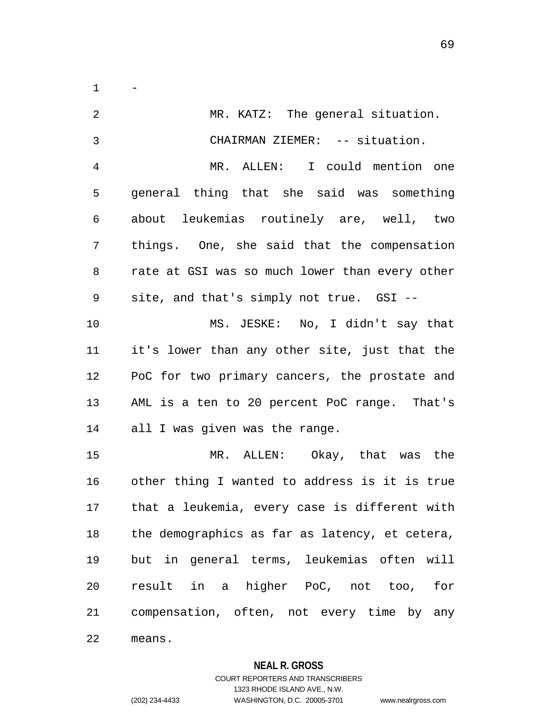$1 -$ 

| $\overline{2}$ | MR. KATZ: The general situation.               |
|----------------|------------------------------------------------|
| $\mathfrak{Z}$ | CHAIRMAN ZIEMER: -- situation.                 |
| 4              | MR. ALLEN: I could mention one                 |
| 5              | general thing that she said was something      |
| 6              | about leukemias routinely are, well, two       |
| 7              | things. One, she said that the compensation    |
| 8              | rate at GSI was so much lower than every other |
| 9              | site, and that's simply not true. GSI --       |
| 10             | MS. JESKE: No, I didn't say that               |
| 11             | it's lower than any other site, just that the  |
| 12             | PoC for two primary cancers, the prostate and  |
| 13             | AML is a ten to 20 percent PoC range. That's   |
| 14             | all I was given was the range.                 |
| 15             | MR. ALLEN: Okay, that was the                  |
| 16             | other thing I wanted to address is it is true  |
| 17             | that a leukemia, every case is different with  |
| 18             | the demographics as far as latency, et cetera, |
| 19             | but in general terms, leukemias often will     |
| 20             | result in a higher PoC, not too,<br>for        |
| 21             | compensation, often, not every time by any     |
| 22             | means.                                         |

# **NEAL R. GROSS**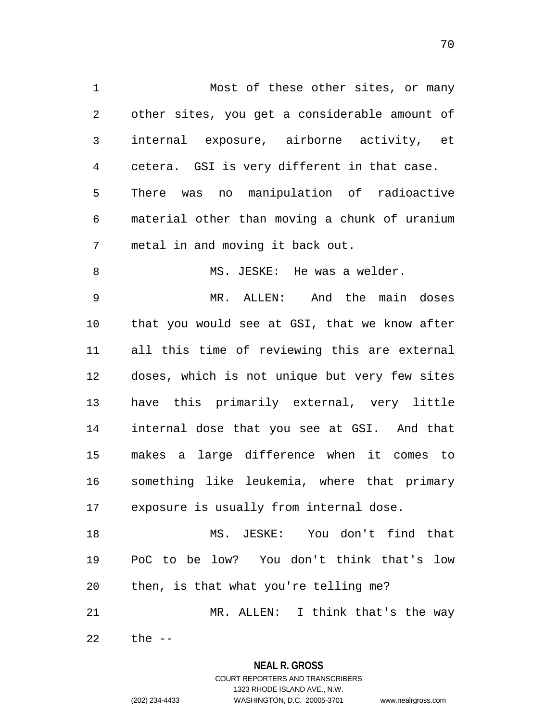1 Most of these other sites, or many 2 3 4 5 6 7 8 9 10 11 12 13 14 15 16 17 18 19 other sites, you get a considerable amount of internal exposure, airborne activity, et cetera. GSI is very different in that case. There was no manipulation of radioactive material other than moving a chunk of uranium metal in and moving it back out. MS. JESKE: He was a welder. MR. ALLEN: And the main doses that you would see at GSI, that we know after all this time of reviewing this are external doses, which is not unique but very few sites have this primarily external, very little internal dose that you see at GSI. And that makes a large difference when it comes to something like leukemia, where that primary exposure is usually from internal dose. MS. JESKE: You don't find that PoC to be low? You don't think that's low

21 MR. ALLEN: I think that's the way

then, is that what you're telling me?

22 the  $--$ 

20

#### **NEAL R. GROSS**

COURT REPORTERS AND TRANSCRIBERS 1323 RHODE ISLAND AVE., N.W. (202) 234-4433 WASHINGTON, D.C. 20005-3701 www.nealrgross.com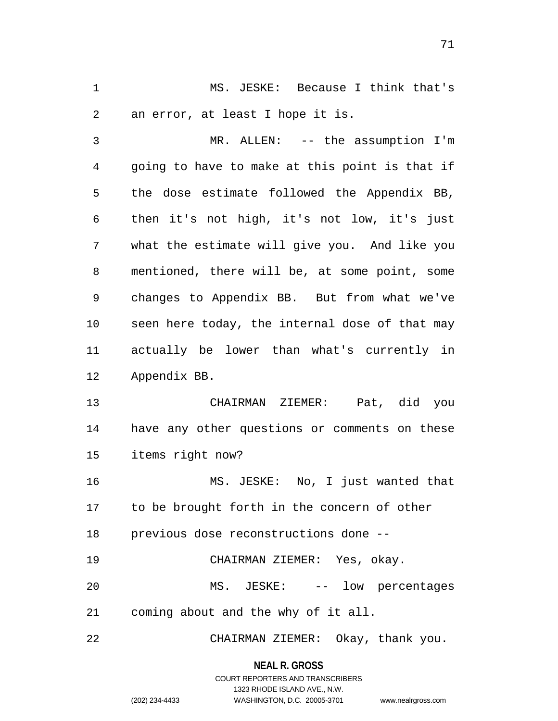1 MS. JESKE: Because I think that's 2 an error, at least I hope it is.

3 4 5 6 7 8 9 10 11 12 MR. ALLEN: -- the assumption I'm going to have to make at this point is that if the dose estimate followed the Appendix BB, then it's not high, it's not low, it's just what the estimate will give you. And like you mentioned, there will be, at some point, some changes to Appendix BB. But from what we've seen here today, the internal dose of that may actually be lower than what's currently in Appendix BB.

13 14 15 CHAIRMAN ZIEMER: Pat, did you have any other questions or comments on these items right now?

16 17 18 MS. JESKE: No, I just wanted that to be brought forth in the concern of other previous dose reconstructions done --

19 20 21 CHAIRMAN ZIEMER: Yes, okay. MS. JESKE: -- low percentages coming about and the why of it all.

22 CHAIRMAN ZIEMER: Okay, thank you.

#### **NEAL R. GROSS**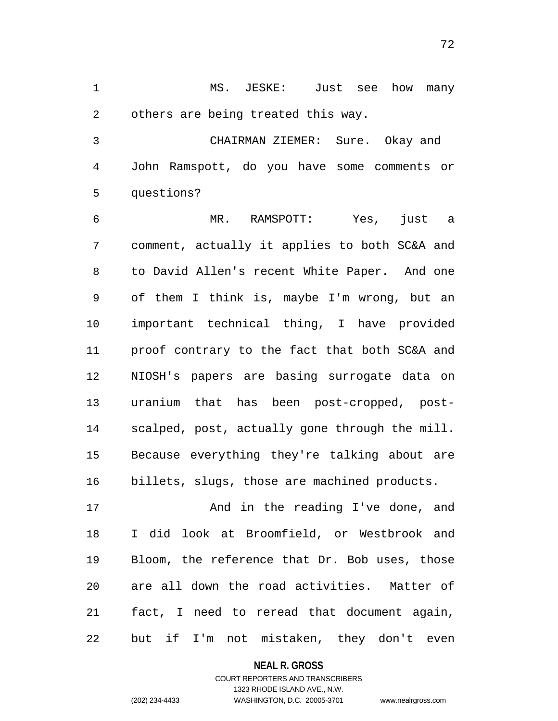1 MS. JESKE: Just see how many 2 others are being treated this way.

3 4 5 CHAIRMAN ZIEMER: Sure. Okay and John Ramspott, do you have some comments or questions?

6 7 8 9 10 11 12 13 14 15 16 MR. RAMSPOTT: Yes, just a comment, actually it applies to both SC&A and to David Allen's recent White Paper. And one of them I think is, maybe I'm wrong, but an important technical thing, I have provided proof contrary to the fact that both SC&A and NIOSH's papers are basing surrogate data on uranium that has been post-cropped, postscalped, post, actually gone through the mill. Because everything they're talking about are billets, slugs, those are machined products.

17 18 19 20 21 22 And in the reading I've done, and I did look at Broomfield, or Westbrook and Bloom, the reference that Dr. Bob uses, those are all down the road activities. Matter of fact, I need to reread that document again, but if I'm not mistaken, they don't even

#### **NEAL R. GROSS**

## COURT REPORTERS AND TRANSCRIBERS 1323 RHODE ISLAND AVE., N.W. (202) 234-4433 WASHINGTON, D.C. 20005-3701 www.nealrgross.com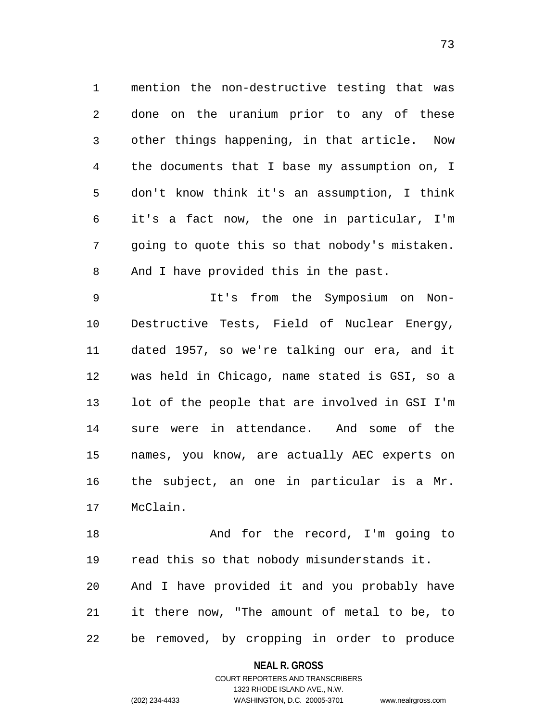1 mention the non-destructive testing that was 2 3 4 5 6 7 8 done on the uranium prior to any of these other things happening, in that article. Now the documents that I base my assumption on, I don't know think it's an assumption, I think it's a fact now, the one in particular, I'm going to quote this so that nobody's mistaken. And I have provided this in the past.

73

9 10 11 12 13 14 15 16 17 It's from the Symposium on Non-Destructive Tests, Field of Nuclear Energy, dated 1957, so we're talking our era, and it was held in Chicago, name stated is GSI, so a lot of the people that are involved in GSI I'm sure were in attendance. And some of the names, you know, are actually AEC experts on the subject, an one in particular is a Mr. McClain.

18 19 20 21 22 And for the record, I'm going to read this so that nobody misunderstands it. And I have provided it and you probably have it there now, "The amount of metal to be, to be removed, by cropping in order to produce

#### **NEAL R. GROSS**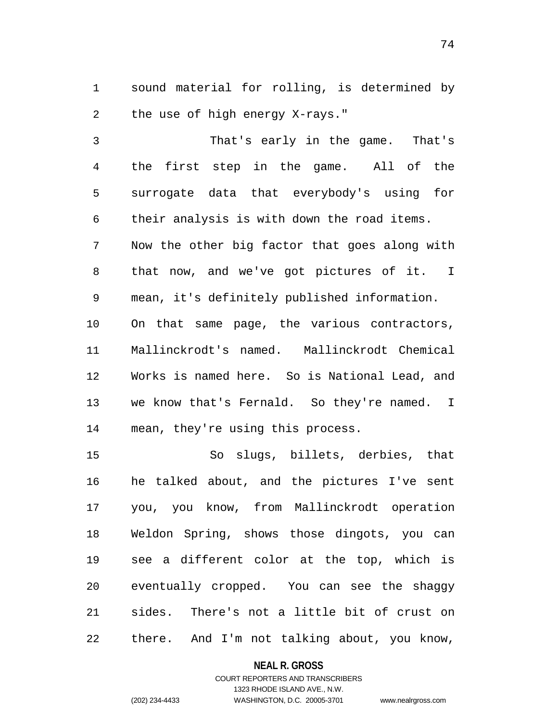1 sound material for rolling, is determined by 2 the use of high energy X-rays."

3 4 5 6 7 8 9 10 11 12 13 14 That's early in the game. That's the first step in the game. All of the surrogate data that everybody's using for their analysis is with down the road items. Now the other big factor that goes along with that now, and we've got pictures of it. I mean, it's definitely published information. On that same page, the various contractors, Mallinckrodt's named. Mallinckrodt Chemical Works is named here. So is National Lead, and we know that's Fernald. So they're named. I mean, they're using this process.

15 16 17 18 19 20 21 22 So slugs, billets, derbies, that he talked about, and the pictures I've sent you, you know, from Mallinckrodt operation Weldon Spring, shows those dingots, you can see a different color at the top, which is eventually cropped. You can see the shaggy sides. There's not a little bit of crust on there. And I'm not talking about, you know,

### **NEAL R. GROSS**

# COURT REPORTERS AND TRANSCRIBERS 1323 RHODE ISLAND AVE., N.W. (202) 234-4433 WASHINGTON, D.C. 20005-3701 www.nealrgross.com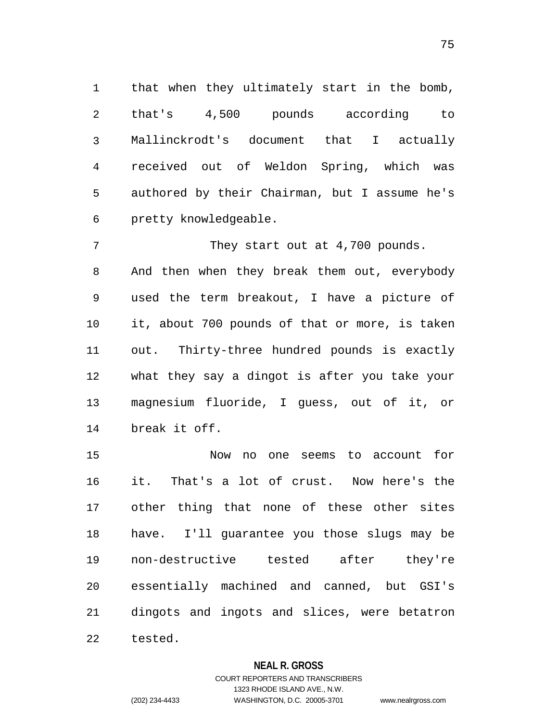1 that when they ultimately start in the bomb, 2 3 4 5 6 that's 4,500 pounds according to Mallinckrodt's document that I actually received out of Weldon Spring, which was authored by their Chairman, but I assume he's pretty knowledgeable.

7 8 9 10 11 12 13 14 They start out at 4,700 pounds. And then when they break them out, everybody used the term breakout, I have a picture of it, about 700 pounds of that or more, is taken out. Thirty-three hundred pounds is exactly what they say a dingot is after you take your magnesium fluoride, I guess, out of it, or break it off.

15 16 17 18 19 20 21 22 Now no one seems to account for it. That's a lot of crust. Now here's the other thing that none of these other sites have. I'll guarantee you those slugs may be non-destructive tested after they're essentially machined and canned, but GSI's dingots and ingots and slices, were betatron tested.

## **NEAL R. GROSS**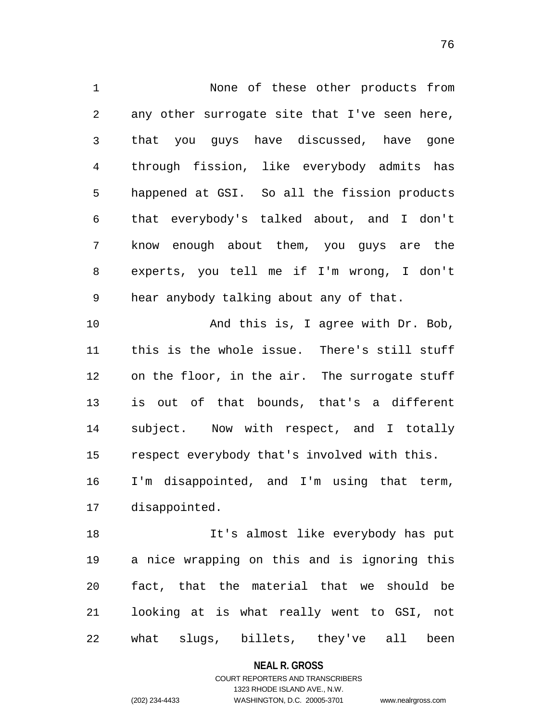1 None of these other products from 2 3 4 5 6 7 8 9 10 11 12 13 14 15 16 17 any other surrogate site that I've seen here, that you guys have discussed, have gone through fission, like everybody admits has happened at GSI. So all the fission products that everybody's talked about, and I don't know enough about them, you guys are the experts, you tell me if I'm wrong, I don't hear anybody talking about any of that. And this is, I agree with Dr. Bob, this is the whole issue. There's still stuff on the floor, in the air. The surrogate stuff is out of that bounds, that's a different subject. Now with respect, and I totally respect everybody that's involved with this. I'm disappointed, and I'm using that term, disappointed.

18 19 20 21 22 It's almost like everybody has put a nice wrapping on this and is ignoring this fact, that the material that we should be looking at is what really went to GSI, not what slugs, billets, they've all been

**NEAL R. GROSS**

COURT REPORTERS AND TRANSCRIBERS 1323 RHODE ISLAND AVE., N.W. (202) 234-4433 WASHINGTON, D.C. 20005-3701 www.nealrgross.com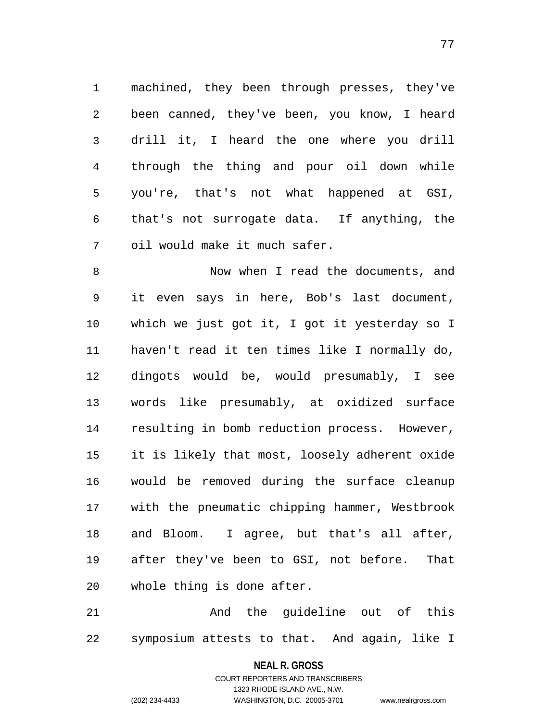1 machined, they been through presses, they've 2 3 4 5 6 7 been canned, they've been, you know, I heard drill it, I heard the one where you drill through the thing and pour oil down while you're, that's not what happened at GSI, that's not surrogate data. If anything, the oil would make it much safer.

8 9 10 11 12 13 14 15 16 17 18 19 20 Now when I read the documents, and it even says in here, Bob's last document, which we just got it, I got it yesterday so I haven't read it ten times like I normally do, dingots would be, would presumably, I see words like presumably, at oxidized surface resulting in bomb reduction process. However, it is likely that most, loosely adherent oxide would be removed during the surface cleanup with the pneumatic chipping hammer, Westbrook and Bloom. I agree, but that's all after, after they've been to GSI, not before. That whole thing is done after.

21 22 And the guideline out of this symposium attests to that. And again, like I

#### **NEAL R. GROSS**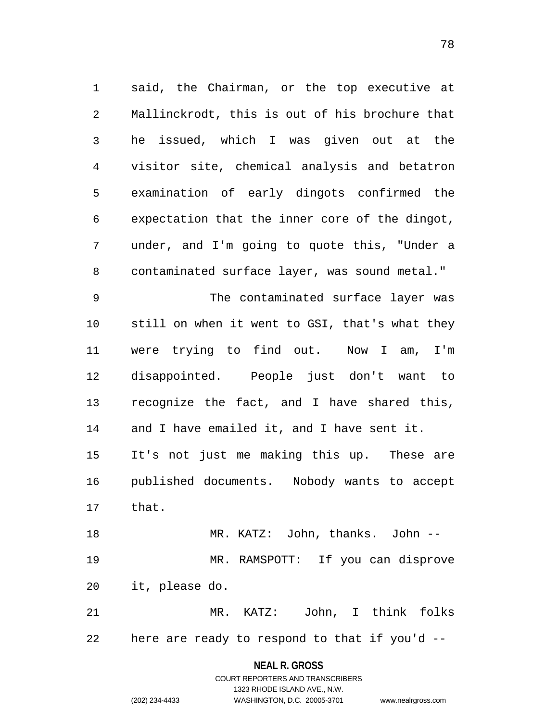1 said, the Chairman, or the top executive at 2 3 4 5 6 7 8 9 10 Mallinckrodt, this is out of his brochure that he issued, which I was given out at the visitor site, chemical analysis and betatron examination of early dingots confirmed the expectation that the inner core of the dingot, under, and I'm going to quote this, "Under a contaminated surface layer, was sound metal." The contaminated surface layer was still on when it went to GSI, that's what they

11 12 13 14 15 16 were trying to find out. Now I am, I'm disappointed. People just don't want to recognize the fact, and I have shared this, and I have emailed it, and I have sent it. It's not just me making this up. These are published documents. Nobody wants to accept

17 that.

18 19 20 MR. KATZ: John, thanks. John -- MR. RAMSPOTT: If you can disprove it, please do.

21 22 MR. KATZ: John, I think folks here are ready to respond to that if you'd --

### **NEAL R. GROSS**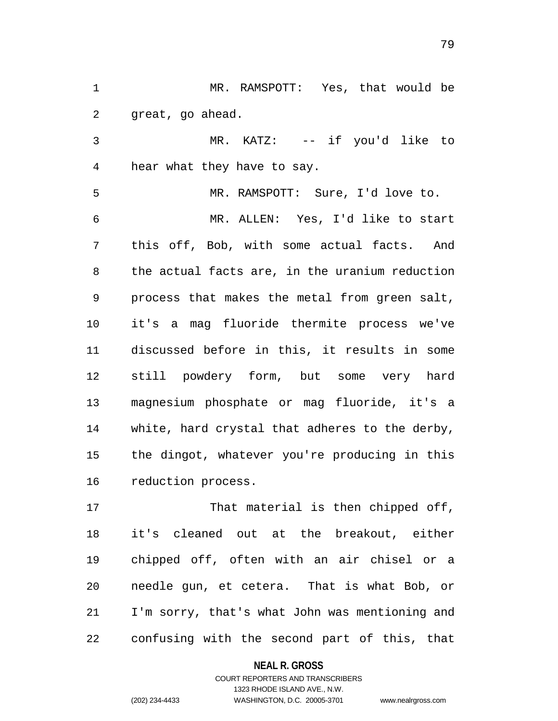1 MR. RAMSPOTT: Yes, that would be 2 great, go ahead.

3 4 MR. KATZ: -- if you'd like to hear what they have to say.

5 6 7 8 9 10 11 12 13 14 15 16 MR. RAMSPOTT: Sure, I'd love to. MR. ALLEN: Yes, I'd like to start this off, Bob, with some actual facts. And the actual facts are, in the uranium reduction process that makes the metal from green salt, it's a mag fluoride thermite process we've discussed before in this, it results in some still powdery form, but some very hard magnesium phosphate or mag fluoride, it's a white, hard crystal that adheres to the derby, the dingot, whatever you're producing in this reduction process.

17 18 19 20 21 22 That material is then chipped off, it's cleaned out at the breakout, either chipped off, often with an air chisel or a needle gun, et cetera. That is what Bob, or I'm sorry, that's what John was mentioning and confusing with the second part of this, that

**NEAL R. GROSS**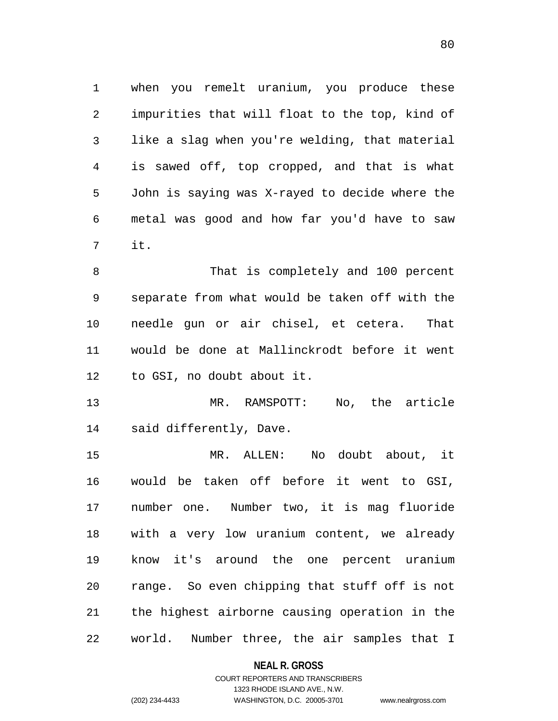1 when you remelt uranium, you produce these 2 3 4 5 6 7 impurities that will float to the top, kind of like a slag when you're welding, that material is sawed off, top cropped, and that is what John is saying was X-rayed to decide where the metal was good and how far you'd have to saw it.

8 9 10 11 12 That is completely and 100 percent separate from what would be taken off with the needle gun or air chisel, et cetera. That would be done at Mallinckrodt before it went to GSI, no doubt about it.

13 14 MR. RAMSPOTT: No, the article said differently, Dave.

15 16 17 18 19 20 21 22 MR. ALLEN: No doubt about, it would be taken off before it went to GSI, number one. Number two, it is mag fluoride with a very low uranium content, we already know it's around the one percent uranium range. So even chipping that stuff off is not the highest airborne causing operation in the world. Number three, the air samples that I

### **NEAL R. GROSS**

# COURT REPORTERS AND TRANSCRIBERS 1323 RHODE ISLAND AVE., N.W. (202) 234-4433 WASHINGTON, D.C. 20005-3701 www.nealrgross.com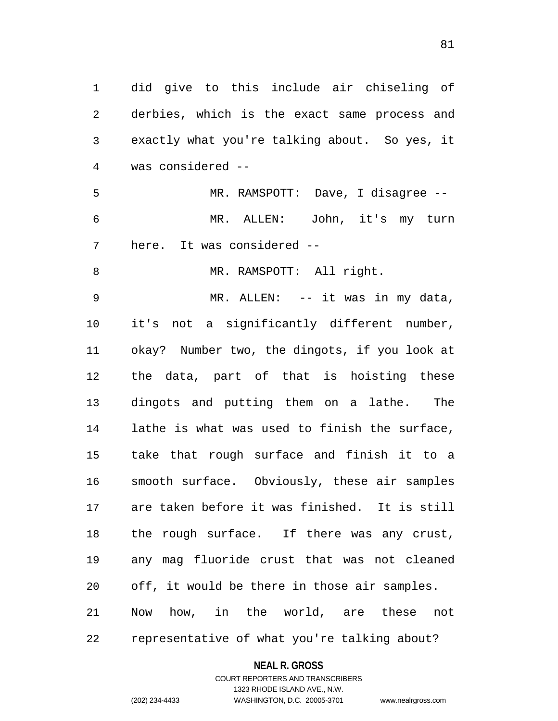1 did give to this include air chiseling of 2 3 4 5 6 7 8 9 10 11 12 13 14 15 16 derbies, which is the exact same process and exactly what you're talking about. So yes, it was considered -- MR. RAMSPOTT: Dave, I disagree -- MR. ALLEN: John, it's my turn here. It was considered -- MR. RAMSPOTT: All right. MR. ALLEN: -- it was in my data, it's not a significantly different number, okay? Number two, the dingots, if you look at the data, part of that is hoisting these dingots and putting them on a lathe. The lathe is what was used to finish the surface, take that rough surface and finish it to a smooth surface. Obviously, these air samples

17 18 19 20 21 22 are taken before it was finished. It is still the rough surface. If there was any crust, any mag fluoride crust that was not cleaned off, it would be there in those air samples. Now how, in the world, are these not representative of what you're talking about?

**NEAL R. GROSS**

# COURT REPORTERS AND TRANSCRIBERS 1323 RHODE ISLAND AVE., N.W. (202) 234-4433 WASHINGTON, D.C. 20005-3701 www.nealrgross.com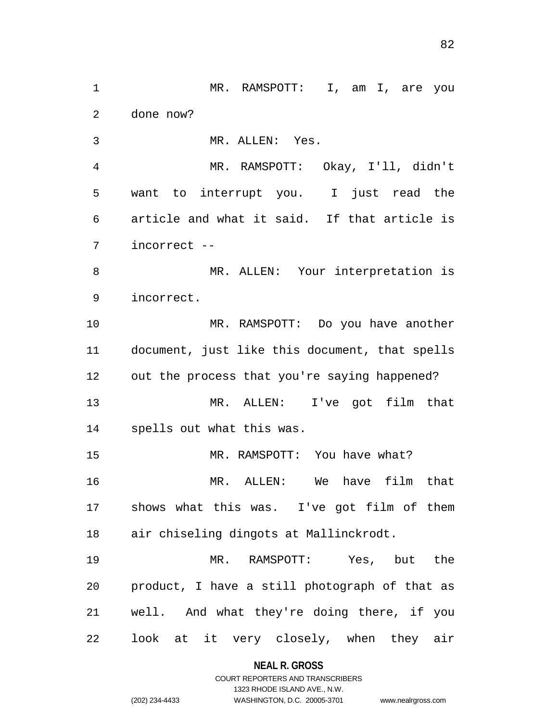1 MR. RAMSPOTT: I, am I, are you 2 3 4 5 6 7 8 9 10 11 12 13 14 15 16 17 18 19 20 21 22 done now? MR. ALLEN: Yes. MR. RAMSPOTT: Okay, I'll, didn't want to interrupt you. I just read the article and what it said. If that article is incorrect -- MR. ALLEN: Your interpretation is incorrect. MR. RAMSPOTT: Do you have another document, just like this document, that spells out the process that you're saying happened? MR. ALLEN: I've got film that spells out what this was. MR. RAMSPOTT: You have what? MR. ALLEN: We have film that shows what this was. I've got film of them air chiseling dingots at Mallinckrodt. MR. RAMSPOTT: Yes, but the product, I have a still photograph of that as well. And what they're doing there, if you look at it very closely, when they air

#### **NEAL R. GROSS**

COURT REPORTERS AND TRANSCRIBERS 1323 RHODE ISLAND AVE., N.W. (202) 234-4433 WASHINGTON, D.C. 20005-3701 www.nealrgross.com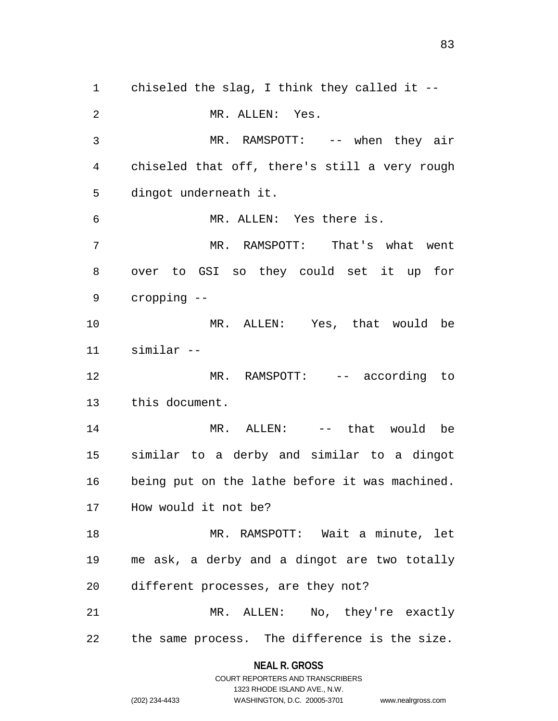1 chiseled the slag, I think they called it -- 2 3 4 5 6 7 8 9 10 11 12 13 14 15 16 17 18 19 20 21 22 MR. ALLEN: Yes. MR. RAMSPOTT: -- when they air chiseled that off, there's still a very rough dingot underneath it. MR. ALLEN: Yes there is. MR. RAMSPOTT: That's what went over to GSI so they could set it up for cropping -- MR. ALLEN: Yes, that would be similar -- MR. RAMSPOTT: -- according to this document. MR. ALLEN: -- that would be similar to a derby and similar to a dingot being put on the lathe before it was machined. How would it not be? MR. RAMSPOTT: Wait a minute, let me ask, a derby and a dingot are two totally different processes, are they not? MR. ALLEN: No, they're exactly the same process. The difference is the size.

> **NEAL R. GROSS** COURT REPORTERS AND TRANSCRIBERS

> > 1323 RHODE ISLAND AVE., N.W.

(202) 234-4433 WASHINGTON, D.C. 20005-3701 www.nealrgross.com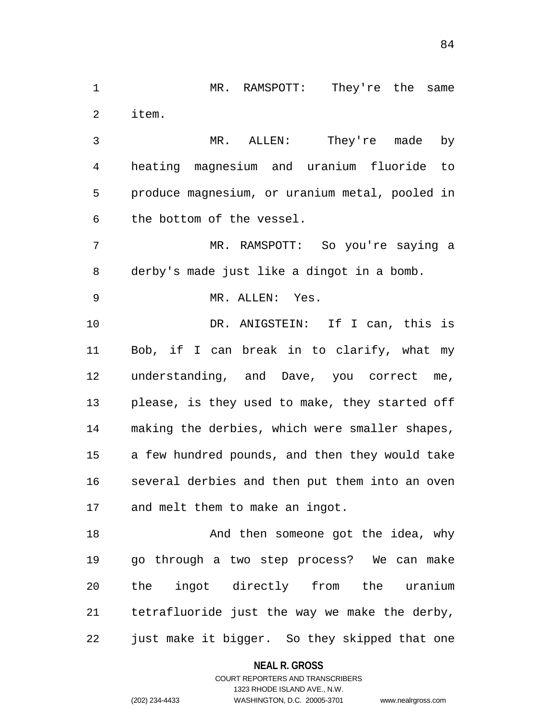1 MR. RAMSPOTT: They're the same 2 item.

3 4 5 6 MR. ALLEN: They're made by heating magnesium and uranium fluoride to produce magnesium, or uranium metal, pooled in the bottom of the vessel.

7 8 MR. RAMSPOTT: So you're saying a derby's made just like a dingot in a bomb.

9 MR. ALLEN: Yes.

10 11 12 13 14 15 16 17 DR. ANIGSTEIN: If I can, this is Bob, if I can break in to clarify, what my understanding, and Dave, you correct me, please, is they used to make, they started off making the derbies, which were smaller shapes, a few hundred pounds, and then they would take several derbies and then put them into an oven and melt them to make an ingot.

18 19 20 21 22 And then someone got the idea, why go through a two step process? We can make the ingot directly from the uranium tetrafluoride just the way we make the derby, just make it bigger. So they skipped that one

**NEAL R. GROSS**

COURT REPORTERS AND TRANSCRIBERS 1323 RHODE ISLAND AVE., N.W. (202) 234-4433 WASHINGTON, D.C. 20005-3701 www.nealrgross.com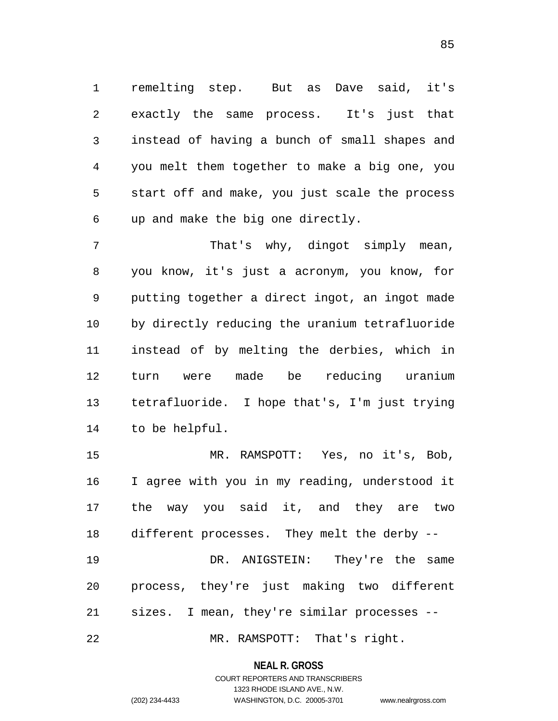1 remelting step. But as Dave said, it's 2 3 4 5 6 exactly the same process. It's just that instead of having a bunch of small shapes and you melt them together to make a big one, you start off and make, you just scale the process up and make the big one directly.

7 8 9 10 11 12 13 14 That's why, dingot simply mean, you know, it's just a acronym, you know, for putting together a direct ingot, an ingot made by directly reducing the uranium tetrafluoride instead of by melting the derbies, which in turn were made be reducing uranium tetrafluoride. I hope that's, I'm just trying to be helpful.

15 16 17 18 MR. RAMSPOTT: Yes, no it's, Bob, I agree with you in my reading, understood it the way you said it, and they are two different processes. They melt the derby --

19 20 21 DR. ANIGSTEIN: They're the same process, they're just making two different sizes. I mean, they're similar processes --

22 MR. RAMSPOTT: That's right.

#### **NEAL R. GROSS**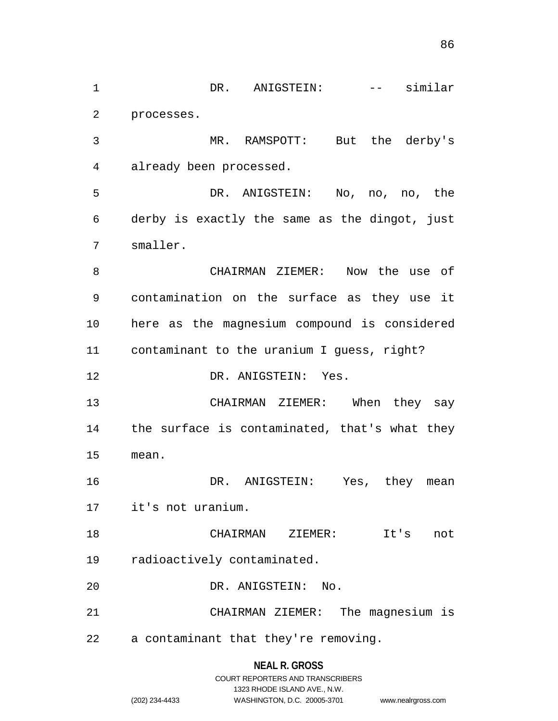1 DR. ANIGSTEIN: -- similar 2 3 4 5 6 7 8 9 10 11 12 13 14 15 16 17 18 19 20 21 22 processes. MR. RAMSPOTT: But the derby's already been processed. DR. ANIGSTEIN: No, no, no, the derby is exactly the same as the dingot, just smaller. CHAIRMAN ZIEMER: Now the use of contamination on the surface as they use it here as the magnesium compound is considered contaminant to the uranium I guess, right? DR. ANIGSTEIN: Yes. CHAIRMAN ZIEMER: When they say the surface is contaminated, that's what they mean. DR. ANIGSTEIN: Yes, they mean it's not uranium. CHAIRMAN ZIEMER: It's not radioactively contaminated. DR. ANIGSTEIN: No. CHAIRMAN ZIEMER: The magnesium is a contaminant that they're removing.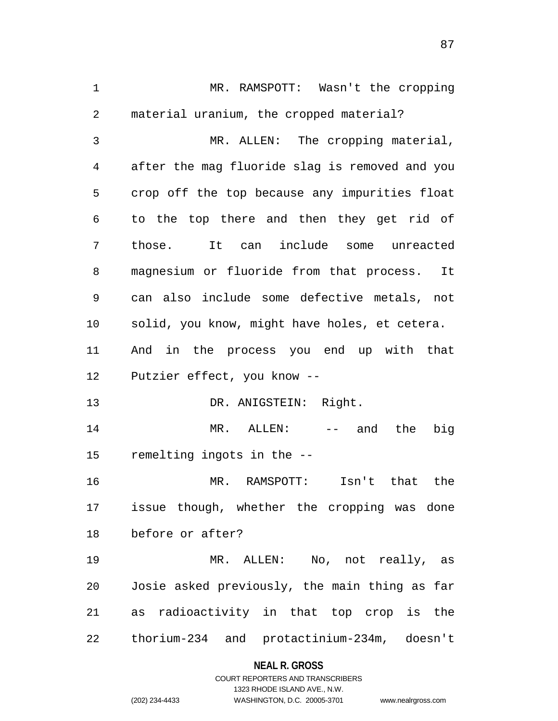1 MR. RAMSPOTT: Wasn't the cropping 2 3 4 5 6 7 8 9 10 11 12 13 14 15 16 17 18 19 20 21 22 material uranium, the cropped material? MR. ALLEN: The cropping material, after the mag fluoride slag is removed and you crop off the top because any impurities float to the top there and then they get rid of those. It can include some unreacted magnesium or fluoride from that process. It can also include some defective metals, not solid, you know, might have holes, et cetera. And in the process you end up with that Putzier effect, you know -- DR. ANIGSTEIN: Right. MR. ALLEN: -- and the big remelting ingots in the -- MR. RAMSPOTT: Isn't that the issue though, whether the cropping was done before or after? MR. ALLEN: No, not really, as Josie asked previously, the main thing as far as radioactivity in that top crop is the thorium-234 and protactinium-234m, doesn't

# **NEAL R. GROSS** COURT REPORTERS AND TRANSCRIBERS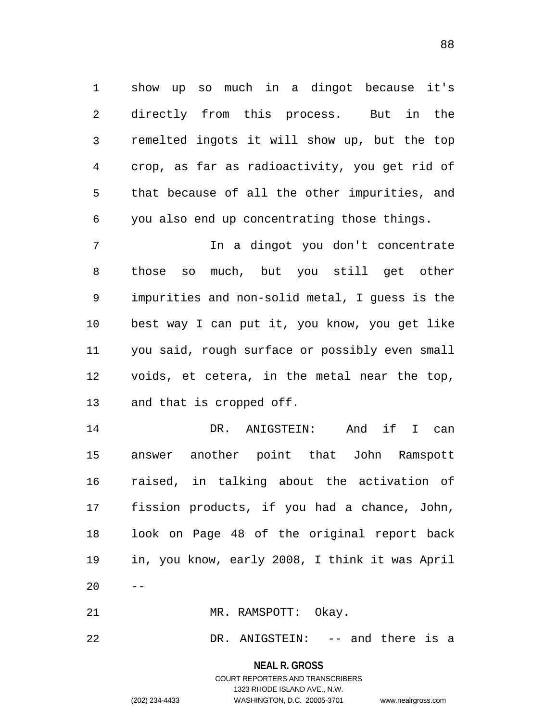1 show up so much in a dingot because it's 2 3 4 5 6 directly from this process. But in the remelted ingots it will show up, but the top crop, as far as radioactivity, you get rid of that because of all the other impurities, and you also end up concentrating those things.

7 8 9 10 11 12 13 In a dingot you don't concentrate those so much, but you still get other impurities and non-solid metal, I guess is the best way I can put it, you know, you get like you said, rough surface or possibly even small voids, et cetera, in the metal near the top, and that is cropped off.

14 15 16 17 18 19 20 DR. ANIGSTEIN: And if I can answer another point that John Ramspott raised, in talking about the activation of fission products, if you had a chance, John, look on Page 48 of the original report back in, you know, early 2008, I think it was April --

21 MR. RAMSPOTT: Okay.

22 DR. ANIGSTEIN: -- and there is a

**NEAL R. GROSS**

COURT REPORTERS AND TRANSCRIBERS 1323 RHODE ISLAND AVE., N.W. (202) 234-4433 WASHINGTON, D.C. 20005-3701 www.nealrgross.com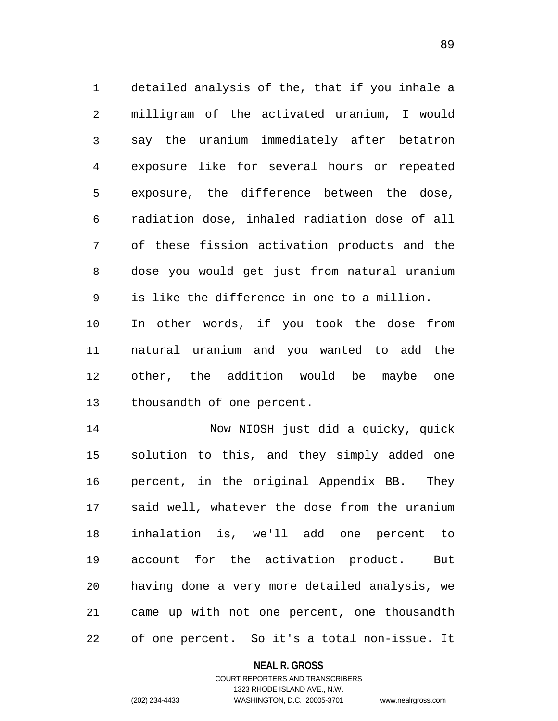1 detailed analysis of the, that if you inhale a 2 3 4 5 6 7 8 9 10 11 12 13 milligram of the activated uranium, I would say the uranium immediately after betatron exposure like for several hours or repeated exposure, the difference between the dose, radiation dose, inhaled radiation dose of all of these fission activation products and the dose you would get just from natural uranium is like the difference in one to a million. In other words, if you took the dose from natural uranium and you wanted to add the other, the addition would be maybe one thousandth of one percent.

14 15 16 17 18 19 20 21 22 Now NIOSH just did a quicky, quick solution to this, and they simply added one percent, in the original Appendix BB. They said well, whatever the dose from the uranium inhalation is, we'll add one percent to account for the activation product. But having done a very more detailed analysis, we came up with not one percent, one thousandth of one percent. So it's a total non-issue. It

#### **NEAL R. GROSS**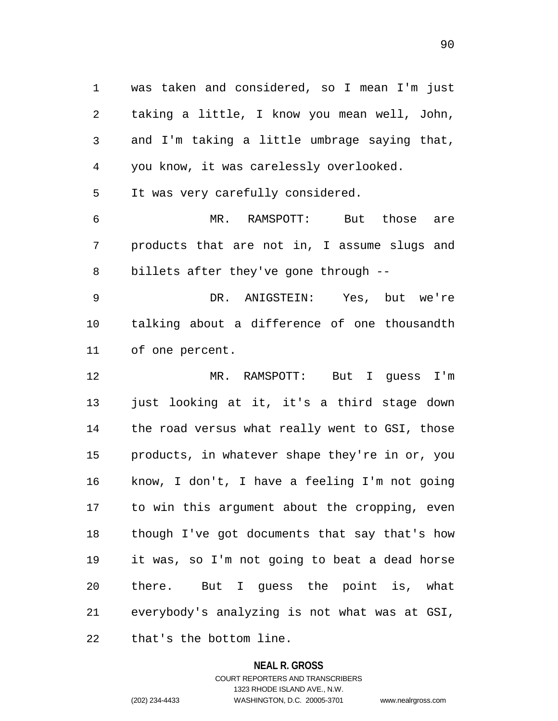1 was taken and considered, so I mean I'm just 2 3 4 taking a little, I know you mean well, John, and I'm taking a little umbrage saying that, you know, it was carelessly overlooked.

5 It was very carefully considered.

6 7 8 MR. RAMSPOTT: But those are products that are not in, I assume slugs and billets after they've gone through --

9 10 11 DR. ANIGSTEIN: Yes, but we're talking about a difference of one thousandth of one percent.

12 13 14 15 16 17 18 19 20 21 MR. RAMSPOTT: But I guess I'm just looking at it, it's a third stage down the road versus what really went to GSI, those products, in whatever shape they're in or, you know, I don't, I have a feeling I'm not going to win this argument about the cropping, even though I've got documents that say that's how it was, so I'm not going to beat a dead horse there. But I guess the point is, what everybody's analyzing is not what was at GSI,

22 that's the bottom line.

## **NEAL R. GROSS**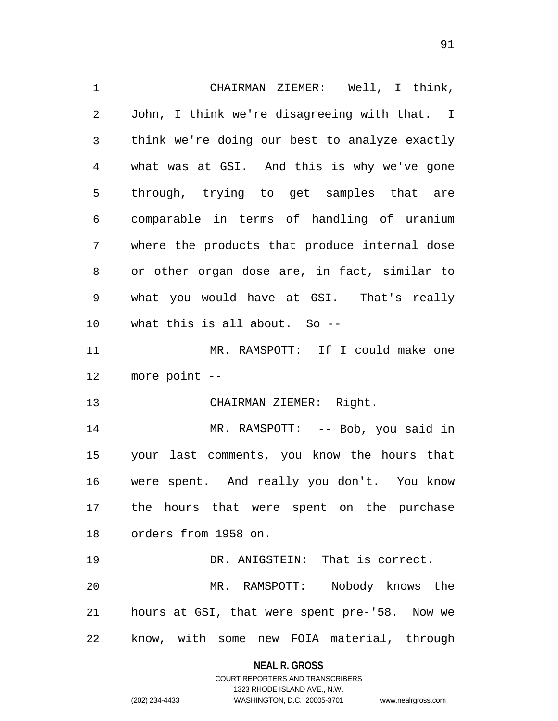1 CHAIRMAN ZIEMER: Well, I think, 2 3 4 5 6 7 8 9 10 11 12 13 14 15 16 17 18 19 20 21 22 John, I think we're disagreeing with that. I think we're doing our best to analyze exactly what was at GSI. And this is why we've gone through, trying to get samples that are comparable in terms of handling of uranium where the products that produce internal dose or other organ dose are, in fact, similar to what you would have at GSI. That's really what this is all about. So -- MR. RAMSPOTT: If I could make one more point -- CHAIRMAN ZIEMER: Right. MR. RAMSPOTT: -- Bob, you said in your last comments, you know the hours that were spent. And really you don't. You know the hours that were spent on the purchase orders from 1958 on. DR. ANIGSTEIN: That is correct. MR. RAMSPOTT: Nobody knows the hours at GSI, that were spent pre-'58. Now we know, with some new FOIA material, through

> **NEAL R. GROSS** COURT REPORTERS AND TRANSCRIBERS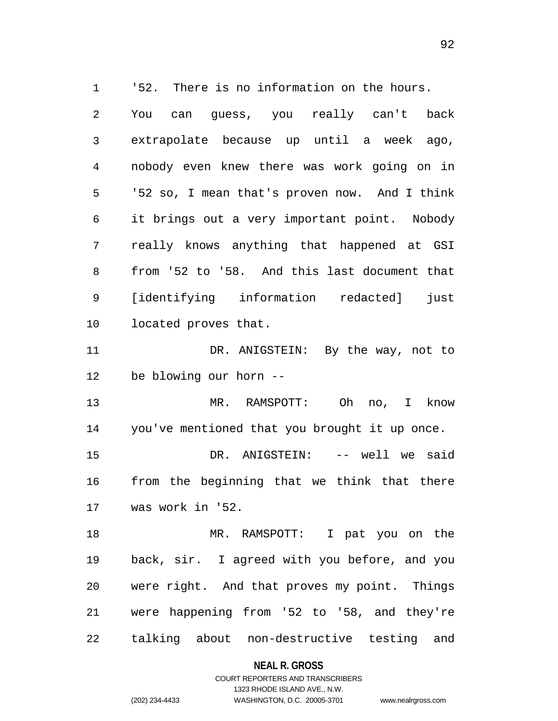1 '52. There is no information on the hours. 2 3 4 5 6 7 8 9 10 11 12 13 14 15 16 17 18 19 20 21 You can guess, you really can't back extrapolate because up until a week ago, nobody even knew there was work going on in '52 so, I mean that's proven now. And I think it brings out a very important point. Nobody really knows anything that happened at GSI from '52 to '58. And this last document that [identifying information redacted] just located proves that. DR. ANIGSTEIN: By the way, not to be blowing our horn -- MR. RAMSPOTT: Oh no, I know you've mentioned that you brought it up once. DR. ANIGSTEIN: -- well we said from the beginning that we think that there was work in '52. MR. RAMSPOTT: I pat you on the back, sir. I agreed with you before, and you were right. And that proves my point. Things were happening from '52 to '58, and they're

22 talking about non-destructive testing and

> **NEAL R. GROSS** COURT REPORTERS AND TRANSCRIBERS

> > 1323 RHODE ISLAND AVE., N.W.

(202) 234-4433 WASHINGTON, D.C. 20005-3701 www.nealrgross.com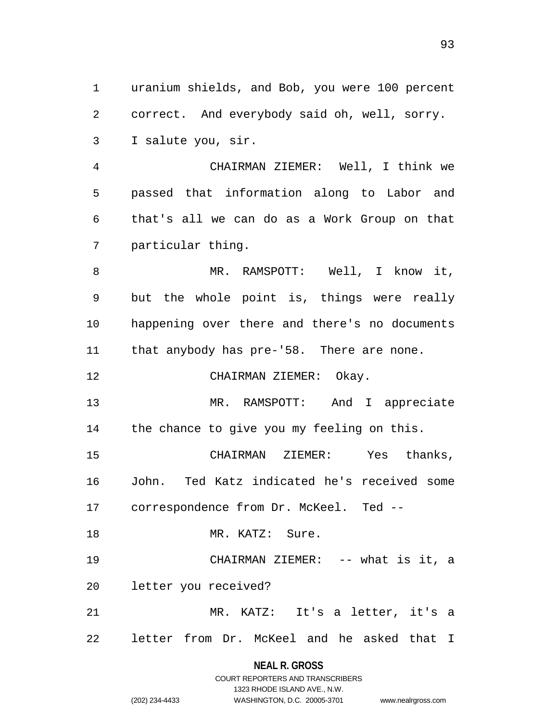1 uranium shields, and Bob, you were 100 percent 2 3 correct. And everybody said oh, well, sorry. I salute you, sir.

4 5 6 7 CHAIRMAN ZIEMER: Well, I think we passed that information along to Labor and that's all we can do as a Work Group on that particular thing.

8 9 10 11 MR. RAMSPOTT: Well, I know it, but the whole point is, things were really happening over there and there's no documents that anybody has pre-'58. There are none.

12 CHAIRMAN ZIEMER: Okay.

13 14 MR. RAMSPOTT: And I appreciate the chance to give you my feeling on this.

15 16 17 CHAIRMAN ZIEMER: Yes thanks, John. Ted Katz indicated he's received some correspondence from Dr. McKeel. Ted --

18 MR. KATZ: Sure.

19 20 CHAIRMAN ZIEMER: -- what is it, a letter you received?

21 22 MR. KATZ: It's a letter, it's a letter from Dr. McKeel and he asked that I

> **NEAL R. GROSS** COURT REPORTERS AND TRANSCRIBERS

> > 1323 RHODE ISLAND AVE., N.W.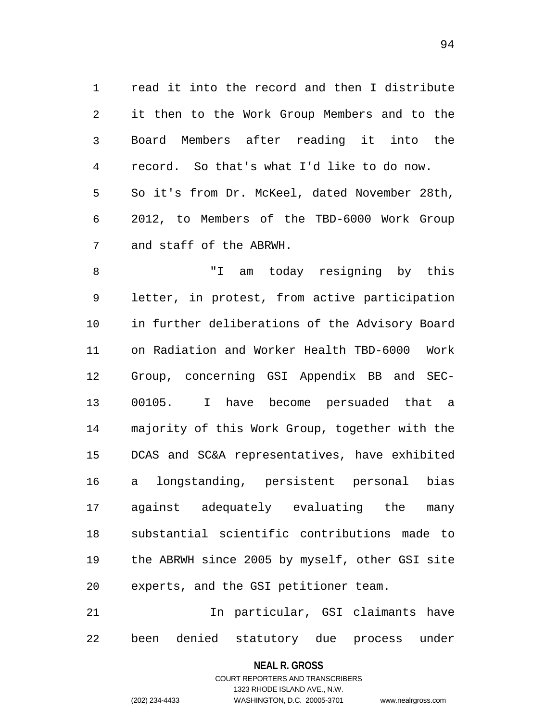1 read it into the record and then I distribute 2 3 4 5 6 7 it then to the Work Group Members and to the Board Members after reading it into the record. So that's what I'd like to do now. So it's from Dr. McKeel, dated November 28th, 2012, to Members of the TBD-6000 Work Group and staff of the ABRWH.

8 9 10 11 12 13 14 15 16 17 18 19 20 "I am today resigning by this letter, in protest, from active participation in further deliberations of the Advisory Board on Radiation and Worker Health TBD-6000 Work Group, concerning GSI Appendix BB and SEC-00105. I have become persuaded that a majority of this Work Group, together with the DCAS and SC&A representatives, have exhibited a longstanding, persistent personal bias against adequately evaluating the many substantial scientific contributions made to the ABRWH since 2005 by myself, other GSI site experts, and the GSI petitioner team.

21 22 In particular, GSI claimants have been denied statutory due process under

> **NEAL R. GROSS** COURT REPORTERS AND TRANSCRIBERS

> > 1323 RHODE ISLAND AVE., N.W.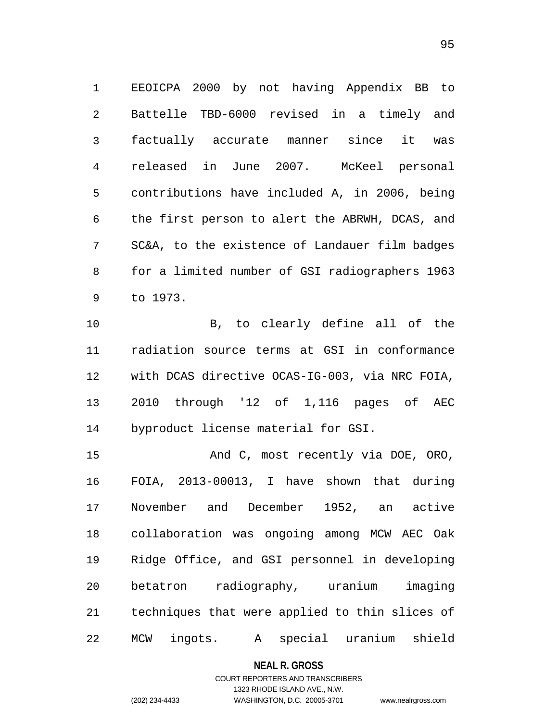1 EEOICPA 2000 by not having Appendix BB to 2 3 4 5 6 7 8 9 Battelle TBD-6000 revised in a timely and factually accurate manner since it was released in June 2007. McKeel personal contributions have included A, in 2006, being the first person to alert the ABRWH, DCAS, and SC&A, to the existence of Landauer film badges for a limited number of GSI radiographers 1963 to 1973.

10 11 12 13 14 B, to clearly define all of the radiation source terms at GSI in conformance with DCAS directive OCAS-IG-003, via NRC FOIA, 2010 through '12 of 1,116 pages of AEC byproduct license material for GSI.

15 16 17 18 19 20 21 22 And C, most recently via DOE, ORO, FOIA, 2013-00013, I have shown that during November and December 1952, an active collaboration was ongoing among MCW AEC Oak Ridge Office, and GSI personnel in developing betatron radiography, uranium imaging techniques that were applied to thin slices of MCW ingots. A special uranium shield

**NEAL R. GROSS**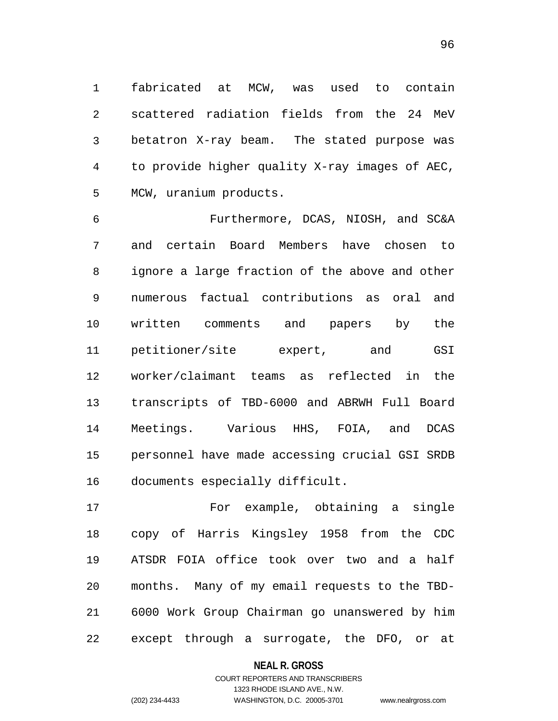1 fabricated at MCW, was used to contain 2 3 4 5 scattered radiation fields from the 24 MeV betatron X-ray beam. The stated purpose was to provide higher quality X-ray images of AEC, MCW, uranium products.

6 7 8 9 10 11 12 13 14 15 16 Furthermore, DCAS, NIOSH, and SC&A and certain Board Members have chosen to ignore a large fraction of the above and other numerous factual contributions as oral and written comments and papers by the petitioner/site expert, and GSI worker/claimant teams as reflected in the transcripts of TBD-6000 and ABRWH Full Board Meetings. Various HHS, FOIA, and DCAS personnel have made accessing crucial GSI SRDB documents especially difficult.

17 18 19 20 21 22 For example, obtaining a single copy of Harris Kingsley 1958 from the CDC ATSDR FOIA office took over two and a half months. Many of my email requests to the TBD-6000 Work Group Chairman go unanswered by him except through a surrogate, the DFO, or at

**NEAL R. GROSS**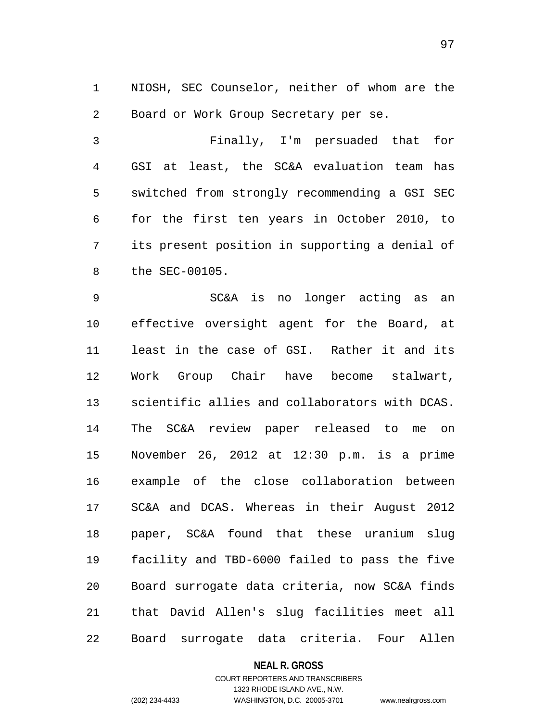1 NIOSH, SEC Counselor, neither of whom are the 2 Board or Work Group Secretary per se.

3 4 5 6 7 8 Finally, I'm persuaded that for GSI at least, the SC&A evaluation team has switched from strongly recommending a GSI SEC for the first ten years in October 2010, to its present position in supporting a denial of the SEC-00105.

9 10 11 12 13 14 15 16 17 18 19 20 21 22 SC&A is no longer acting as an effective oversight agent for the Board, at least in the case of GSI. Rather it and its Work Group Chair have become stalwart, scientific allies and collaborators with DCAS. The SC&A review paper released to me on November 26, 2012 at 12:30 p.m. is a prime example of the close collaboration between SC&A and DCAS. Whereas in their August 2012 paper, SC&A found that these uranium slug facility and TBD-6000 failed to pass the five Board surrogate data criteria, now SC&A finds that David Allen's slug facilities meet all Board surrogate data criteria. Four Allen

### **NEAL R. GROSS**

# COURT REPORTERS AND TRANSCRIBERS 1323 RHODE ISLAND AVE., N.W. (202) 234-4433 WASHINGTON, D.C. 20005-3701 www.nealrgross.com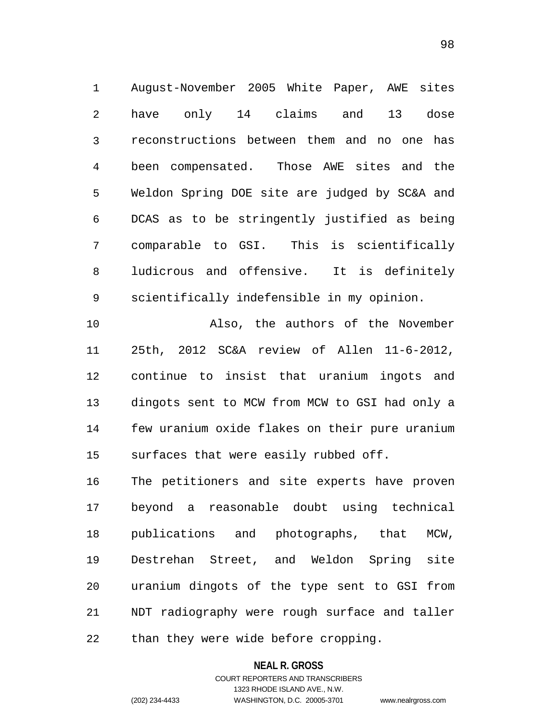1 August-November 2005 White Paper, AWE sites 2 3 4 5 6 7 8 9 have only 14 claims and 13 dose reconstructions between them and no one has been compensated. Those AWE sites and the Weldon Spring DOE site are judged by SC&A and DCAS as to be stringently justified as being comparable to GSI. This is scientifically ludicrous and offensive. It is definitely scientifically indefensible in my opinion.

10 11 12 13 14 15 Also, the authors of the November 25th, 2012 SC&A review of Allen 11-6-2012, continue to insist that uranium ingots and dingots sent to MCW from MCW to GSI had only a few uranium oxide flakes on their pure uranium surfaces that were easily rubbed off.

16 17 18 19 20 21 22 The petitioners and site experts have proven beyond a reasonable doubt using technical publications and photographs, that MCW, Destrehan Street, and Weldon Spring site uranium dingots of the type sent to GSI from NDT radiography were rough surface and taller than they were wide before cropping.

#### **NEAL R. GROSS**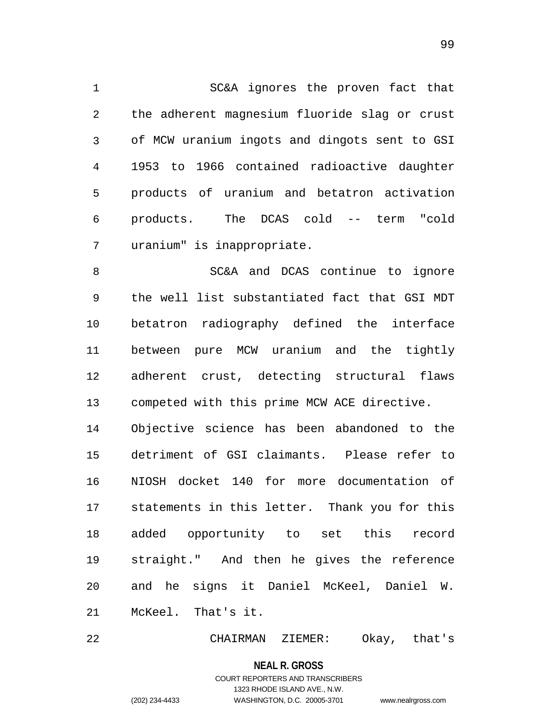1 SC&A ignores the proven fact that 2 3 4 5 6 7 the adherent magnesium fluoride slag or crust of MCW uranium ingots and dingots sent to GSI 1953 to 1966 contained radioactive daughter products of uranium and betatron activation products. The DCAS cold -- term "cold uranium" is inappropriate.

8 9 10 11 12 13 14 15 16 SC&A and DCAS continue to ignore the well list substantiated fact that GSI MDT betatron radiography defined the interface between pure MCW uranium and the tightly adherent crust, detecting structural flaws competed with this prime MCW ACE directive. Objective science has been abandoned to the detriment of GSI claimants. Please refer to NIOSH docket 140 for more documentation of

17 18 19 20 21 statements in this letter. Thank you for this added opportunity to set this record straight." And then he gives the reference and he signs it Daniel McKeel, Daniel W. McKeel. That's it.

22 CHAIRMAN ZIEMER: Okay, that's

> **NEAL R. GROSS** COURT REPORTERS AND TRANSCRIBERS 1323 RHODE ISLAND AVE., N.W.

(202) 234-4433 WASHINGTON, D.C. 20005-3701 www.nealrgross.com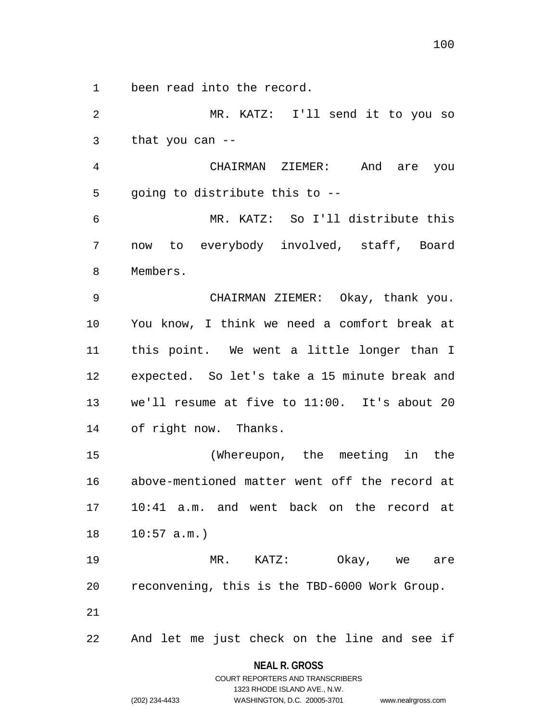1 been read into the record.

2 3 4 5 6 7 8 9 10 11 12 13 14 15 16 17 18 19 20 21 22 MR. KATZ: I'll send it to you so that you can -- CHAIRMAN ZIEMER: And are you going to distribute this to -- MR. KATZ: So I'll distribute this now to everybody involved, staff, Board Members. CHAIRMAN ZIEMER: Okay, thank you. You know, I think we need a comfort break at this point. We went a little longer than I expected. So let's take a 15 minute break and we'll resume at five to 11:00. It's about 20 of right now. Thanks. (Whereupon, the meeting in the above-mentioned matter went off the record at 10:41 a.m. and went back on the record at  $10:57$  a.m.) MR. KATZ: Okay, we are reconvening, this is the TBD-6000 Work Group. And let me just check on the line and see if

> **NEAL R. GROSS** COURT REPORTERS AND TRANSCRIBERS

> > 1323 RHODE ISLAND AVE., N.W.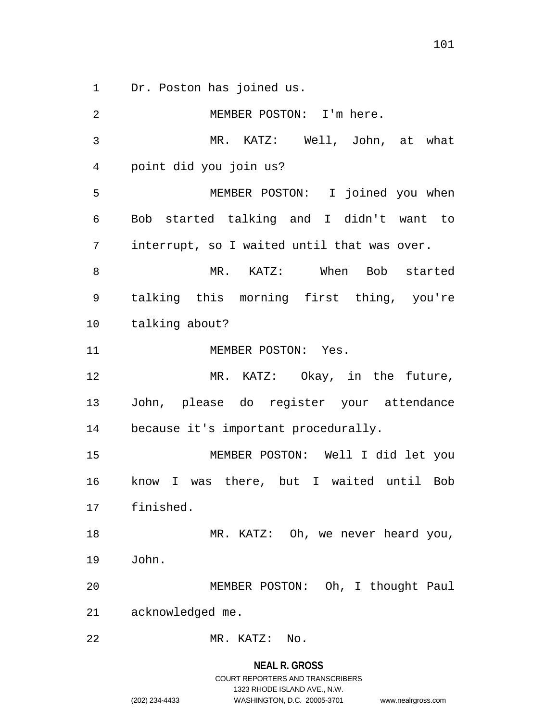1 Dr. Poston has joined us.

2 3 4 5 6 7 8 9 10 11 12 13 14 15 16 17 18 19 20 21 22 MEMBER POSTON: I'm here. MR. KATZ: Well, John, at what point did you join us? MEMBER POSTON: I joined you when Bob started talking and I didn't want to interrupt, so I waited until that was over. MR. KATZ: When Bob started talking this morning first thing, you're talking about? MEMBER POSTON: Yes. MR. KATZ: Okay, in the future, John, please do register your attendance because it's important procedurally. MEMBER POSTON: Well I did let you know I was there, but I waited until Bob finished. MR. KATZ: Oh, we never heard you, John. MEMBER POSTON: Oh, I thought Paul acknowledged me. MR. KATZ: No.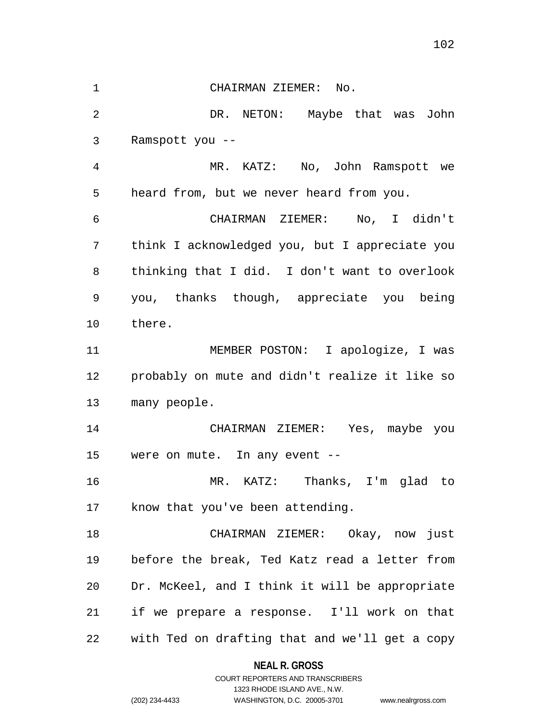1 CHAIRMAN ZIEMER: No.

2 3 DR. NETON: Maybe that was John Ramspott you --

4 5 MR. KATZ: No, John Ramspott we heard from, but we never heard from you.

6 7 8 9 10 CHAIRMAN ZIEMER: No, I didn't think I acknowledged you, but I appreciate you thinking that I did. I don't want to overlook you, thanks though, appreciate you being there.

11 12 13 MEMBER POSTON: I apologize, I was probably on mute and didn't realize it like so many people.

14 15 CHAIRMAN ZIEMER: Yes, maybe you were on mute. In any event --

16 17 MR. KATZ: Thanks, I'm glad to know that you've been attending.

18 19 20 21 22 CHAIRMAN ZIEMER: Okay, now just before the break, Ted Katz read a letter from Dr. McKeel, and I think it will be appropriate if we prepare a response. I'll work on that with Ted on drafting that and we'll get a copy

> **NEAL R. GROSS** COURT REPORTERS AND TRANSCRIBERS

> > 1323 RHODE ISLAND AVE., N.W.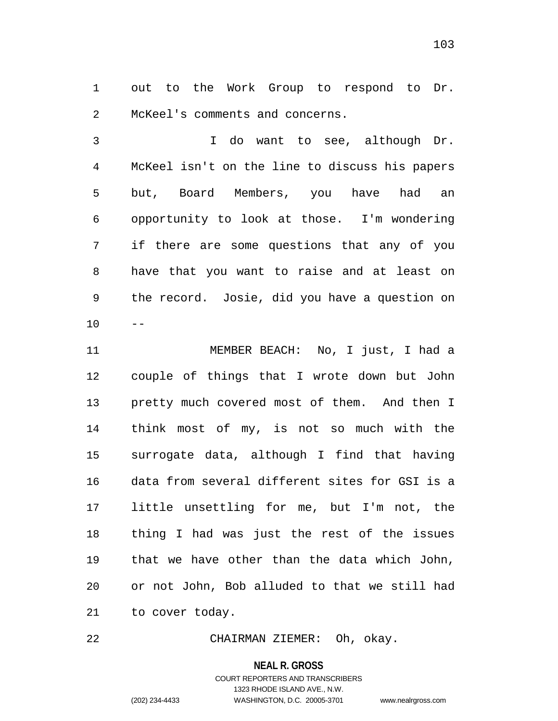1 out to the Work Group to respond to Dr. 2 McKeel's comments and concerns.

3 4 5 6 7 8 9 10 I do want to see, although Dr. McKeel isn't on the line to discuss his papers but, Board Members, you have had an opportunity to look at those. I'm wondering if there are some questions that any of you have that you want to raise and at least on the record. Josie, did you have a question on  $-$ 

11 12 13 14 15 16 17 18 19 20 21 MEMBER BEACH: No, I just, I had a couple of things that I wrote down but John pretty much covered most of them. And then I think most of my, is not so much with the surrogate data, although I find that having data from several different sites for GSI is a little unsettling for me, but I'm not, the thing I had was just the rest of the issues that we have other than the data which John, or not John, Bob alluded to that we still had to cover today.

22 CHAIRMAN ZIEMER: Oh, okay.

**NEAL R. GROSS**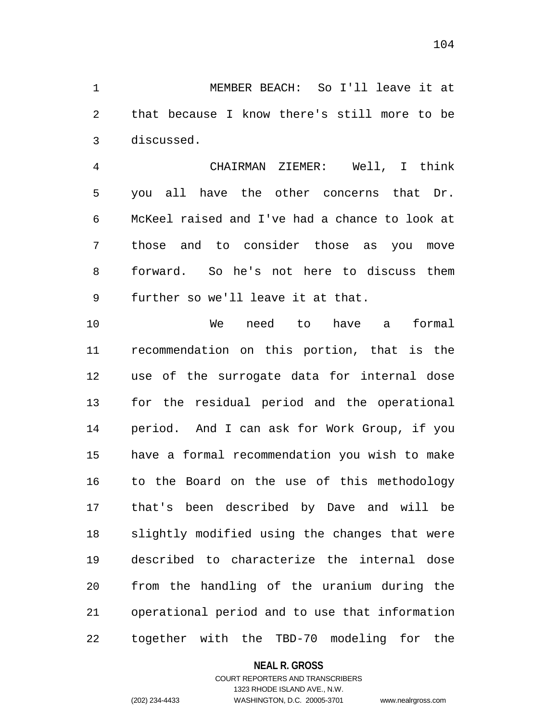1 MEMBER BEACH: So I'll leave it at 2 3 that because I know there's still more to be discussed.

4 5 6 7 8 9 CHAIRMAN ZIEMER: Well, I think you all have the other concerns that Dr. McKeel raised and I've had a chance to look at those and to consider those as you move forward. So he's not here to discuss them further so we'll leave it at that.

10 11 12 13 14 15 16 17 18 19 20 21 22 We need to have a formal recommendation on this portion, that is the use of the surrogate data for internal dose for the residual period and the operational period. And I can ask for Work Group, if you have a formal recommendation you wish to make to the Board on the use of this methodology that's been described by Dave and will be slightly modified using the changes that were described to characterize the internal dose from the handling of the uranium during the operational period and to use that information together with the TBD-70 modeling for the

**NEAL R. GROSS**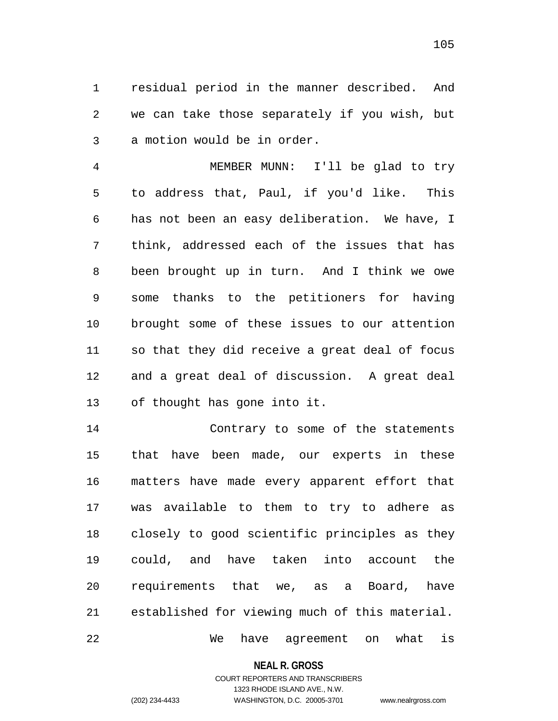1 residual period in the manner described. And 2 3 we can take those separately if you wish, but a motion would be in order.

4 5 6 7 8 9 10 11 12 13 MEMBER MUNN: I'll be glad to try to address that, Paul, if you'd like. This has not been an easy deliberation. We have, I think, addressed each of the issues that has been brought up in turn. And I think we owe some thanks to the petitioners for having brought some of these issues to our attention so that they did receive a great deal of focus and a great deal of discussion. A great deal of thought has gone into it.

14 15 16 17 18 19 20 21 22 Contrary to some of the statements that have been made, our experts in these matters have made every apparent effort that was available to them to try to adhere as closely to good scientific principles as they could, and have taken into account the requirements that we, as a Board, have established for viewing much of this material. We have agreement on what is

**NEAL R. GROSS**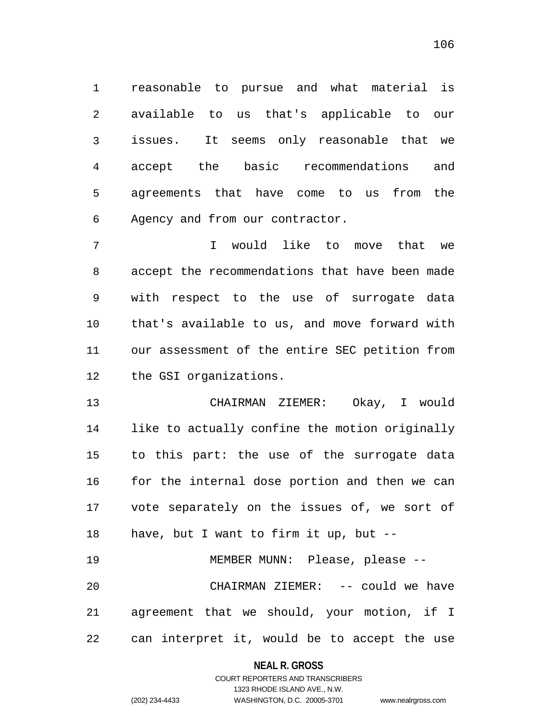1 reasonable to pursue and what material is 2 3 4 5 6 available to us that's applicable to our issues. It seems only reasonable that we accept the basic recommendations and agreements that have come to us from the Agency and from our contractor.

7 8 9 10 11 12 I would like to move that we accept the recommendations that have been made with respect to the use of surrogate data that's available to us, and move forward with our assessment of the entire SEC petition from the GSI organizations.

13 14 15 16 17 18 CHAIRMAN ZIEMER: Okay, I would like to actually confine the motion originally to this part: the use of the surrogate data for the internal dose portion and then we can vote separately on the issues of, we sort of have, but I want to firm it up, but --

19 20 21 22 MEMBER MUNN: Please, please -- CHAIRMAN ZIEMER: -- could we have agreement that we should, your motion, if I can interpret it, would be to accept the use

### **NEAL R. GROSS**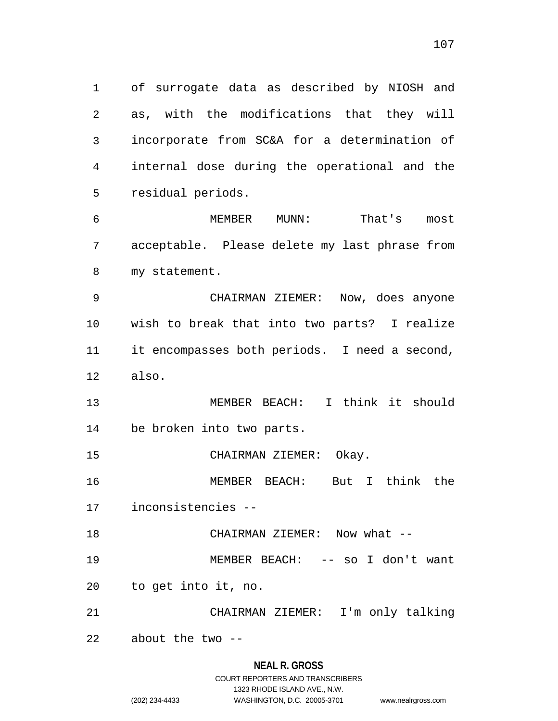1 of surrogate data as described by NIOSH and 2 3 4 5 as, with the modifications that they will incorporate from SC&A for a determination of internal dose during the operational and the residual periods.

6 7 8 MEMBER MUNN: That's most acceptable. Please delete my last phrase from my statement.

9 10 11 12 CHAIRMAN ZIEMER: Now, does anyone wish to break that into two parts? I realize it encompasses both periods. I need a second, also.

13 14 MEMBER BEACH: I think it should be broken into two parts.

15 CHAIRMAN ZIEMER: Okay.

16 MEMBER BEACH: But I think the

17 inconsistencies --

18 CHAIRMAN ZIEMER: Now what --

19 MEMBER BEACH: -- so I don't want

20 to get into it, no.

21 CHAIRMAN ZIEMER: I'm only talking

22 about the two --

### **NEAL R. GROSS**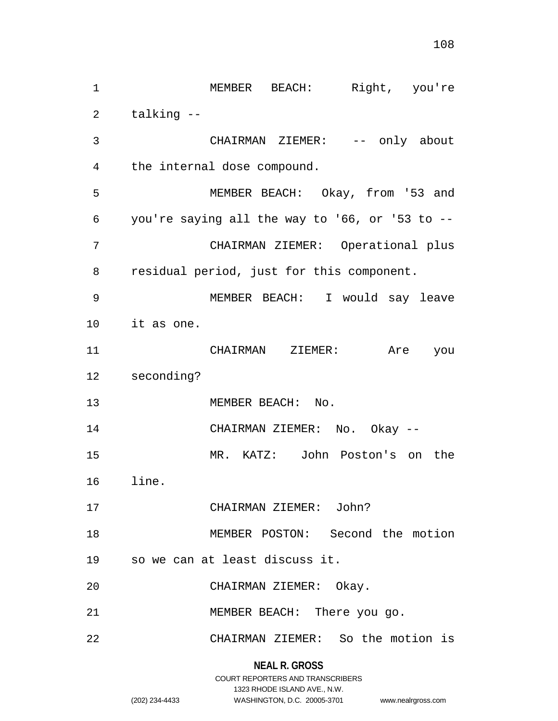1 MEMBER BEACH: Right, you're 2 3 4 5 6 7 8 9 10 11 12 13 14 15 16 17 18 19 20 21 22 talking -- CHAIRMAN ZIEMER: -- only about the internal dose compound. MEMBER BEACH: Okay, from '53 and you're saying all the way to '66, or '53 to -- CHAIRMAN ZIEMER: Operational plus residual period, just for this component. MEMBER BEACH: I would say leave it as one. CHAIRMAN ZIEMER: Are you seconding? MEMBER BEACH: No. CHAIRMAN ZIEMER: No. Okay -- MR. KATZ: John Poston's on the line. CHAIRMAN ZIEMER: John? MEMBER POSTON: Second the motion so we can at least discuss it. CHAIRMAN ZIEMER: Okay. MEMBER BEACH: There you go. CHAIRMAN ZIEMER: So the motion is

1323 RHODE ISLAND AVE., N.W.

(202) 234-4433 WASHINGTON, D.C. 20005-3701 www.nealrgross.com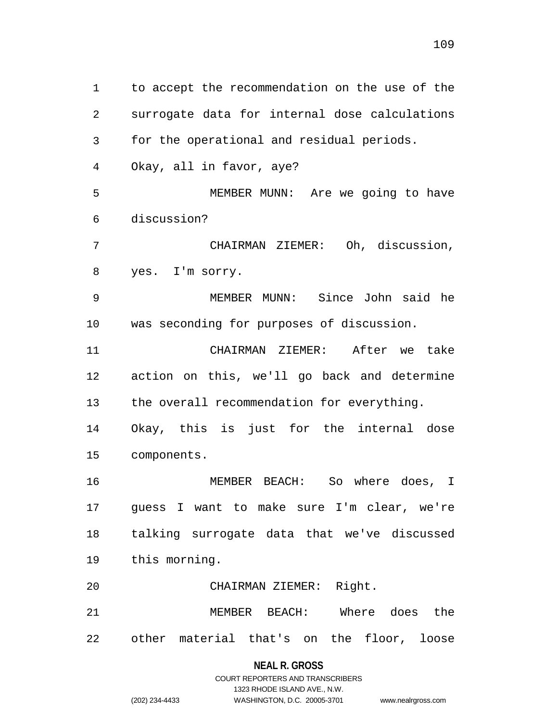1 to accept the recommendation on the use of the 2 3 4 5 6 7 8 9 10 11 12 13 14 15 16 17 18 19 20 21 22 surrogate data for internal dose calculations for the operational and residual periods. Okay, all in favor, aye? MEMBER MUNN: Are we going to have discussion? CHAIRMAN ZIEMER: Oh, discussion, yes. I'm sorry. MEMBER MUNN: Since John said he was seconding for purposes of discussion. CHAIRMAN ZIEMER: After we take action on this, we'll go back and determine the overall recommendation for everything. Okay, this is just for the internal dose components. MEMBER BEACH: So where does, I guess I want to make sure I'm clear, we're talking surrogate data that we've discussed this morning. CHAIRMAN ZIEMER: Right. MEMBER BEACH: Where does the other material that's on the floor, loose

#### **NEAL R. GROSS**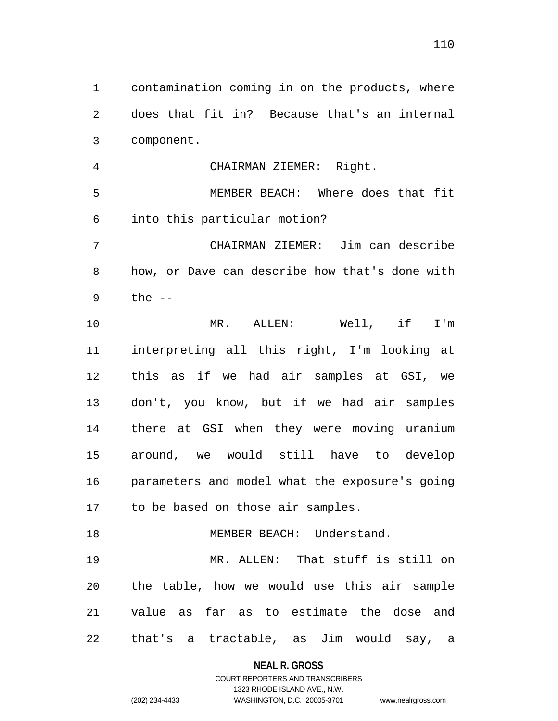1 contamination coming in on the products, where 2 3 does that fit in? Because that's an internal component.

4 5 6 7 8 CHAIRMAN ZIEMER: Right. MEMBER BEACH: Where does that fit into this particular motion? CHAIRMAN ZIEMER: Jim can describe how, or Dave can describe how that's done with

9 the  $--$ 

18

10 11 12 13 14 15 16 17 MR. ALLEN: Well, if I'm interpreting all this right, I'm looking at this as if we had air samples at GSI, we don't, you know, but if we had air samples there at GSI when they were moving uranium around, we would still have to develop parameters and model what the exposure's going to be based on those air samples.

19 20 21 22 MR. ALLEN: That stuff is still on the table, how we would use this air sample value as far as to estimate the dose and that's a tractable, as Jim would say, a

### **NEAL R. GROSS**

MEMBER BEACH: Understand.

### COURT REPORTERS AND TRANSCRIBERS 1323 RHODE ISLAND AVE., N.W. (202) 234-4433 WASHINGTON, D.C. 20005-3701 www.nealrgross.com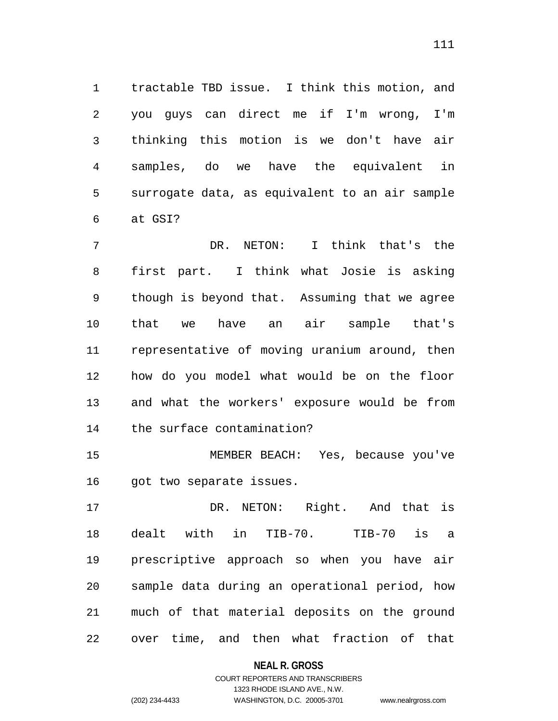1 tractable TBD issue. I think this motion, and 2 3 4 5 6 you guys can direct me if I'm wrong, I'm thinking this motion is we don't have air samples, do we have the equivalent in surrogate data, as equivalent to an air sample at GSI?

7 8 9 10 11 12 13 14 DR. NETON: I think that's the first part. I think what Josie is asking though is beyond that. Assuming that we agree that we have an air sample that's representative of moving uranium around, then how do you model what would be on the floor and what the workers' exposure would be from the surface contamination?

15 16 MEMBER BEACH: Yes, because you've got two separate issues.

17 18 19 20 21 22 DR. NETON: Right. And that is dealt with in TIB-70. TIB-70 is a prescriptive approach so when you have air sample data during an operational period, how much of that material deposits on the ground over time, and then what fraction of that

**NEAL R. GROSS**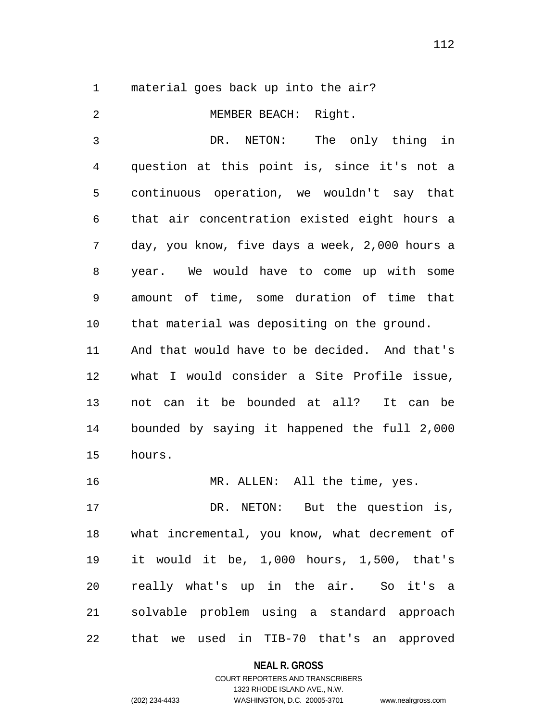1 material goes back up into the air?

| 2  | MEMBER BEACH: Right.                           |
|----|------------------------------------------------|
| 3  | DR. NETON:<br>The only thing in                |
| 4  | question at this point is, since it's not a    |
| 5  | continuous operation, we wouldn't say that     |
| 6  | that air concentration existed eight hours a   |
| 7  | day, you know, five days a week, 2,000 hours a |
| 8  | year. We would have to come up with some       |
| 9  | amount of time, some duration of time that     |
| 10 | that material was depositing on the ground.    |
| 11 | And that would have to be decided. And that's  |
| 12 | what I would consider a Site Profile issue,    |
| 13 | not can it be bounded at all? It can be        |
| 14 | bounded by saying it happened the full 2,000   |
| 15 | hours.                                         |
| 16 | MR. ALLEN: All the time, yes.                  |
| 17 | DR. NETON: But the question is,                |
| 18 | what incremental, you know, what decrement of  |
| 19 | it would it be, 1,000 hours, 1,500, that's     |
| 20 | really what's up in the air. So it's a         |
| 21 | solvable problem using a standard approach     |
| 22 | that we used in TIB-70 that's an approved      |

**NEAL R. GROSS**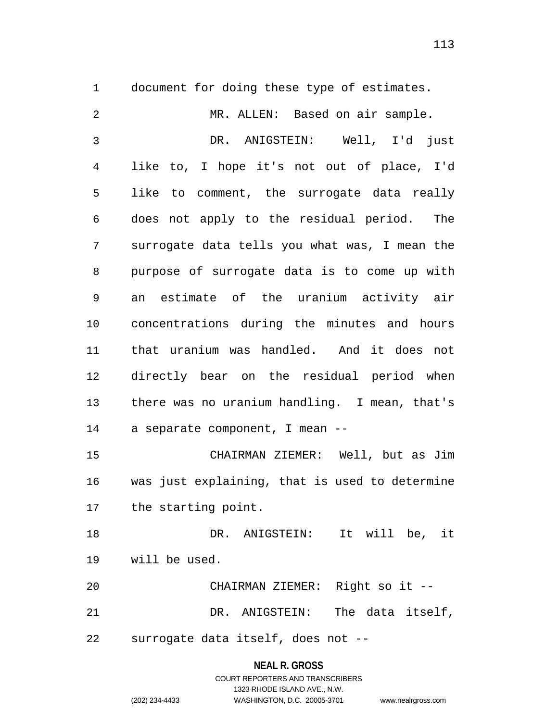1 document for doing these type of estimates.

2 3 4 5 6 7 8 9 10 11 12 13 14 15 16 17 18 19 20 21 22 MR. ALLEN: Based on air sample. DR. ANIGSTEIN: Well, I'd just like to, I hope it's not out of place, I'd like to comment, the surrogate data really does not apply to the residual period. The surrogate data tells you what was, I mean the purpose of surrogate data is to come up with an estimate of the uranium activity air concentrations during the minutes and hours that uranium was handled. And it does not directly bear on the residual period when there was no uranium handling. I mean, that's a separate component, I mean -- CHAIRMAN ZIEMER: Well, but as Jim was just explaining, that is used to determine the starting point. DR. ANIGSTEIN: It will be, it will be used. CHAIRMAN ZIEMER: Right so it -- DR. ANIGSTEIN: The data itself, surrogate data itself, does not --

#### **NEAL R. GROSS**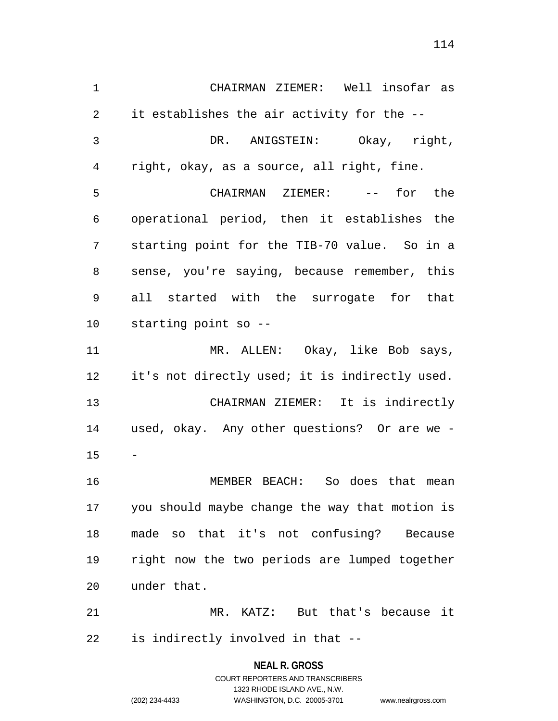1 CHAIRMAN ZIEMER: Well insofar as 2 3 4 5 6 7 8 9 10 11 12 13 14 15 16 17 18 19 20 21 22 it establishes the air activity for the -- DR. ANIGSTEIN: Okay, right, right, okay, as a source, all right, fine. CHAIRMAN ZIEMER: -- for the operational period, then it establishes the starting point for the TIB-70 value. So in a sense, you're saying, because remember, this all started with the surrogate for that starting point so -- MR. ALLEN: Okay, like Bob says, it's not directly used; it is indirectly used. CHAIRMAN ZIEMER: It is indirectly used, okay. Any other questions? Or are we - - MEMBER BEACH: So does that mean you should maybe change the way that motion is made so that it's not confusing? Because right now the two periods are lumped together under that. MR. KATZ: But that's because it is indirectly involved in that --

> **NEAL R. GROSS** COURT REPORTERS AND TRANSCRIBERS 1323 RHODE ISLAND AVE., N.W. (202) 234-4433 WASHINGTON, D.C. 20005-3701 www.nealrgross.com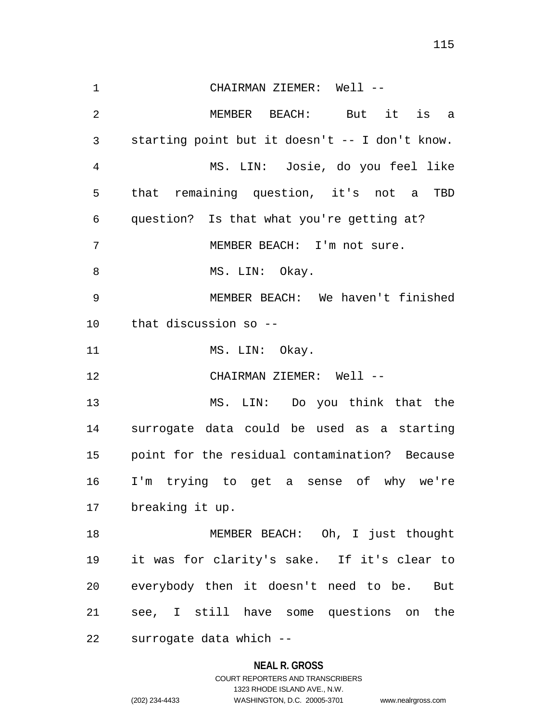1 CHAIRMAN ZIEMER: Well -- 2 3 4 5 6 7 8 9 10 11 12 13 14 15 16 17 18 19 20 21 22 MEMBER BEACH: But it is a starting point but it doesn't -- I don't know. MS. LIN: Josie, do you feel like that remaining question, it's not a TBD question? Is that what you're getting at? MEMBER BEACH: I'm not sure. MS. LIN: Okay. MEMBER BEACH: We haven't finished that discussion so -- MS. LIN: Okay. CHAIRMAN ZIEMER: Well -- MS. LIN: Do you think that the surrogate data could be used as a starting point for the residual contamination? Because I'm trying to get a sense of why we're breaking it up. MEMBER BEACH: Oh, I just thought it was for clarity's sake. If it's clear to everybody then it doesn't need to be. But see, I still have some questions on the surrogate data which --

### **NEAL R. GROSS**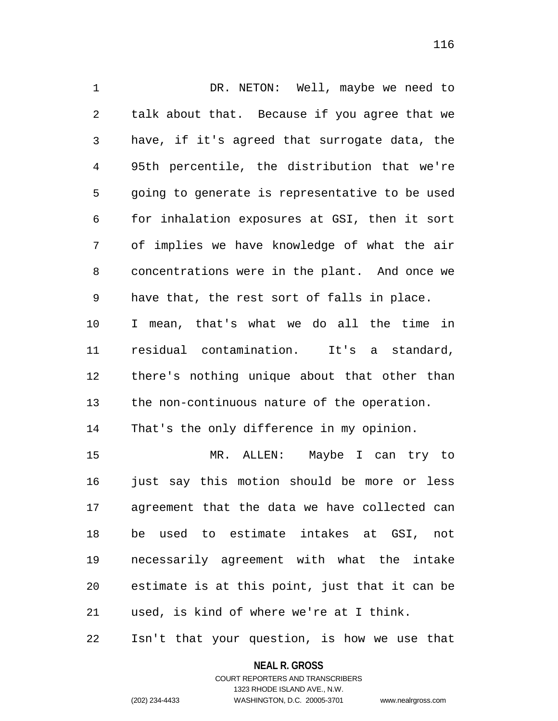1 DR. NETON: Well, maybe we need to 2 3 4 5 6 7 8 9 10 11 12 13 14 talk about that. Because if you agree that we have, if it's agreed that surrogate data, the 95th percentile, the distribution that we're going to generate is representative to be used for inhalation exposures at GSI, then it sort of implies we have knowledge of what the air concentrations were in the plant. And once we have that, the rest sort of falls in place. I mean, that's what we do all the time in residual contamination. It's a standard, there's nothing unique about that other than the non-continuous nature of the operation. That's the only difference in my opinion.

15 16 17 18 19 20 21 MR. ALLEN: Maybe I can try to just say this motion should be more or less agreement that the data we have collected can be used to estimate intakes at GSI, not necessarily agreement with what the intake estimate is at this point, just that it can be used, is kind of where we're at I think.

22 Isn't that your question, is how we use that

**NEAL R. GROSS**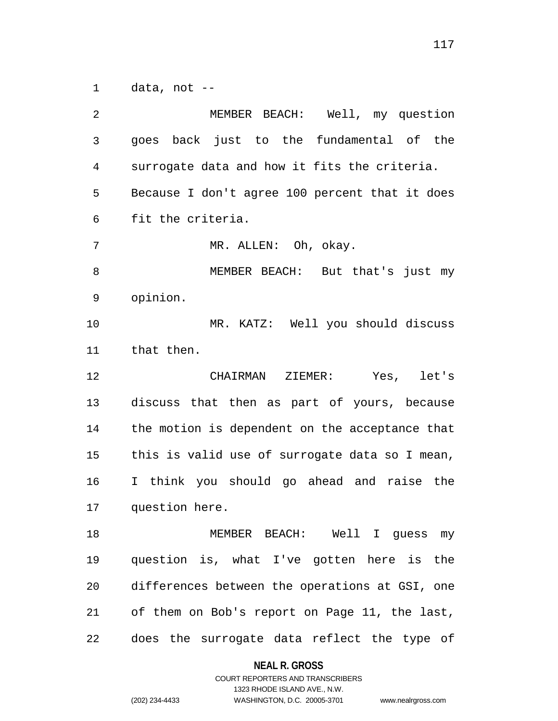1 data, not --

2 3 4 5 6 7 8 9 10 11 12 13 14 15 16 17 18 19 20 21 22 MEMBER BEACH: Well, my question goes back just to the fundamental of the surrogate data and how it fits the criteria. Because I don't agree 100 percent that it does fit the criteria. MR. ALLEN: Oh, okay. MEMBER BEACH: But that's just my opinion. MR. KATZ: Well you should discuss that then. CHAIRMAN ZIEMER: Yes, let's discuss that then as part of yours, because the motion is dependent on the acceptance that this is valid use of surrogate data so I mean, I think you should go ahead and raise the question here. MEMBER BEACH: Well I guess my question is, what I've gotten here is the differences between the operations at GSI, one of them on Bob's report on Page 11, the last, does the surrogate data reflect the type of

#### **NEAL R. GROSS**

COURT REPORTERS AND TRANSCRIBERS 1323 RHODE ISLAND AVE., N.W. (202) 234-4433 WASHINGTON, D.C. 20005-3701 www.nealrgross.com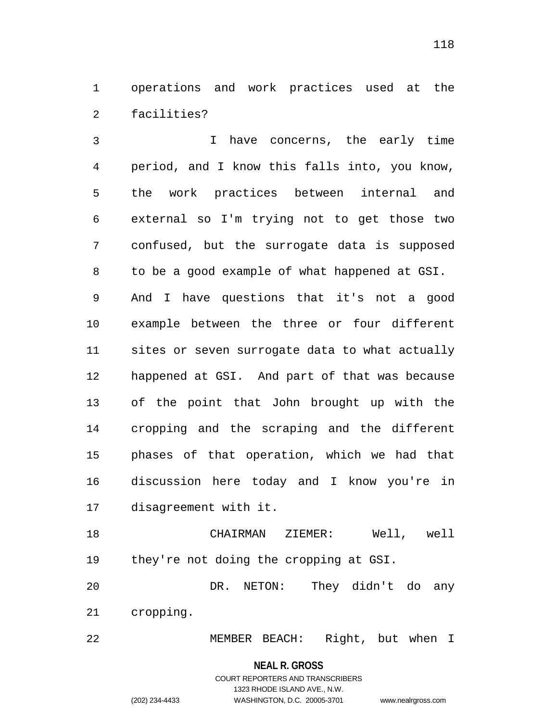1 operations and work practices used at the 2 facilities?

3 4 5 6 7 8 9 10 11 12 13 14 15 16 17 I have concerns, the early time period, and I know this falls into, you know, the work practices between internal and external so I'm trying not to get those two confused, but the surrogate data is supposed to be a good example of what happened at GSI. And I have questions that it's not a good example between the three or four different sites or seven surrogate data to what actually happened at GSI. And part of that was because of the point that John brought up with the cropping and the scraping and the different phases of that operation, which we had that discussion here today and I know you're in disagreement with it.

18 19 CHAIRMAN ZIEMER: Well, well they're not doing the cropping at GSI.

20 21 DR. NETON: They didn't do any cropping.

22 MEMBER BEACH: Right, but when I

**NEAL R. GROSS**

# COURT REPORTERS AND TRANSCRIBERS 1323 RHODE ISLAND AVE., N.W. (202) 234-4433 WASHINGTON, D.C. 20005-3701 www.nealrgross.com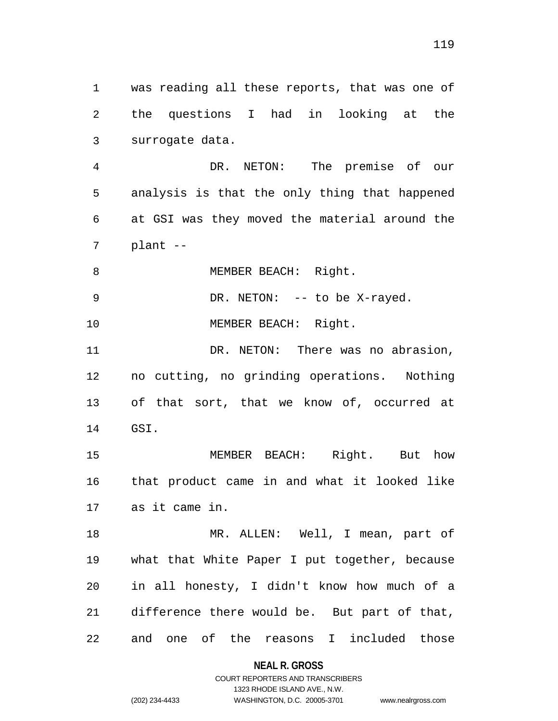1 was reading all these reports, that was one of 2 3 the questions I had in looking at the surrogate data.

4 5 6 7 DR. NETON: The premise of our analysis is that the only thing that happened at GSI was they moved the material around the plant --

8 MEMBER BEACH: Right.

9 DR. NETON: -- to be X-rayed.

10 MEMBER BEACH: Right.

11 12 13 14 DR. NETON: There was no abrasion, no cutting, no grinding operations. Nothing of that sort, that we know of, occurred at GSI.

15 16 17 MEMBER BEACH: Right. But how that product came in and what it looked like as it came in.

18 19 20 21 22 MR. ALLEN: Well, I mean, part of what that White Paper I put together, because in all honesty, I didn't know how much of a difference there would be. But part of that, and one of the reasons I included those

**NEAL R. GROSS**

COURT REPORTERS AND TRANSCRIBERS 1323 RHODE ISLAND AVE., N.W. (202) 234-4433 WASHINGTON, D.C. 20005-3701 www.nealrgross.com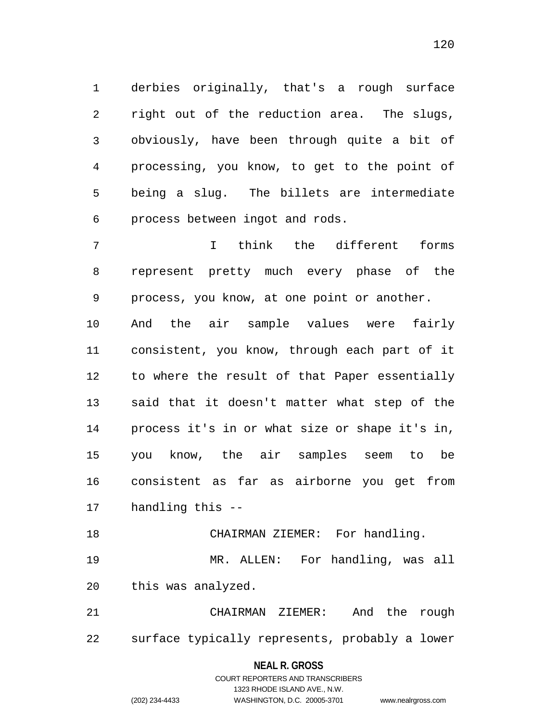1 derbies originally, that's a rough surface 2 3 4 5 6 right out of the reduction area. The slugs, obviously, have been through quite a bit of processing, you know, to get to the point of being a slug. The billets are intermediate process between ingot and rods.

7 8 9 10 11 12 13 14 15 16 17 I think the different forms represent pretty much every phase of the process, you know, at one point or another. And the air sample values were fairly consistent, you know, through each part of it to where the result of that Paper essentially said that it doesn't matter what step of the process it's in or what size or shape it's in, you know, the air samples seem to be consistent as far as airborne you get from handling this --

18 19 20 CHAIRMAN ZIEMER: For handling. MR. ALLEN: For handling, was all this was analyzed.

21 22 CHAIRMAN ZIEMER: And the rough surface typically represents, probably a lower

### **NEAL R. GROSS**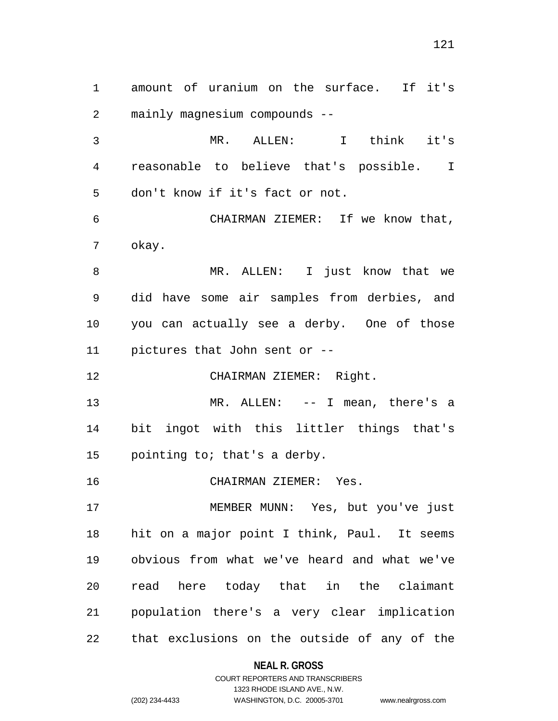1 amount of uranium on the surface. If it's 2 mainly magnesium compounds --

3 4 5 MR. ALLEN: I think it's reasonable to believe that's possible. I don't know if it's fact or not.

6 7 CHAIRMAN ZIEMER: If we know that, okay.

8 9 10 11 MR. ALLEN: I just know that we did have some air samples from derbies, and you can actually see a derby. One of those pictures that John sent or --

12 CHAIRMAN ZIEMER: Right.

13 14 15 MR. ALLEN: -- I mean, there's a bit ingot with this littler things that's pointing to; that's a derby.

16 CHAIRMAN ZIEMER: Yes.

17 18 19 20 21 22 MEMBER MUNN: Yes, but you've just hit on a major point I think, Paul. It seems obvious from what we've heard and what we've read here today that in the claimant population there's a very clear implication that exclusions on the outside of any of the

**NEAL R. GROSS**

# COURT REPORTERS AND TRANSCRIBERS 1323 RHODE ISLAND AVE., N.W. (202) 234-4433 WASHINGTON, D.C. 20005-3701 www.nealrgross.com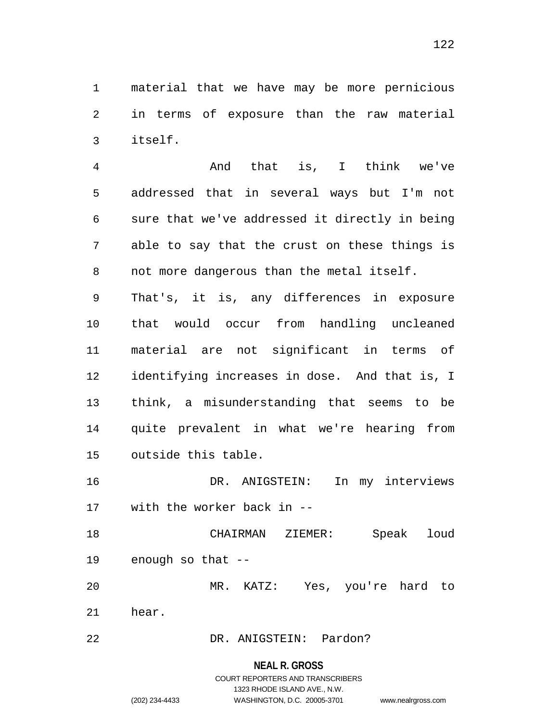1 material that we have may be more pernicious 2 3 in terms of exposure than the raw material itself.

4 5 6 7 8 And that is, I think we've addressed that in several ways but I'm not sure that we've addressed it directly in being able to say that the crust on these things is not more dangerous than the metal itself.

9 10 11 12 13 14 15 That's, it is, any differences in exposure that would occur from handling uncleaned material are not significant in terms of identifying increases in dose. And that is, I think, a misunderstanding that seems to be quite prevalent in what we're hearing from outside this table.

16 17 DR. ANIGSTEIN: In my interviews with the worker back in --

18 19 CHAIRMAN ZIEMER: Speak loud enough so that --

20 21 MR. KATZ: Yes, you're hard to hear.

22 DR. ANIGSTEIN: Pardon?

### **NEAL R. GROSS**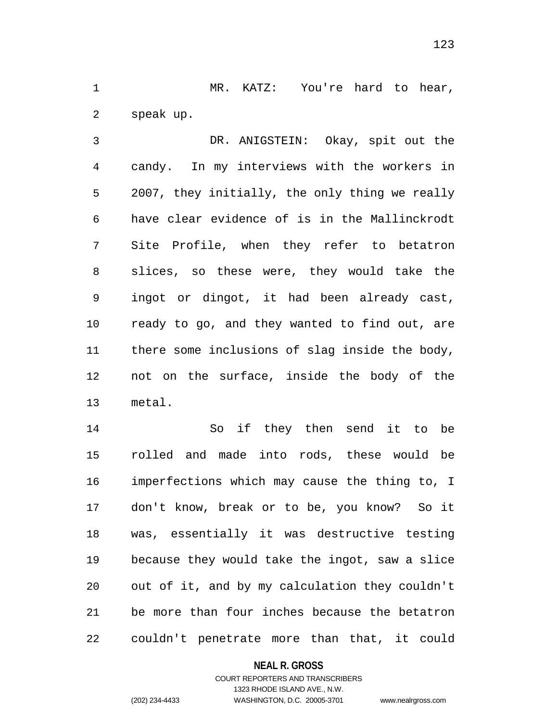1 MR. KATZ: You're hard to hear, 2 speak up.

3 4 5 6 7 8 9 10 11 12 13 DR. ANIGSTEIN: Okay, spit out the candy. In my interviews with the workers in 2007, they initially, the only thing we really have clear evidence of is in the Mallinckrodt Site Profile, when they refer to betatron slices, so these were, they would take the ingot or dingot, it had been already cast, ready to go, and they wanted to find out, are there some inclusions of slag inside the body, not on the surface, inside the body of the metal.

14 15 16 17 18 19 20 21 22 So if they then send it to be rolled and made into rods, these would be imperfections which may cause the thing to, I don't know, break or to be, you know? So it was, essentially it was destructive testing because they would take the ingot, saw a slice out of it, and by my calculation they couldn't be more than four inches because the betatron couldn't penetrate more than that, it could

### **NEAL R. GROSS**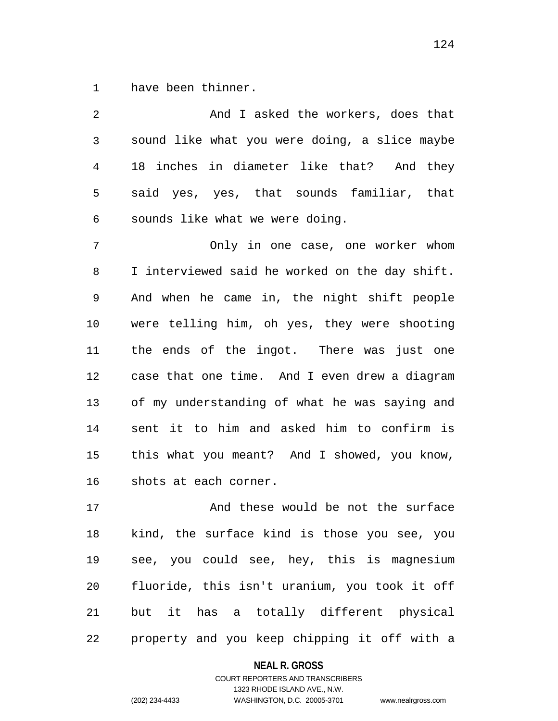1 have been thinner.

| 2  | And I asked the workers, does that             |
|----|------------------------------------------------|
| 3  | sound like what you were doing, a slice maybe  |
| 4  | 18 inches in diameter like that? And they      |
| 5  | said yes, yes, that sounds familiar, that      |
| 6  | sounds like what we were doing.                |
| 7  | Only in one case, one worker whom              |
| 8  | I interviewed said he worked on the day shift. |
| 9  | And when he came in, the night shift people    |
| 10 | were telling him, oh yes, they were shooting   |
| 11 | the ends of the ingot. There was just one      |
| 12 | case that one time. And I even drew a diagram  |
| 13 | of my understanding of what he was saying and  |
| 14 | sent it to him and asked him to confirm is     |
| 15 | this what you meant? And I showed, you know,   |
| 16 | shots at each corner.                          |
| 17 | And these would be not the surface             |
| 18 | kind, the surface kind is those you see, you   |
| 19 | see, you could see, hey, this is magnesium     |
| 20 | fluoride, this isn't uranium, you took it off  |

21 22 but it has a totally different physical property and you keep chipping it off with a

### **NEAL R. GROSS**

### COURT REPORTERS AND TRANSCRIBERS 1323 RHODE ISLAND AVE., N.W. (202) 234-4433 WASHINGTON, D.C. 20005-3701 www.nealrgross.com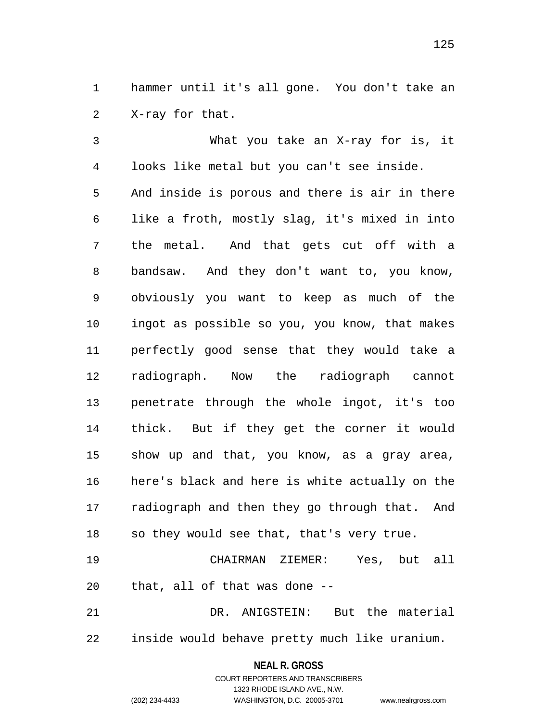1 hammer until it's all gone. You don't take an 2 X-ray for that.

3 4 5 6 7 8 9 10 11 12 13 14 15 16 17 18 What you take an X-ray for is, it looks like metal but you can't see inside. And inside is porous and there is air in there like a froth, mostly slag, it's mixed in into the metal. And that gets cut off with a bandsaw. And they don't want to, you know, obviously you want to keep as much of the ingot as possible so you, you know, that makes perfectly good sense that they would take a radiograph. Now the radiograph cannot penetrate through the whole ingot, it's too thick. But if they get the corner it would show up and that, you know, as a gray area, here's black and here is white actually on the radiograph and then they go through that. And so they would see that, that's very true.

19 20 CHAIRMAN ZIEMER: Yes, but all that, all of that was done --

21 22 DR. ANIGSTEIN: But the material inside would behave pretty much like uranium.

### **NEAL R. GROSS**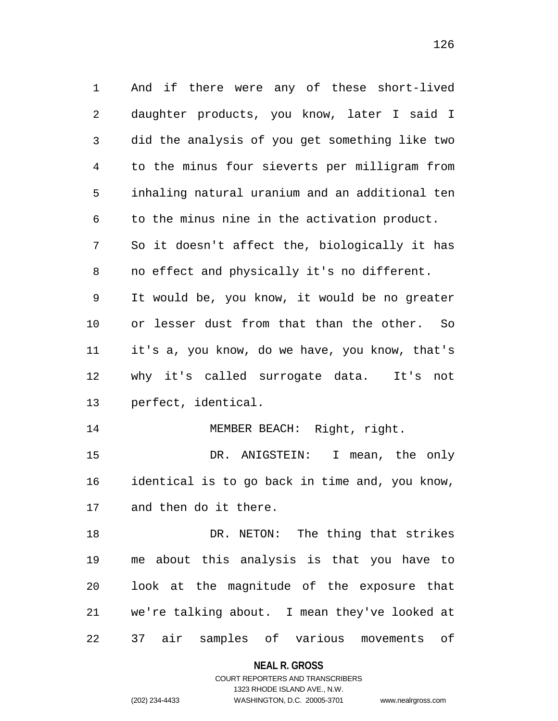1 And if there were any of these short-lived 2 3 4 5 6 7 8 9 10 11 12 13 14 15 16 17 18 19 20 21 daughter products, you know, later I said I did the analysis of you get something like two to the minus four sieverts per milligram from inhaling natural uranium and an additional ten to the minus nine in the activation product. So it doesn't affect the, biologically it has no effect and physically it's no different. It would be, you know, it would be no greater or lesser dust from that than the other. So it's a, you know, do we have, you know, that's why it's called surrogate data. It's not perfect, identical. MEMBER BEACH: Right, right. DR. ANIGSTEIN: I mean, the only identical is to go back in time and, you know, and then do it there. DR. NETON: The thing that strikes me about this analysis is that you have to look at the magnitude of the exposure that we're talking about. I mean they've looked at

22 37 air samples of various movements of

**NEAL R. GROSS**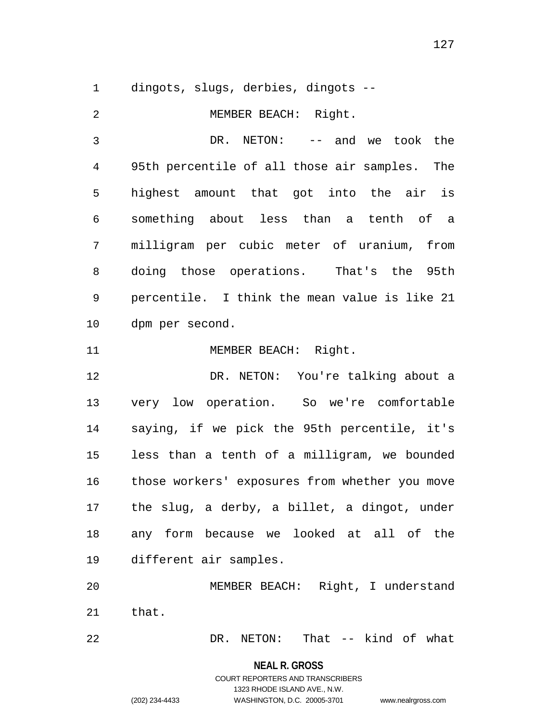1 dingots, slugs, derbies, dingots --

2 3 4 5 6 7 8 9 10 11 12 13 14 15 16 17 18 19 20 21 22 MEMBER BEACH: Right. DR. NETON: -- and we took the 95th percentile of all those air samples. The highest amount that got into the air is something about less than a tenth of a milligram per cubic meter of uranium, from doing those operations. That's the 95th percentile. I think the mean value is like 21 dpm per second. MEMBER BEACH: Right. DR. NETON: You're talking about a very low operation. So we're comfortable saying, if we pick the 95th percentile, it's less than a tenth of a milligram, we bounded those workers' exposures from whether you move the slug, a derby, a billet, a dingot, under any form because we looked at all of the different air samples. MEMBER BEACH: Right, I understand that. DR. NETON: That -- kind of what

**NEAL R. GROSS**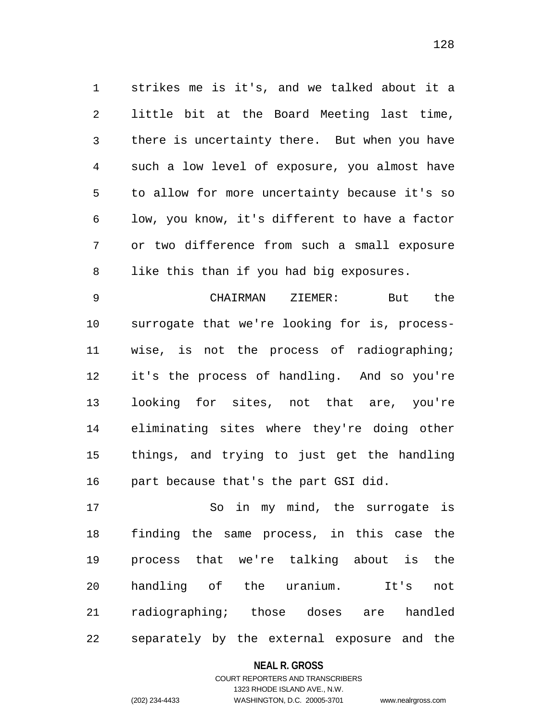1 strikes me is it's, and we talked about it a 2 3 4 5 6 7 8 little bit at the Board Meeting last time, there is uncertainty there. But when you have such a low level of exposure, you almost have to allow for more uncertainty because it's so low, you know, it's different to have a factor or two difference from such a small exposure like this than if you had big exposures.

9 10 11 12 13 14 15 16 CHAIRMAN ZIEMER: But the surrogate that we're looking for is, processwise, is not the process of radiographing; it's the process of handling. And so you're looking for sites, not that are, you're eliminating sites where they're doing other things, and trying to just get the handling part because that's the part GSI did.

17 18 19 20 21 22 So in my mind, the surrogate is finding the same process, in this case the process that we're talking about is the handling of the uranium. It's not radiographing; those doses are handled separately by the external exposure and the

### **NEAL R. GROSS**

## COURT REPORTERS AND TRANSCRIBERS 1323 RHODE ISLAND AVE., N.W. (202) 234-4433 WASHINGTON, D.C. 20005-3701 www.nealrgross.com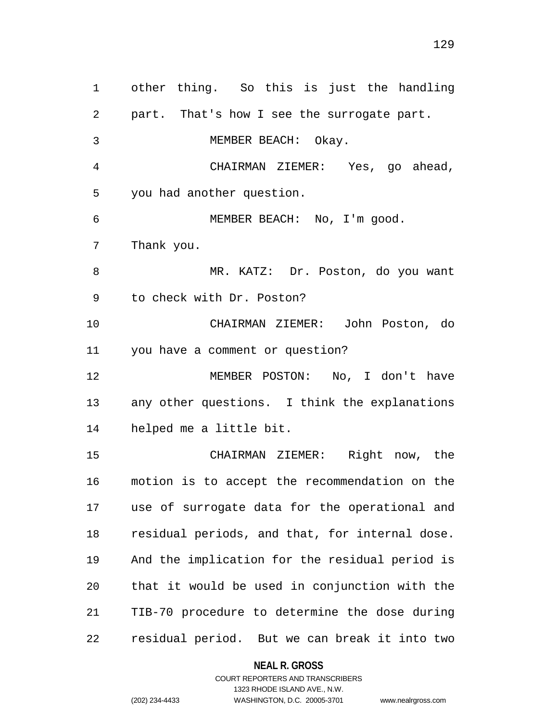1 other thing. So this is just the handling 2 3 4 5 6 7 8 9 10 11 12 13 14 15 16 17 18 19 20 21 22 part. That's how I see the surrogate part. MEMBER BEACH: Okay. CHAIRMAN ZIEMER: Yes, go ahead, you had another question. MEMBER BEACH: No, I'm good. Thank you. MR. KATZ: Dr. Poston, do you want to check with Dr. Poston? CHAIRMAN ZIEMER: John Poston, do you have a comment or question? MEMBER POSTON: No, I don't have any other questions. I think the explanations helped me a little bit. CHAIRMAN ZIEMER: Right now, the motion is to accept the recommendation on the use of surrogate data for the operational and residual periods, and that, for internal dose. And the implication for the residual period is that it would be used in conjunction with the TIB-70 procedure to determine the dose during residual period. But we can break it into two

> **NEAL R. GROSS** COURT REPORTERS AND TRANSCRIBERS

1323 RHODE ISLAND AVE., N.W. (202) 234-4433 WASHINGTON, D.C. 20005-3701 www.nealrgross.com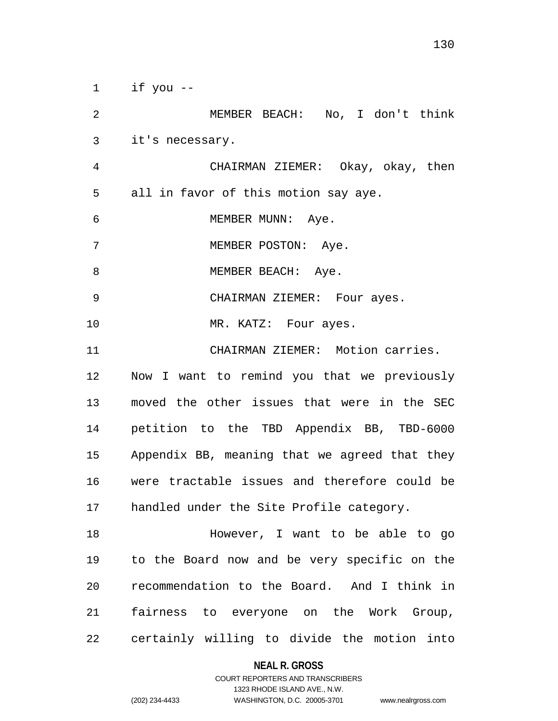1 if you --

2 3 4 5 6 7 8 9 10 11 12 13 14 15 16 17 18 19 20 MEMBER BEACH: No, I don't think it's necessary. CHAIRMAN ZIEMER: Okay, okay, then all in favor of this motion say aye. MEMBER MUNN: Aye. MEMBER POSTON: Aye. MEMBER BEACH: Aye. CHAIRMAN ZIEMER: Four ayes. MR. KATZ: Four ayes. CHAIRMAN ZIEMER: Motion carries. Now I want to remind you that we previously moved the other issues that were in the SEC petition to the TBD Appendix BB, TBD-6000 Appendix BB, meaning that we agreed that they were tractable issues and therefore could be handled under the Site Profile category. However, I want to be able to go to the Board now and be very specific on the recommendation to the Board. And I think in

22 certainly willing to divide the motion into

#### **NEAL R. GROSS**

fairness to everyone on the Work Group,

COURT REPORTERS AND TRANSCRIBERS 1323 RHODE ISLAND AVE., N.W. (202) 234-4433 WASHINGTON, D.C. 20005-3701 www.nealrgross.com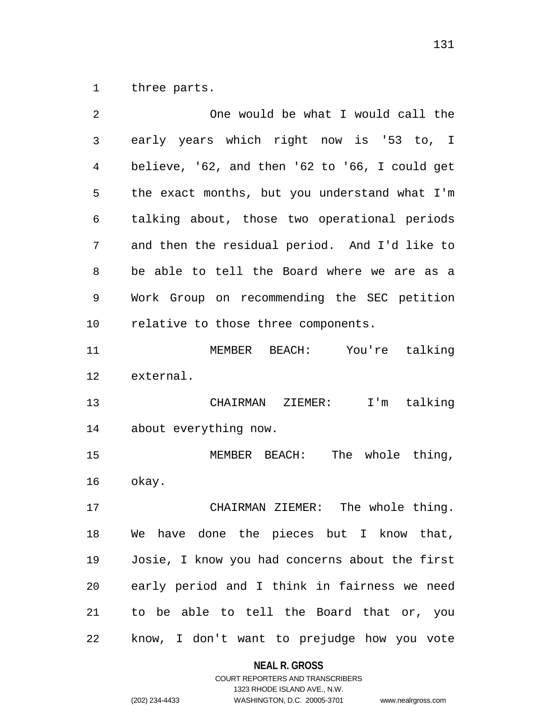1 three parts.

| 2  | One would be what I would call the             |
|----|------------------------------------------------|
| 3  | early years which right now is '53 to, I       |
| 4  | believe, '62, and then '62 to '66, I could get |
| 5  | the exact months, but you understand what I'm  |
| 6  | talking about, those two operational periods   |
| 7  | and then the residual period. And I'd like to  |
| 8  | be able to tell the Board where we are as a    |
| 9  | Work Group on recommending the SEC petition    |
| 10 | relative to those three components.            |
| 11 | MEMBER BEACH: You're talking                   |
| 12 | external.                                      |
| 13 | CHAIRMAN ZIEMER: I'm talking                   |
| 14 | about everything now.                          |
| 15 | MEMBER BEACH: The whole thing,                 |
| 16 | okay.                                          |
| 17 | CHAIRMAN ZIEMER: The whole thing.              |
| 18 | We have done the pieces but I know that,       |
| 19 | Josie, I know you had concerns about the first |
| 20 | early period and I think in fairness we need   |
| 21 | to be able to tell the Board that or, you      |
| 22 | know, I don't want to prejudge how you vote    |

# **NEAL R. GROSS**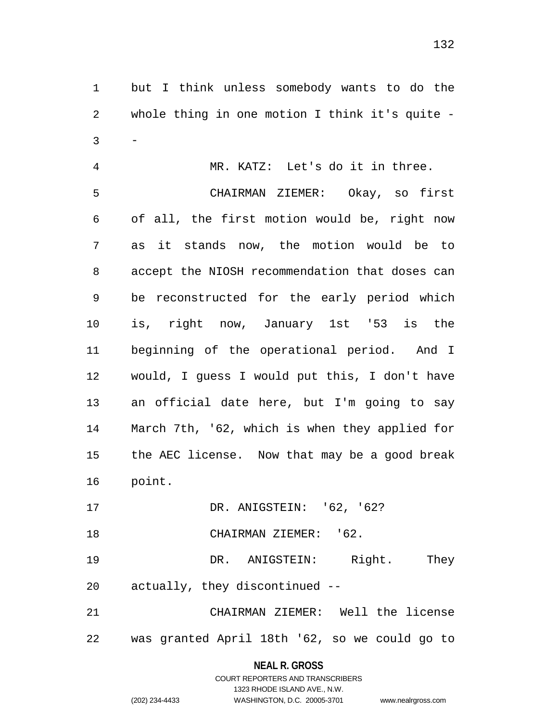1 but I think unless somebody wants to do the 2 3 whole thing in one motion I think it's quite --

4 5 6 7 8 9 10 11 12 13 14 15 16 MR. KATZ: Let's do it in three. CHAIRMAN ZIEMER: Okay, so first of all, the first motion would be, right now as it stands now, the motion would be to accept the NIOSH recommendation that doses can be reconstructed for the early period which is, right now, January 1st '53 is the beginning of the operational period. And I would, I guess I would put this, I don't have an official date here, but I'm going to say March 7th, '62, which is when they applied for the AEC license. Now that may be a good break point.

17 DR. ANIGSTEIN: '62, '62?

18 CHAIRMAN ZIEMER: '62.

19 20 DR. ANIGSTEIN: Right. They actually, they discontinued --

21 22 CHAIRMAN ZIEMER: Well the license was granted April 18th '62, so we could go to

**NEAL R. GROSS**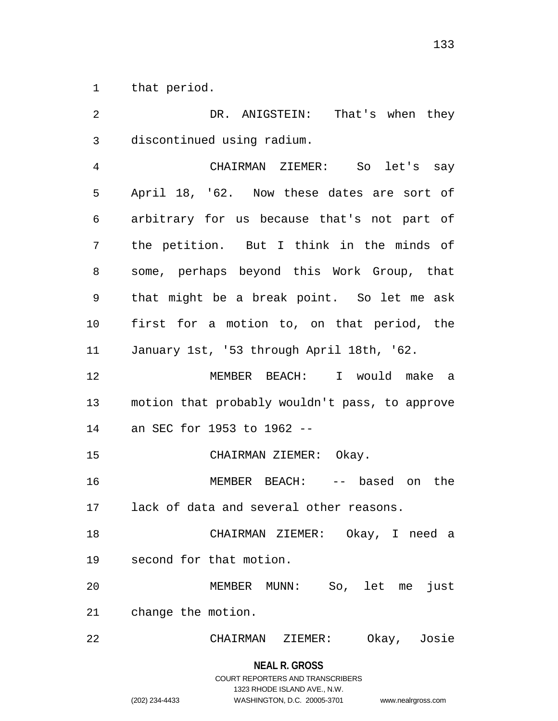1 that period.

2 3 4 5 6 7 8 9 10 11 12 13 14 15 16 17 18 19 20 21 22 DR. ANIGSTEIN: That's when they discontinued using radium. CHAIRMAN ZIEMER: So let's say April 18, '62. Now these dates are sort of arbitrary for us because that's not part of the petition. But I think in the minds of some, perhaps beyond this Work Group, that that might be a break point. So let me ask first for a motion to, on that period, the January 1st, '53 through April 18th, '62. MEMBER BEACH: I would make a motion that probably wouldn't pass, to approve an SEC for 1953 to 1962 -- CHAIRMAN ZIEMER: Okay. MEMBER BEACH: -- based on the lack of data and several other reasons. CHAIRMAN ZIEMER: Okay, I need a second for that motion. MEMBER MUNN: So, let me just change the motion. CHAIRMAN ZIEMER: Okay, Josie

> **NEAL R. GROSS** COURT REPORTERS AND TRANSCRIBERS 1323 RHODE ISLAND AVE., N.W. (202) 234-4433 WASHINGTON, D.C. 20005-3701 www.nealrgross.com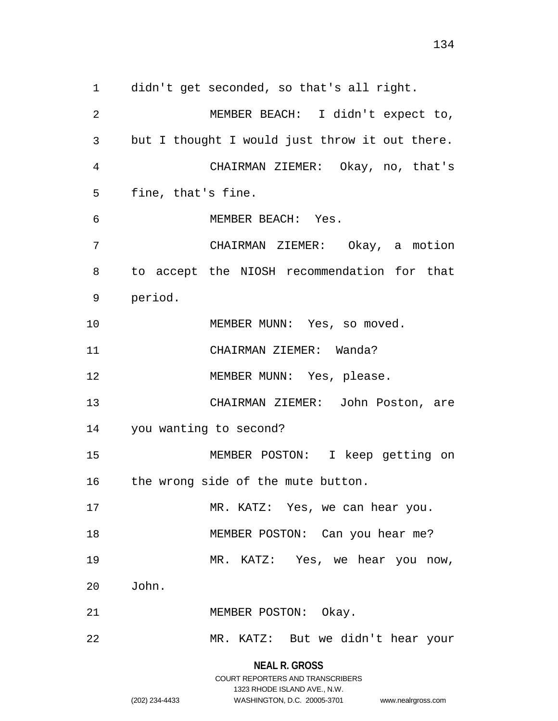1 didn't get seconded, so that's all right. 2 3 4 5 6 7 8 9 10 11 12 13 14 15 16 17 18 19 20 21 22 MEMBER BEACH: I didn't expect to, but I thought I would just throw it out there. CHAIRMAN ZIEMER: Okay, no, that's fine, that's fine. MEMBER BEACH: Yes. CHAIRMAN ZIEMER: Okay, a motion to accept the NIOSH recommendation for that period. MEMBER MUNN: Yes, so moved. CHAIRMAN ZIEMER: Wanda? MEMBER MUNN: Yes, please. CHAIRMAN ZIEMER: John Poston, are you wanting to second? MEMBER POSTON: I keep getting on the wrong side of the mute button. MR. KATZ: Yes, we can hear you. MEMBER POSTON: Can you hear me? MR. KATZ: Yes, we hear you now, John. MEMBER POSTON: Okay. MR. KATZ: But we didn't hear your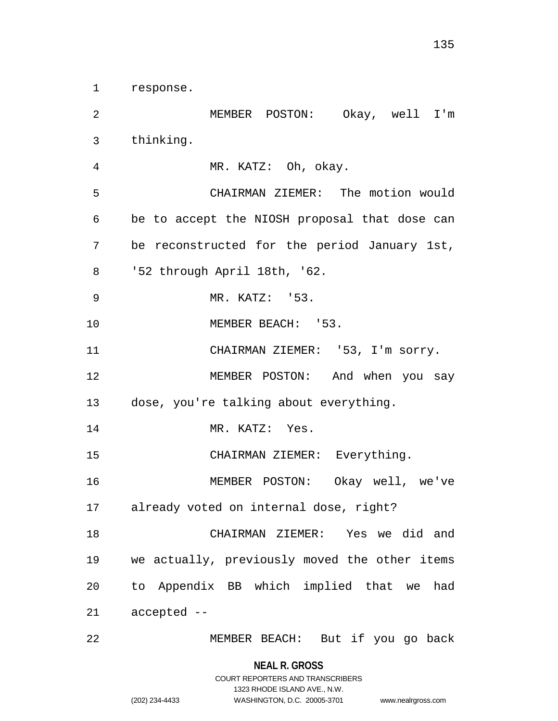1 response.

2 3 4 5 6 7 8 9 10 11 12 13 14 15 16 17 18 19 20 21 22 MEMBER POSTON: Okay, well I'm thinking. MR. KATZ: Oh, okay. CHAIRMAN ZIEMER: The motion would be to accept the NIOSH proposal that dose can be reconstructed for the period January 1st, '52 through April 18th, '62. MR. KATZ: '53. MEMBER BEACH: '53. CHAIRMAN ZIEMER: '53, I'm sorry. MEMBER POSTON: And when you say dose, you're talking about everything. MR. KATZ: Yes. CHAIRMAN ZIEMER: Everything. MEMBER POSTON: Okay well, we've already voted on internal dose, right? CHAIRMAN ZIEMER: Yes we did and we actually, previously moved the other items to Appendix BB which implied that we had accepted -- MEMBER BEACH: But if you go back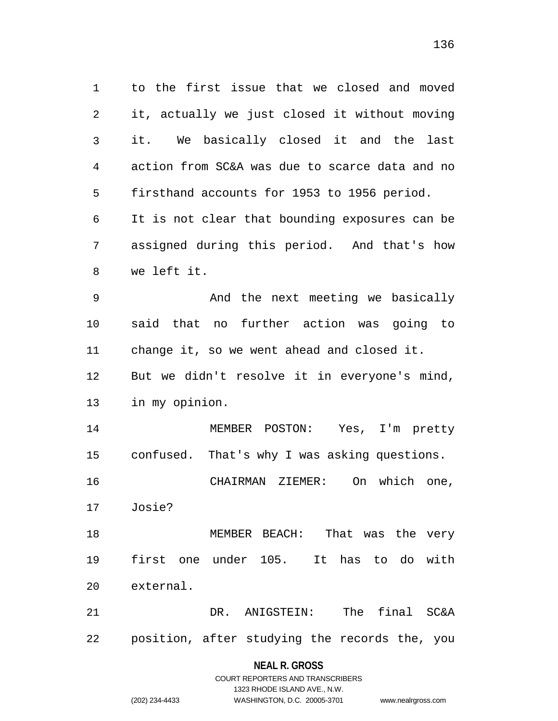1 to the first issue that we closed and moved 2 3 4 5 6 7 8 9 10 11 12 13 14 15 16 17 18 19 20 21 22 it, actually we just closed it without moving it. We basically closed it and the last action from SC&A was due to scarce data and no firsthand accounts for 1953 to 1956 period. It is not clear that bounding exposures can be assigned during this period. And that's how we left it. And the next meeting we basically said that no further action was going to change it, so we went ahead and closed it. But we didn't resolve it in everyone's mind, in my opinion. MEMBER POSTON: Yes, I'm pretty confused. That's why I was asking questions. CHAIRMAN ZIEMER: On which one, Josie? MEMBER BEACH: That was the very first one under 105. It has to do with external. DR. ANIGSTEIN: The final SC&A position, after studying the records the, you

#### **NEAL R. GROSS**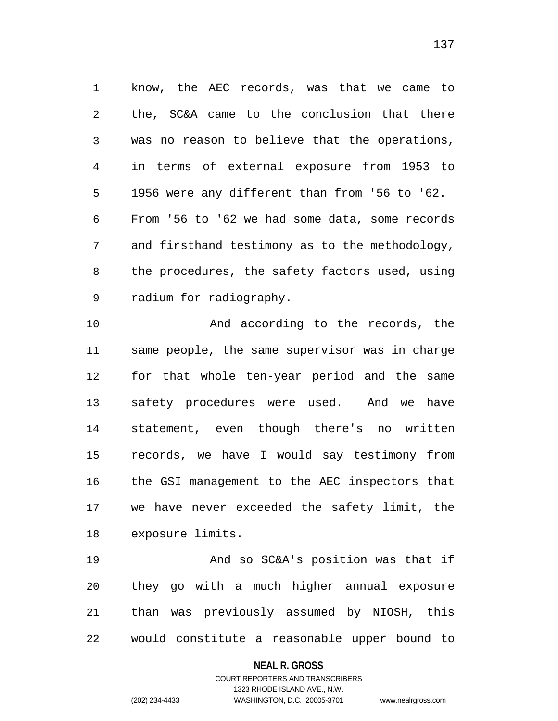1 know, the AEC records, was that we came to 2 3 4 5 6 7 8 9 the, SC&A came to the conclusion that there was no reason to believe that the operations, in terms of external exposure from 1953 to 1956 were any different than from '56 to '62. From '56 to '62 we had some data, some records and firsthand testimony as to the methodology, the procedures, the safety factors used, using radium for radiography.

10 11 12 13 14 15 16 17 18 And according to the records, the same people, the same supervisor was in charge for that whole ten-year period and the same safety procedures were used. And we have statement, even though there's no written records, we have I would say testimony from the GSI management to the AEC inspectors that we have never exceeded the safety limit, the exposure limits.

19 20 21 22 And so SC&A's position was that if they go with a much higher annual exposure than was previously assumed by NIOSH, this would constitute a reasonable upper bound to

### **NEAL R. GROSS**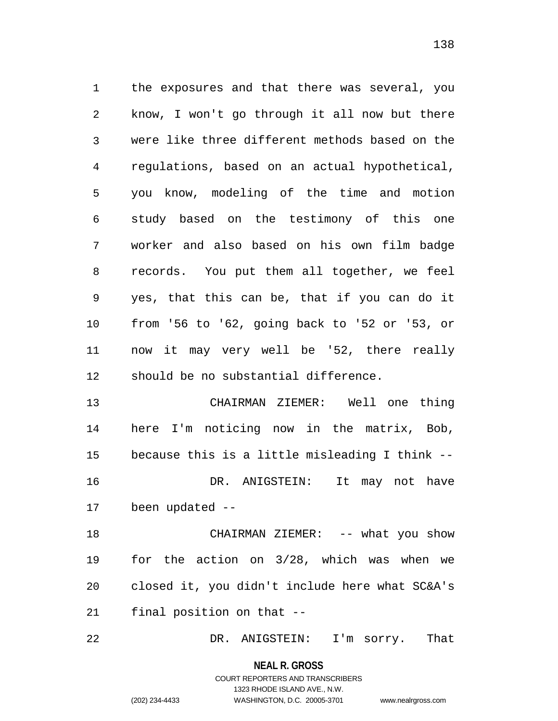1 the exposures and that there was several, you 2 3 4 5 6 7 8 9 10 11 12 know, I won't go through it all now but there were like three different methods based on the regulations, based on an actual hypothetical, you know, modeling of the time and motion study based on the testimony of this one worker and also based on his own film badge records. You put them all together, we feel yes, that this can be, that if you can do it from '56 to '62, going back to '52 or '53, or now it may very well be '52, there really should be no substantial difference.

13 14 15 16 17 CHAIRMAN ZIEMER: Well one thing here I'm noticing now in the matrix, Bob, because this is a little misleading I think -- DR. ANIGSTEIN: It may not have been updated --

18 19 20 21 CHAIRMAN ZIEMER: -- what you show for the action on 3/28, which was when we closed it, you didn't include here what SC&A's final position on that --

22 DR. ANIGSTEIN: I'm sorry. That

**NEAL R. GROSS**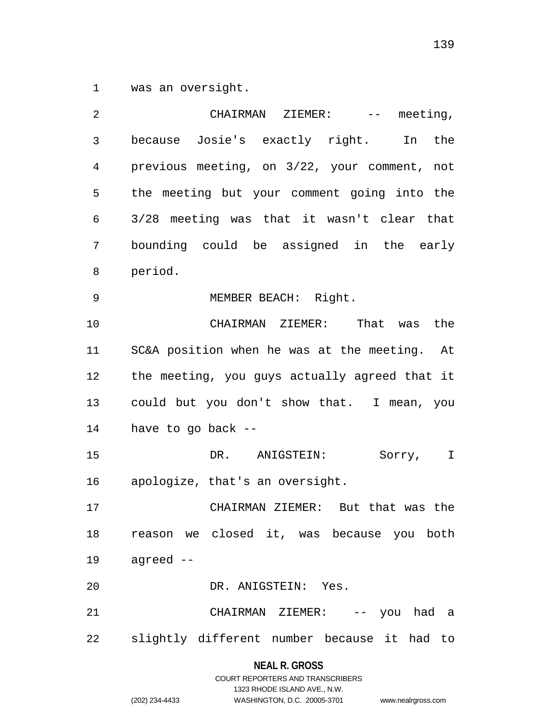1 was an oversight.

| 2  | CHAIRMAN<br>ZIEMER:<br>$\mathcal{L}(\mathcal{L}(\mathcal{L}))=\mathcal{L}(\mathcal{L}(\mathcal{L}))$<br>meeting, |
|----|------------------------------------------------------------------------------------------------------------------|
| 3  | because Josie's exactly right.<br>the<br>In                                                                      |
| 4  | previous meeting, on 3/22, your comment, not                                                                     |
| 5  | the meeting but your comment going into the                                                                      |
| 6  | 3/28 meeting was that it wasn't clear that                                                                       |
| 7  | bounding could be assigned in the early                                                                          |
| 8  | period.                                                                                                          |
| 9  | MEMBER BEACH: Right.                                                                                             |
| 10 | CHAIRMAN ZIEMER: That was<br>the                                                                                 |
| 11 | SC&A position when he was at the meeting. At                                                                     |
| 12 | the meeting, you guys actually agreed that it                                                                    |
| 13 | could but you don't show that. I mean, you                                                                       |
| 14 | have to go back --                                                                                               |
| 15 | DR. ANIGSTEIN:<br>Sorry,<br>$\mathbf I$                                                                          |
| 16 | apologize, that's an oversight.                                                                                  |
| 17 | CHAIRMAN ZIEMER: But that was the                                                                                |
| 18 | reason we closed it, was because you both                                                                        |
| 19 | agreed --                                                                                                        |
| 20 | DR. ANIGSTEIN: Yes.                                                                                              |
| 21 | CHAIRMAN ZIEMER: -- you had a                                                                                    |
| 22 | slightly different number because it had to                                                                      |
|    |                                                                                                                  |

**NEAL R. GROSS**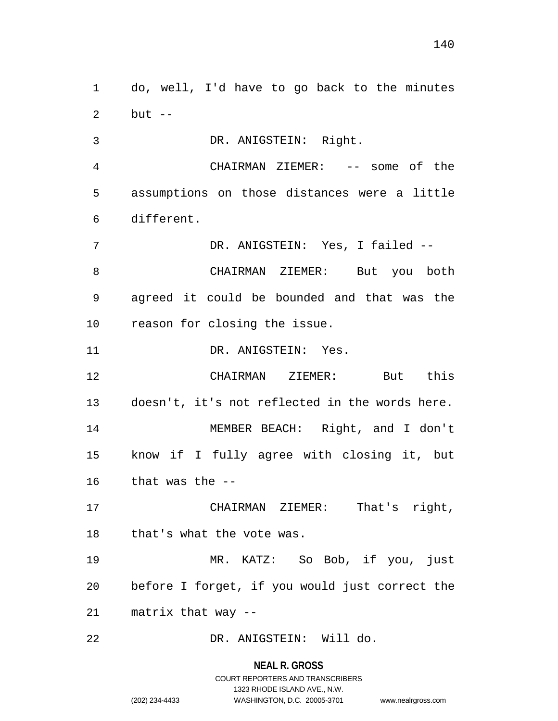1 do, well, I'd have to go back to the minutes 2 but  $--$ 

3 DR. ANIGSTEIN: Right.

4 5 6 CHAIRMAN ZIEMER: -- some of the assumptions on those distances were a little different.

7 8 9 10 DR. ANIGSTEIN: Yes, I failed -- CHAIRMAN ZIEMER: But you both agreed it could be bounded and that was the reason for closing the issue.

11 DR. ANIGSTEIN: Yes.

12 13 14 15 16 CHAIRMAN ZIEMER: But this doesn't, it's not reflected in the words here. MEMBER BEACH: Right, and I don't know if I fully agree with closing it, but that was the --

17 18 CHAIRMAN ZIEMER: That's right, that's what the vote was.

19 20 21 MR. KATZ: So Bob, if you, just before I forget, if you would just correct the matrix that way --

22 DR. ANIGSTEIN: Will do.

**NEAL R. GROSS**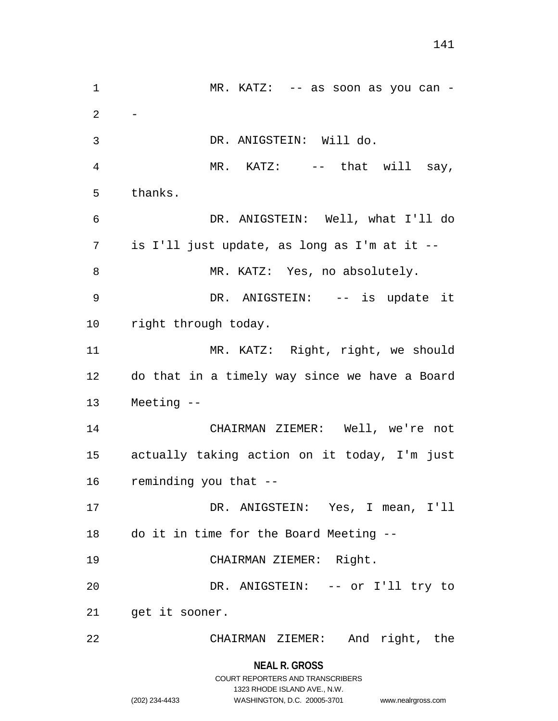1 MR. KATZ: -- as soon as you can -2 3 4 5 6 7 8 9 10 11 12 13 14 15 16 17 18 19 20 21 22 - DR. ANIGSTEIN: Will do. MR. KATZ: -- that will say, thanks. DR. ANIGSTEIN: Well, what I'll do is I'll just update, as long as I'm at it -- MR. KATZ: Yes, no absolutely. DR. ANIGSTEIN: -- is update it right through today. MR. KATZ: Right, right, we should do that in a timely way since we have a Board Meeting -- CHAIRMAN ZIEMER: Well, we're not actually taking action on it today, I'm just reminding you that -- DR. ANIGSTEIN: Yes, I mean, I'll do it in time for the Board Meeting -- CHAIRMAN ZIEMER: Right. DR. ANIGSTEIN: -- or I'll try to get it sooner. CHAIRMAN ZIEMER: And right, the

### **NEAL R. GROSS**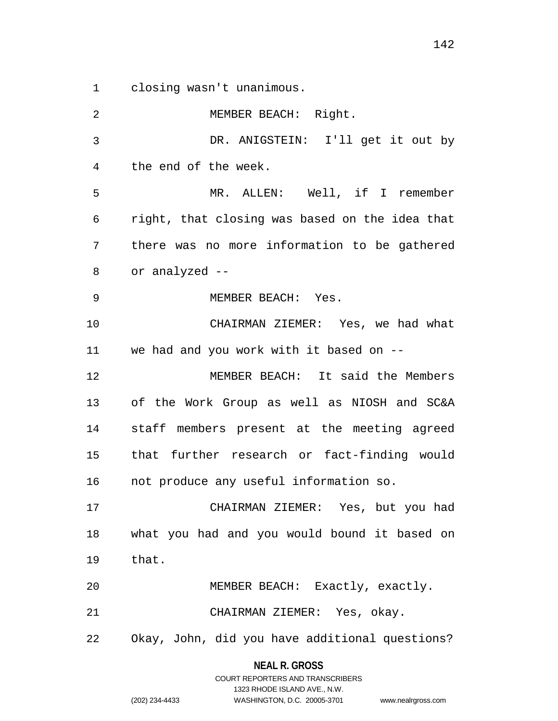1 closing wasn't unanimous.

2 3 4 5 6 7 8 9 10 11 12 13 14 15 16 17 18 19 20 21 22 MEMBER BEACH: Right. DR. ANIGSTEIN: I'll get it out by the end of the week. MR. ALLEN: Well, if I remember right, that closing was based on the idea that there was no more information to be gathered or analyzed -- MEMBER BEACH: Yes. CHAIRMAN ZIEMER: Yes, we had what we had and you work with it based on -- MEMBER BEACH: It said the Members of the Work Group as well as NIOSH and SC&A staff members present at the meeting agreed that further research or fact-finding would not produce any useful information so. CHAIRMAN ZIEMER: Yes, but you had what you had and you would bound it based on that. MEMBER BEACH: Exactly, exactly. CHAIRMAN ZIEMER: Yes, okay. Okay, John, did you have additional questions?

### **NEAL R. GROSS** COURT REPORTERS AND TRANSCRIBERS

1323 RHODE ISLAND AVE., N.W.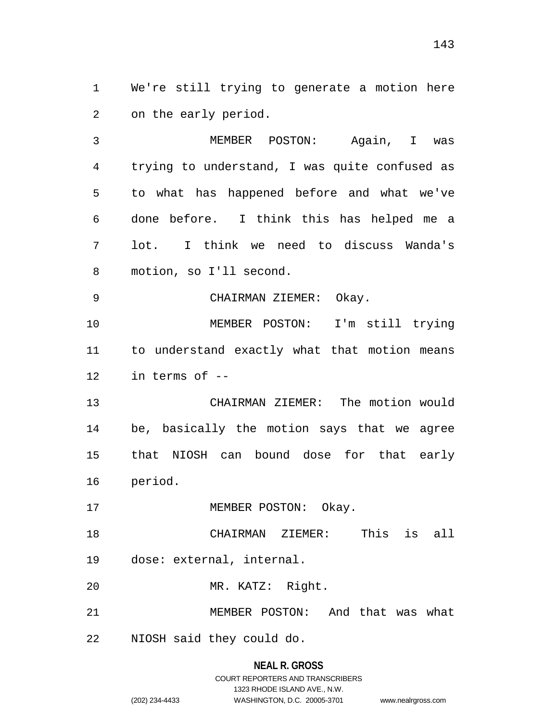1 We're still trying to generate a motion here 2 on the early period.

3 4 5 6 7 8 MEMBER POSTON: Again, I was trying to understand, I was quite confused as to what has happened before and what we've done before. I think this has helped me a lot. I think we need to discuss Wanda's motion, so I'll second.

9 CHAIRMAN ZIEMER: Okay.

10 11 12 MEMBER POSTON: I'm still trying to understand exactly what that motion means in terms of --

13 14 15 16 CHAIRMAN ZIEMER: The motion would be, basically the motion says that we agree that NIOSH can bound dose for that early period.

17 MEMBER POSTON: Okay.

18 19 CHAIRMAN ZIEMER: This is all dose: external, internal.

20 MR. KATZ: Right.

21 MEMBER POSTON: And that was what

22 NIOSH said they could do.

# **NEAL R. GROSS** COURT REPORTERS AND TRANSCRIBERS 1323 RHODE ISLAND AVE., N.W. (202) 234-4433 WASHINGTON, D.C. 20005-3701 www.nealrgross.com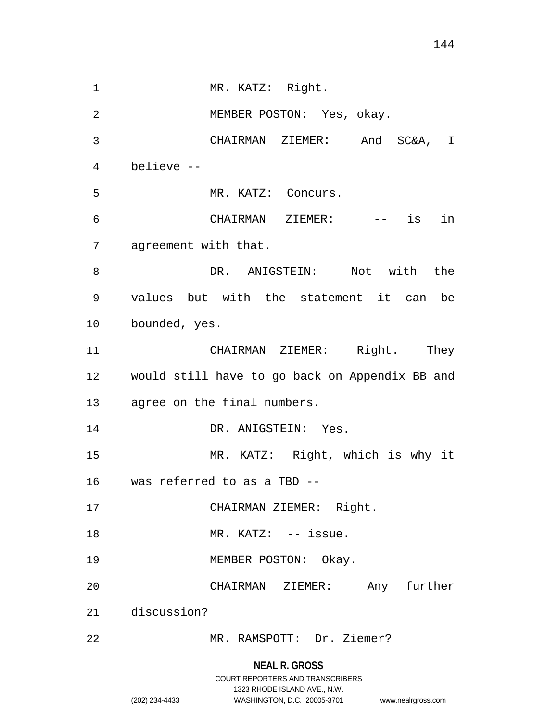1 MR. KATZ: Right. 2 3 4 5 6 7 8 9 10 11 12 13 14 15 16 17 18 19 20 21 22 MEMBER POSTON: Yes, okay. CHAIRMAN ZIEMER: And SC&A, I believe -- MR. KATZ: Concurs. CHAIRMAN ZIEMER: -- is in agreement with that. DR. ANIGSTEIN: Not with the values but with the statement it can be bounded, yes. CHAIRMAN ZIEMER: Right. They would still have to go back on Appendix BB and agree on the final numbers. DR. ANIGSTEIN: Yes. MR. KATZ: Right, which is why it was referred to as a TBD -- CHAIRMAN ZIEMER: Right. MR. KATZ: -- issue. MEMBER POSTON: Okay. CHAIRMAN ZIEMER: Any further discussion? MR. RAMSPOTT: Dr. Ziemer?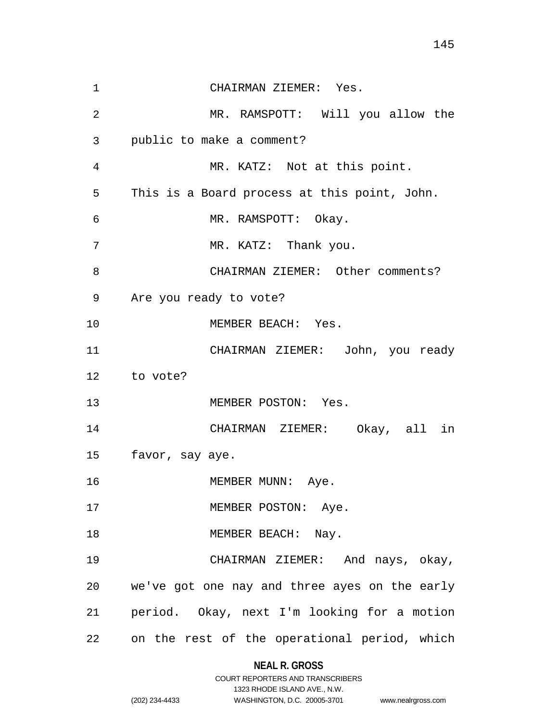1 CHAIRMAN ZIEMER: Yes. 2 3 4 5 6 7 8 9 10 11 12 13 14 15 16 17 18 19 20 21 22 MR. RAMSPOTT: Will you allow the public to make a comment? MR. KATZ: Not at this point. This is a Board process at this point, John. MR. RAMSPOTT: Okay. MR. KATZ: Thank you. CHAIRMAN ZIEMER: Other comments? Are you ready to vote? MEMBER BEACH: Yes. CHAIRMAN ZIEMER: John, you ready to vote? MEMBER POSTON: Yes. CHAIRMAN ZIEMER: Okay, all in favor, say aye. MEMBER MUNN: Aye. MEMBER POSTON: Aye. MEMBER BEACH: Nay. CHAIRMAN ZIEMER: And nays, okay, we've got one nay and three ayes on the early period. Okay, next I'm looking for a motion on the rest of the operational period, which

### **NEAL R. GROSS**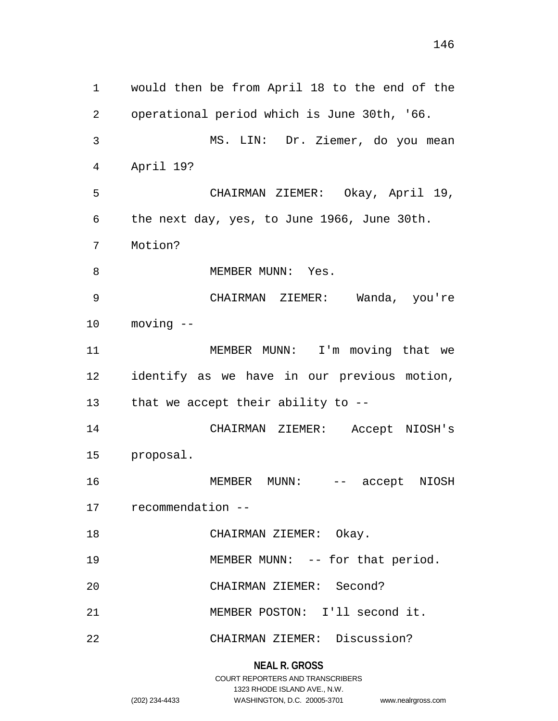1 would then be from April 18 to the end of the 2 3 4 5 6 7 8 9 10 11 12 13 14 15 16 17 18 19 20 21 22 operational period which is June 30th, '66. MS. LIN: Dr. Ziemer, do you mean April 19? CHAIRMAN ZIEMER: Okay, April 19, the next day, yes, to June 1966, June 30th. Motion? MEMBER MUNN: Yes. CHAIRMAN ZIEMER: Wanda, you're moving -- MEMBER MUNN: I'm moving that we identify as we have in our previous motion, that we accept their ability to -- CHAIRMAN ZIEMER: Accept NIOSH's proposal. MEMBER MUNN: -- accept NIOSH recommendation -- CHAIRMAN ZIEMER: Okay. MEMBER MUNN: -- for that period. CHAIRMAN ZIEMER: Second? MEMBER POSTON: I'll second it. CHAIRMAN ZIEMER: Discussion?

> **NEAL R. GROSS** COURT REPORTERS AND TRANSCRIBERS

> > 1323 RHODE ISLAND AVE., N.W.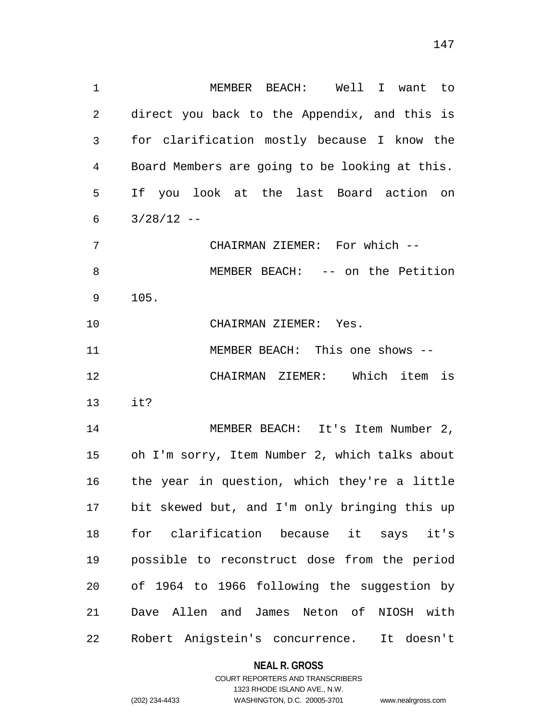| $\mathbf{1}$   | MEMBER BEACH: Well I want to                    |
|----------------|-------------------------------------------------|
| 2              | direct you back to the Appendix, and this is    |
| 3              | for clarification mostly because I know the     |
| $\overline{4}$ | Board Members are going to be looking at this.  |
| 5              | If you look at the last Board action on         |
| 6              | $3/28/12$ --                                    |
| 7              | CHAIRMAN ZIEMER: For which --                   |
| 8              | MEMBER BEACH: -- on the Petition                |
| 9              | 105.                                            |
| 10             | CHAIRMAN ZIEMER: Yes.                           |
| 11             | MEMBER BEACH: This one shows --                 |
| 12             | CHAIRMAN ZIEMER: Which item is                  |
| 13             | it?                                             |
| 14             | MEMBER BEACH: It's Item Number 2,               |
| 15             | oh I'm sorry, Item Number 2, which talks about  |
|                | 16 the year in question, which they're a little |
| 17             | bit skewed but, and I'm only bringing this up   |
| 18             | for clarification because it says it's          |
| 19             | possible to reconstruct dose from the period    |
| 20             | of 1964 to 1966 following the suggestion by     |
| 21             | Dave Allen and James Neton of NIOSH with        |
| 22             | Robert Anigstein's concurrence. It doesn't      |

# **NEAL R. GROSS**

# COURT REPORTERS AND TRANSCRIBERS 1323 RHODE ISLAND AVE., N.W. (202) 234-4433 WASHINGTON, D.C. 20005-3701 www.nealrgross.com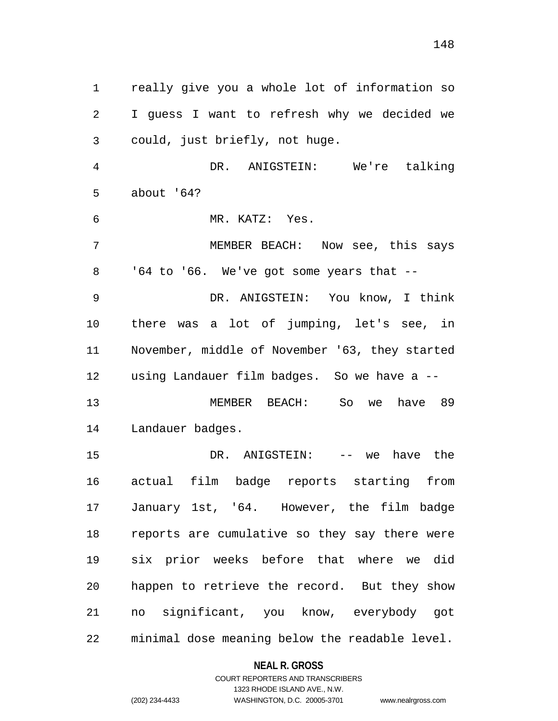1 really give you a whole lot of information so 2 3 4 5 6 7 8 9 10 11 12 13 14 15 16 17 18 19 20 21 22 I guess I want to refresh why we decided we could, just briefly, not huge. DR. ANIGSTEIN: We're talking about '64? MR. KATZ: Yes. MEMBER BEACH: Now see, this says  $164$  to  $166$ . We've got some years that  $-$  DR. ANIGSTEIN: You know, I think there was a lot of jumping, let's see, in November, middle of November '63, they started using Landauer film badges. So we have a -- MEMBER BEACH: So we have 89 Landauer badges. DR. ANIGSTEIN: -- we have the actual film badge reports starting from January 1st, '64. However, the film badge reports are cumulative so they say there were six prior weeks before that where we did happen to retrieve the record. But they show no significant, you know, everybody got minimal dose meaning below the readable level.

#### **NEAL R. GROSS**

COURT REPORTERS AND TRANSCRIBERS 1323 RHODE ISLAND AVE., N.W. (202) 234-4433 WASHINGTON, D.C. 20005-3701 www.nealrgross.com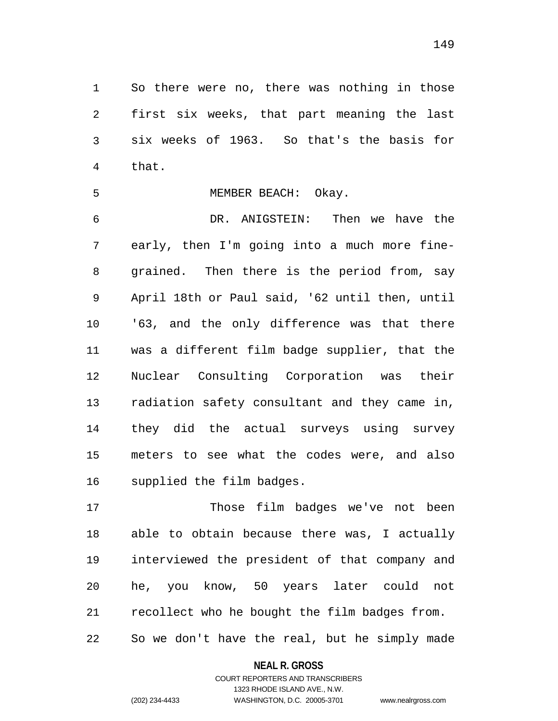1 So there were no, there was nothing in those 2 3 4 first six weeks, that part meaning the last six weeks of 1963. So that's the basis for that.

5 MEMBER BEACH: Okay.

6 7 8 9 10 11 12 13 14 15 16 DR. ANIGSTEIN: Then we have the early, then I'm going into a much more finegrained. Then there is the period from, say April 18th or Paul said, '62 until then, until '63, and the only difference was that there was a different film badge supplier, that the Nuclear Consulting Corporation was their radiation safety consultant and they came in, they did the actual surveys using survey meters to see what the codes were, and also supplied the film badges.

17 18 19 20 21 22 Those film badges we've not been able to obtain because there was, I actually interviewed the president of that company and he, you know, 50 years later could not recollect who he bought the film badges from. So we don't have the real, but he simply made

> **NEAL R. GROSS** COURT REPORTERS AND TRANSCRIBERS

> > 1323 RHODE ISLAND AVE., N.W.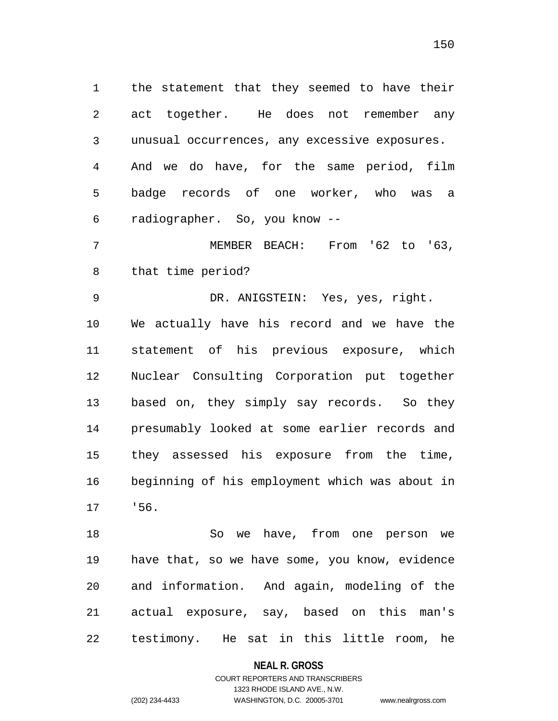1 the statement that they seemed to have their 2 3 4 5 6 act together. He does not remember any unusual occurrences, any excessive exposures. And we do have, for the same period, film badge records of one worker, who was a radiographer. So, you know --

7 8 MEMBER BEACH: From '62 to '63, that time period?

9 10 11 12 13 14 15 16 17 DR. ANIGSTEIN: Yes, yes, right. We actually have his record and we have the statement of his previous exposure, which Nuclear Consulting Corporation put together based on, they simply say records. So they presumably looked at some earlier records and they assessed his exposure from the time, beginning of his employment which was about in '56.

18 19 20 21 22 So we have, from one person we have that, so we have some, you know, evidence and information. And again, modeling of the actual exposure, say, based on this man's testimony. He sat in this little room, he

#### **NEAL R. GROSS**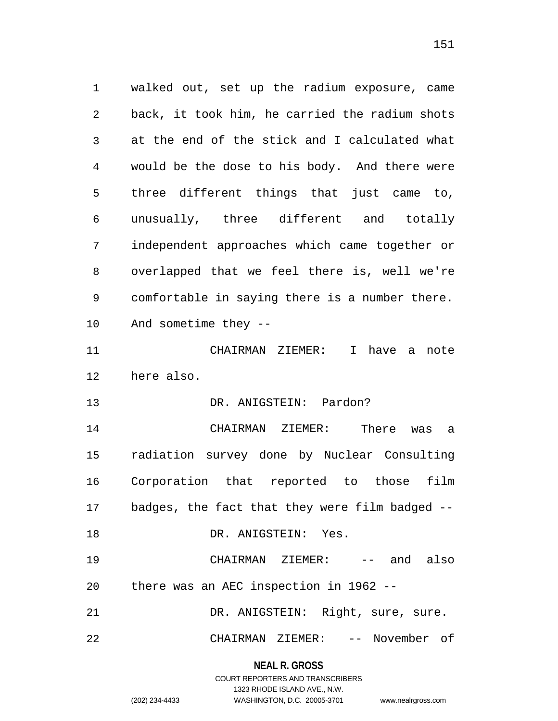1 walked out, set up the radium exposure, came 2 3 4 5 6 7 8 9 10 11 12 13 14 15 16 17 18 19 20 21 22 back, it took him, he carried the radium shots at the end of the stick and I calculated what would be the dose to his body. And there were three different things that just came to, unusually, three different and totally independent approaches which came together or overlapped that we feel there is, well we're comfortable in saying there is a number there. And sometime they -- CHAIRMAN ZIEMER: I have a note here also. DR. ANIGSTEIN: Pardon? CHAIRMAN ZIEMER: There was a radiation survey done by Nuclear Consulting Corporation that reported to those film badges, the fact that they were film badged -- DR. ANIGSTEIN: Yes. CHAIRMAN ZIEMER: -- and also there was an AEC inspection in 1962 -- DR. ANIGSTEIN: Right, sure, sure. CHAIRMAN ZIEMER: -- November of

> **NEAL R. GROSS** COURT REPORTERS AND TRANSCRIBERS

> > 1323 RHODE ISLAND AVE., N.W.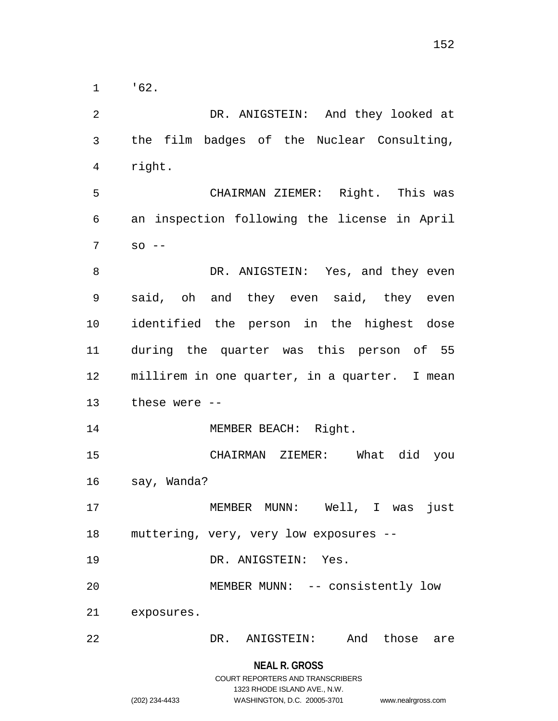1 '62.

2 3 4 5 6 7 8 9 10 11 12 13 14 15 16 17 18 19 20 21 22 DR. ANIGSTEIN: And they looked at the film badges of the Nuclear Consulting, right. CHAIRMAN ZIEMER: Right. This was an inspection following the license in April  $SO - -$ DR. ANIGSTEIN: Yes, and they even said, oh and they even said, they even identified the person in the highest dose during the quarter was this person of 55 millirem in one quarter, in a quarter. I mean these were -- MEMBER BEACH: Right. CHAIRMAN ZIEMER: What did you say, Wanda? MEMBER MUNN: Well, I was just muttering, very, very low exposures -- DR. ANIGSTEIN: Yes. MEMBER MUNN: -- consistently low exposures. DR. ANIGSTEIN: And those are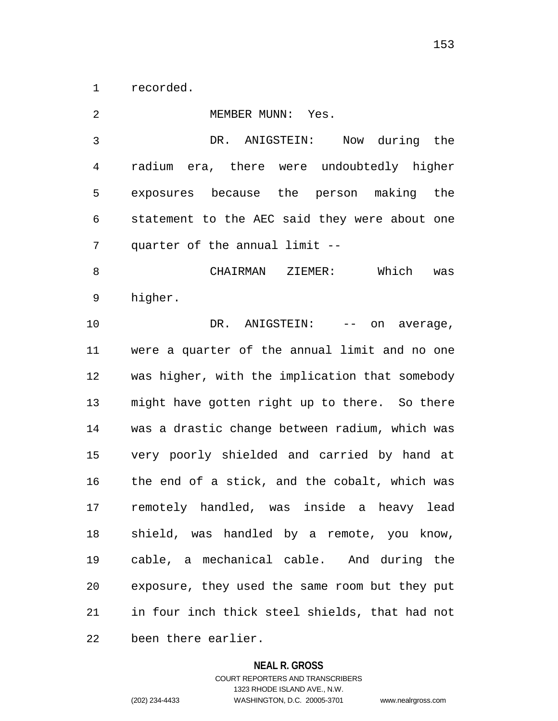1 recorded.

2 3 4 5 6 7 8 9 10 11 12 13 14 15 16 17 18 19 20 21 22 MEMBER MUNN: Yes. DR. ANIGSTEIN: Now during the radium era, there were undoubtedly higher exposures because the person making the statement to the AEC said they were about one quarter of the annual limit -- CHAIRMAN ZIEMER: Which was higher. DR. ANIGSTEIN: -- on average, were a quarter of the annual limit and no one was higher, with the implication that somebody might have gotten right up to there. So there was a drastic change between radium, which was very poorly shielded and carried by hand at the end of a stick, and the cobalt, which was remotely handled, was inside a heavy lead shield, was handled by a remote, you know, cable, a mechanical cable. And during the exposure, they used the same room but they put in four inch thick steel shields, that had not been there earlier.

#### **NEAL R. GROSS**

COURT REPORTERS AND TRANSCRIBERS 1323 RHODE ISLAND AVE., N.W. (202) 234-4433 WASHINGTON, D.C. 20005-3701 www.nealrgross.com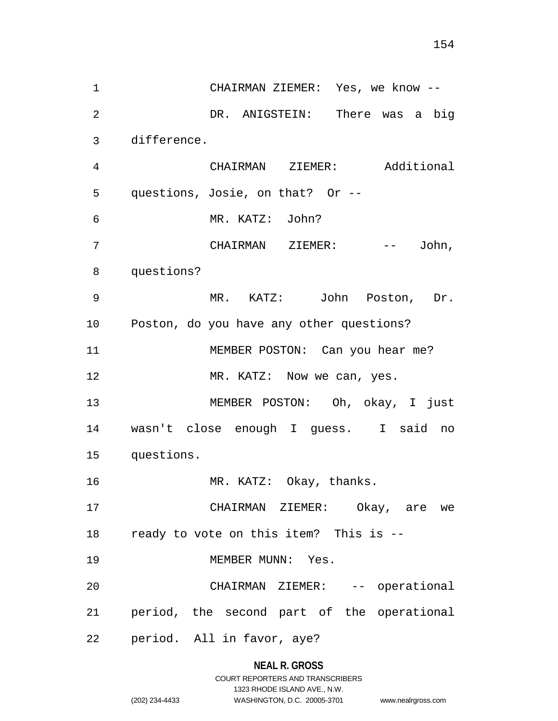1 CHAIRMAN ZIEMER: Yes, we know -- 2 3 4 5 6 7 8 9 10 11 12 13 14 15 16 17 18 19 20 21 22 DR. ANIGSTEIN: There was a big difference. CHAIRMAN ZIEMER: Additional questions, Josie, on that? Or -- MR. KATZ: John? CHAIRMAN ZIEMER: -- John, questions? MR. KATZ: John Poston, Dr. Poston, do you have any other questions? MEMBER POSTON: Can you hear me? MR. KATZ: Now we can, yes. MEMBER POSTON: Oh, okay, I just wasn't close enough I guess. I said no questions. MR. KATZ: Okay, thanks. CHAIRMAN ZIEMER: Okay, are we ready to vote on this item? This is -- MEMBER MUNN: Yes. CHAIRMAN ZIEMER: -- operational period, the second part of the operational period. All in favor, aye?

# **NEAL R. GROSS**

|                | COURT REPORTERS AND TRANSCRIBERS |                    |
|----------------|----------------------------------|--------------------|
|                | 1323 RHODE ISLAND AVE N.W.       |                    |
| (202) 234-4433 | WASHINGTON, D.C. 20005-3701      | www.nealrgross.com |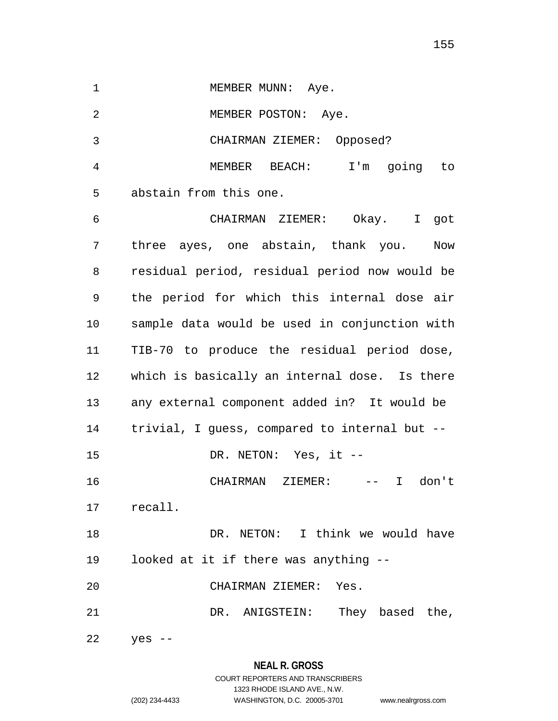155

1 MEMBER MUNN: Aye.

2 MEMBER POSTON: Aye.

3 CHAIRMAN ZIEMER: Opposed?

4 5 MEMBER BEACH: I'm going to abstain from this one.

6 7 8 9 10 11 12 13 14 15 16 17 18 19 20 21 CHAIRMAN ZIEMER: Okay. I got three ayes, one abstain, thank you. Now residual period, residual period now would be the period for which this internal dose air sample data would be used in conjunction with TIB-70 to produce the residual period dose, which is basically an internal dose. Is there any external component added in? It would be trivial, I guess, compared to internal but -- DR. NETON: Yes, it -- CHAIRMAN ZIEMER: -- I don't recall. DR. NETON: I think we would have looked at it if there was anything -- CHAIRMAN ZIEMER: Yes. DR. ANIGSTEIN: They based the,

22 yes --

# **NEAL R. GROSS** COURT REPORTERS AND TRANSCRIBERS

# 1323 RHODE ISLAND AVE., N.W. (202) 234-4433 WASHINGTON, D.C. 20005-3701 www.nealrgross.com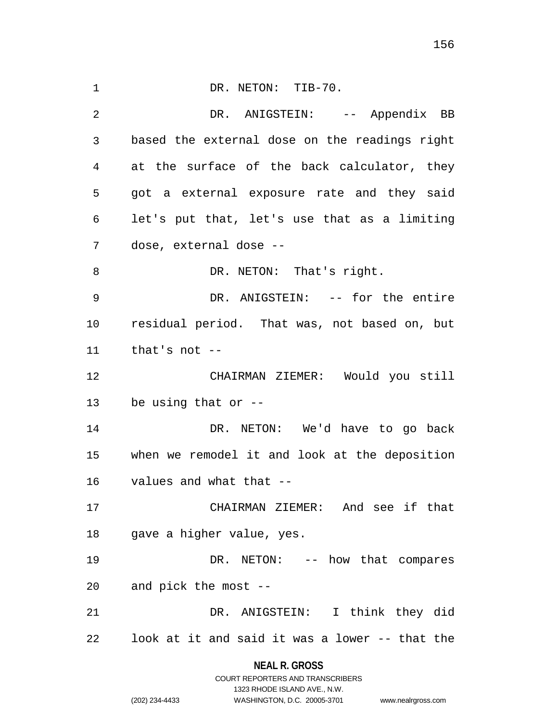1 DR. NETON: TIB-70. 2 3 4 5 6 7 8 9 10 11 12 13 14 15 16 17 18 19 20 21 22 DR. ANIGSTEIN: -- Appendix BB based the external dose on the readings right at the surface of the back calculator, they got a external exposure rate and they said let's put that, let's use that as a limiting dose, external dose -- DR. NETON: That's right. DR. ANIGSTEIN: -- for the entire residual period. That was, not based on, but that's not -- CHAIRMAN ZIEMER: Would you still be using that or -- DR. NETON: We'd have to go back when we remodel it and look at the deposition values and what that -- CHAIRMAN ZIEMER: And see if that gave a higher value, yes. DR. NETON: -- how that compares and pick the most -- DR. ANIGSTEIN: I think they did look at it and said it was a lower -- that the

# **NEAL R. GROSS** COURT REPORTERS AND TRANSCRIBERS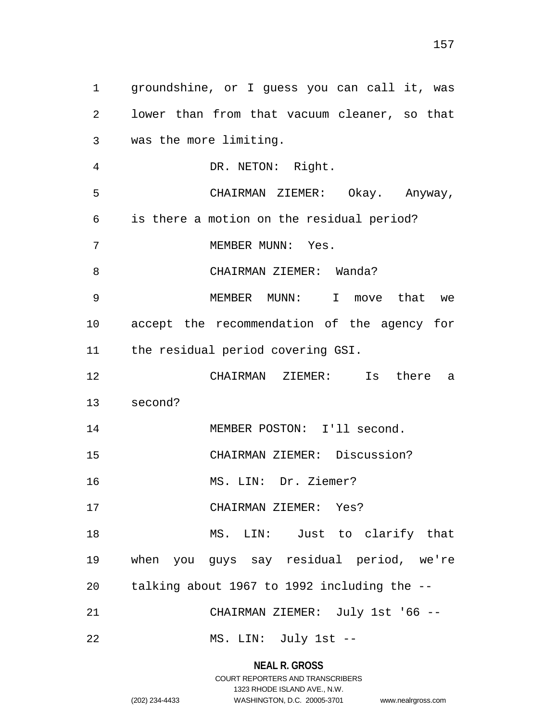1 groundshine, or I guess you can call it, was 2 3 4 5 6 7 8 9 10 11 12 13 14 15 16 17 18 19 20 21 22 lower than from that vacuum cleaner, so that was the more limiting. DR. NETON: Right. CHAIRMAN ZIEMER: Okay. Anyway, is there a motion on the residual period? MEMBER MUNN: Yes. CHAIRMAN ZIEMER: Wanda? MEMBER MUNN: I move that we accept the recommendation of the agency for the residual period covering GSI. CHAIRMAN ZIEMER: Is there a second? MEMBER POSTON: I'll second. CHAIRMAN ZIEMER: Discussion? MS. LIN: Dr. Ziemer? CHAIRMAN ZIEMER: Yes? MS. LIN: Just to clarify that when you guys say residual period, we're talking about 1967 to 1992 including the -- CHAIRMAN ZIEMER: July 1st '66 -- MS. LIN: July 1st --

**NEAL R. GROSS**

COURT REPORTERS AND TRANSCRIBERS 1323 RHODE ISLAND AVE., N.W. (202) 234-4433 WASHINGTON, D.C. 20005-3701 www.nealrgross.com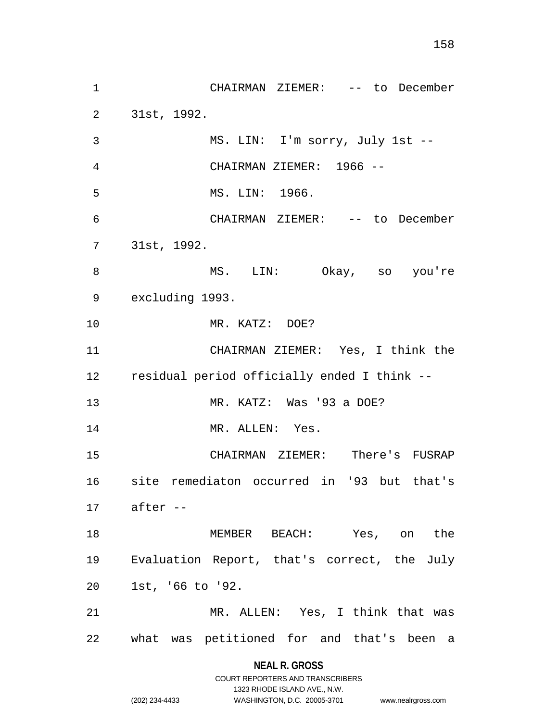1 CHAIRMAN ZIEMER: -- to December 2 3 4 5 6 7 8 9 10 11 12 13 14 15 16 17 18 19 20 21 22 31st, 1992. MS. LIN: I'm sorry, July 1st -- CHAIRMAN ZIEMER: 1966 -- MS. LIN: 1966. CHAIRMAN ZIEMER: -- to December 31st, 1992. MS. LIN: Okay, so you're excluding 1993. MR. KATZ: DOE? CHAIRMAN ZIEMER: Yes, I think the residual period officially ended I think -- MR. KATZ: Was '93 a DOE? MR. ALLEN: Yes. CHAIRMAN ZIEMER: There's FUSRAP site remediaton occurred in '93 but that's after -- MEMBER BEACH: Yes, on the Evaluation Report, that's correct, the July 1st, '66 to '92. MR. ALLEN: Yes, I think that was what was petitioned for and that's been a

> **NEAL R. GROSS** COURT REPORTERS AND TRANSCRIBERS

> > 1323 RHODE ISLAND AVE., N.W.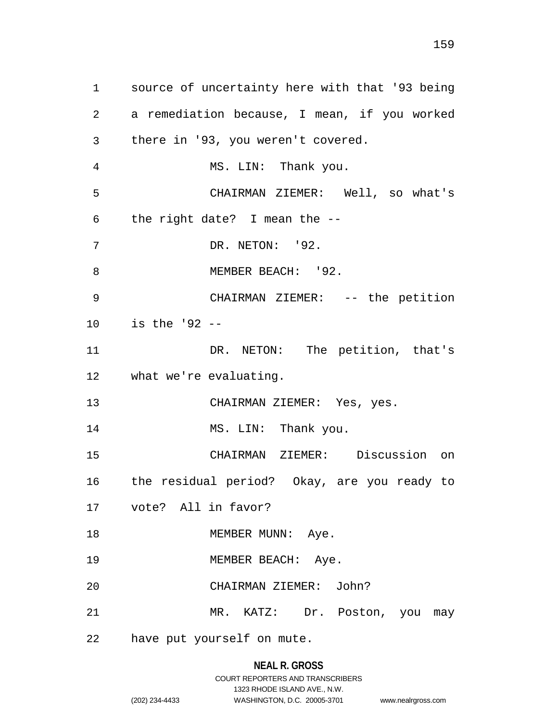1 source of uncertainty here with that '93 being 2 3 4 5 6 7 8 9 10 11 12 13 14 15 16 17 18 19 20 21 22 a remediation because, I mean, if you worked there in '93, you weren't covered. MS. LIN: Thank you. CHAIRMAN ZIEMER: Well, so what's the right date? I mean the -- DR. NETON: '92. MEMBER BEACH: '92. CHAIRMAN ZIEMER: -- the petition is the '92 -- DR. NETON: The petition, that's what we're evaluating. CHAIRMAN ZIEMER: Yes, yes. MS. LIN: Thank you. CHAIRMAN ZIEMER: Discussion on the residual period? Okay, are you ready to vote? All in favor? MEMBER MUNN: Aye. MEMBER BEACH: Aye. CHAIRMAN ZIEMER: John? MR. KATZ: Dr. Poston, you may have put yourself on mute.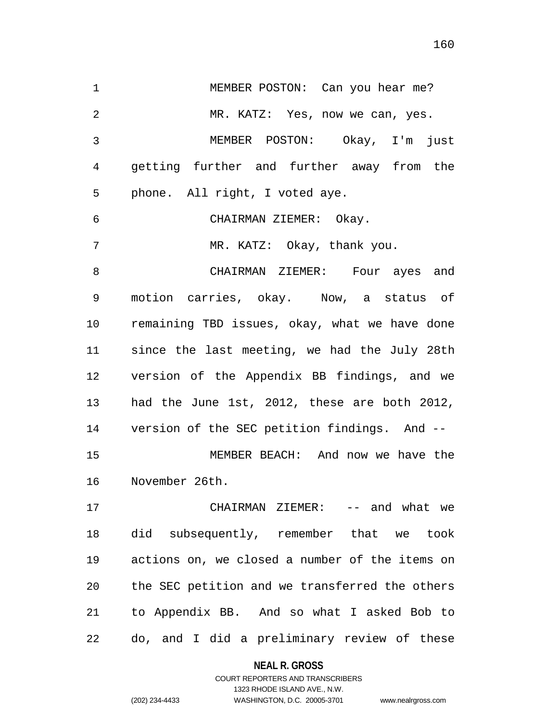1 MEMBER POSTON: Can you hear me? 2 3 4 5 6 7 8 9 10 11 12 13 14 15 16 17 18 19 MR. KATZ: Yes, now we can, yes. MEMBER POSTON: Okay, I'm just getting further and further away from the phone. All right, I voted aye. CHAIRMAN ZIEMER: Okay. MR. KATZ: Okay, thank you. CHAIRMAN ZIEMER: Four ayes and motion carries, okay. Now, a status of remaining TBD issues, okay, what we have done since the last meeting, we had the July 28th version of the Appendix BB findings, and we had the June 1st, 2012, these are both 2012, version of the SEC petition findings. And -- MEMBER BEACH: And now we have the November 26th. CHAIRMAN ZIEMER: -- and what we did subsequently, remember that we took actions on, we closed a number of the items on

20 21 22 the SEC petition and we transferred the others to Appendix BB. And so what I asked Bob to do, and I did a preliminary review of these

#### **NEAL R. GROSS**

COURT REPORTERS AND TRANSCRIBERS 1323 RHODE ISLAND AVE., N.W. (202) 234-4433 WASHINGTON, D.C. 20005-3701 www.nealrgross.com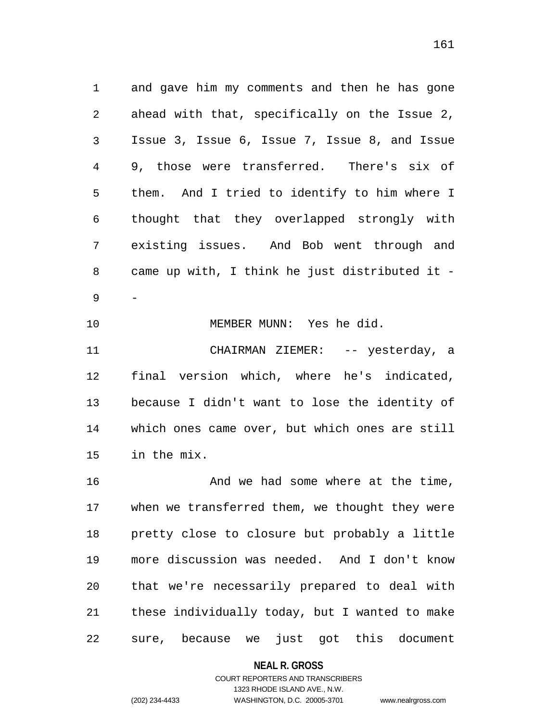1 and gave him my comments and then he has gone 2 3 4 5 6 7 8 9 ahead with that, specifically on the Issue 2, Issue 3, Issue 6, Issue 7, Issue 8, and Issue 9, those were transferred. There's six of them. And I tried to identify to him where I thought that they overlapped strongly with existing issues. And Bob went through and came up with, I think he just distributed it - -

10 11 12 13 14 15 MEMBER MUNN: Yes he did. CHAIRMAN ZIEMER: -- yesterday, a final version which, where he's indicated, because I didn't want to lose the identity of which ones came over, but which ones are still in the mix.

16 17 18 19 20 21 22 And we had some where at the time, when we transferred them, we thought they were pretty close to closure but probably a little more discussion was needed. And I don't know that we're necessarily prepared to deal with these individually today, but I wanted to make sure, because we just got this document

**NEAL R. GROSS**

# COURT REPORTERS AND TRANSCRIBERS 1323 RHODE ISLAND AVE., N.W. (202) 234-4433 WASHINGTON, D.C. 20005-3701 www.nealrgross.com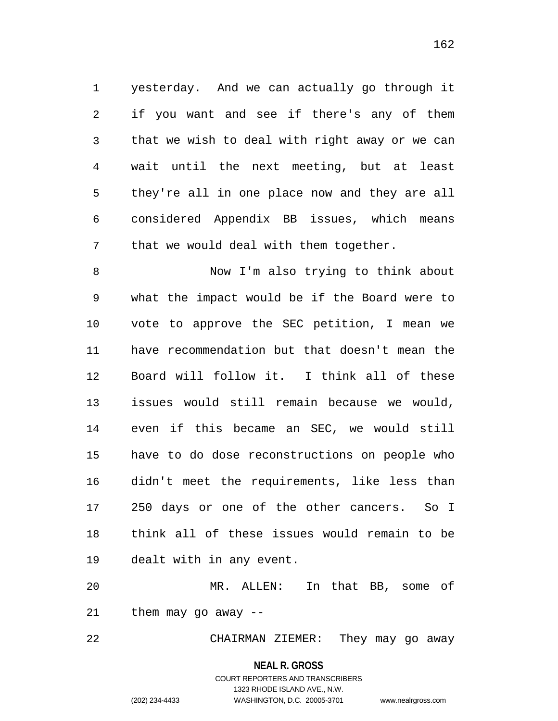1 yesterday. And we can actually go through it 2 3 4 5 6 7 if you want and see if there's any of them that we wish to deal with right away or we can wait until the next meeting, but at least they're all in one place now and they are all considered Appendix BB issues, which means that we would deal with them together.

8 9 10 11 12 13 14 15 16 17 18 19 Now I'm also trying to think about what the impact would be if the Board were to vote to approve the SEC petition, I mean we have recommendation but that doesn't mean the Board will follow it. I think all of these issues would still remain because we would, even if this became an SEC, we would still have to do dose reconstructions on people who didn't meet the requirements, like less than 250 days or one of the other cancers. So I think all of these issues would remain to be dealt with in any event.

20 21 MR. ALLEN: In that BB, some of them may go away --

22 CHAIRMAN ZIEMER: They may go away

**NEAL R. GROSS**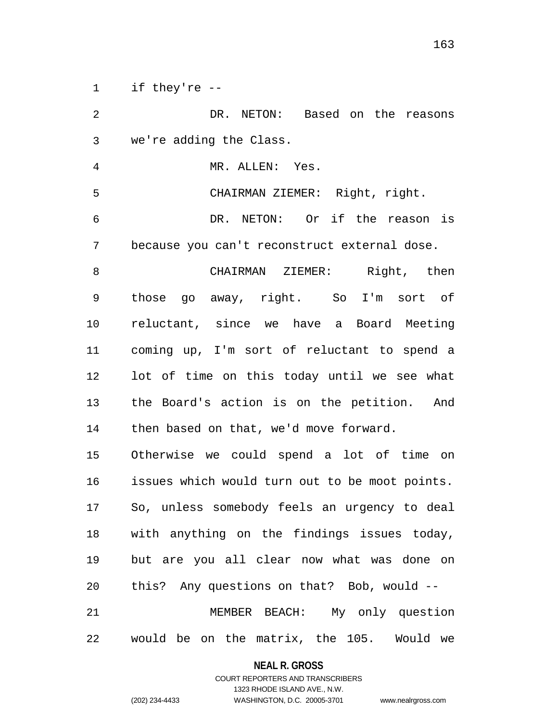1 if they're --

2 3 4 5 6 7 8 9 10 11 12 13 14 15 16 17 18 19 20 21 22 DR. NETON: Based on the reasons we're adding the Class. MR. ALLEN: Yes. CHAIRMAN ZIEMER: Right, right. DR. NETON: Or if the reason is because you can't reconstruct external dose. CHAIRMAN ZIEMER: Right, then those go away, right. So I'm sort of reluctant, since we have a Board Meeting coming up, I'm sort of reluctant to spend a lot of time on this today until we see what the Board's action is on the petition. And then based on that, we'd move forward. Otherwise we could spend a lot of time on issues which would turn out to be moot points. So, unless somebody feels an urgency to deal with anything on the findings issues today, but are you all clear now what was done on this? Any questions on that? Bob, would -- MEMBER BEACH: My only question would be on the matrix, the 105. Would we

> **NEAL R. GROSS** COURT REPORTERS AND TRANSCRIBERS

> > 1323 RHODE ISLAND AVE., N.W.

(202) 234-4433 WASHINGTON, D.C. 20005-3701 www.nealrgross.com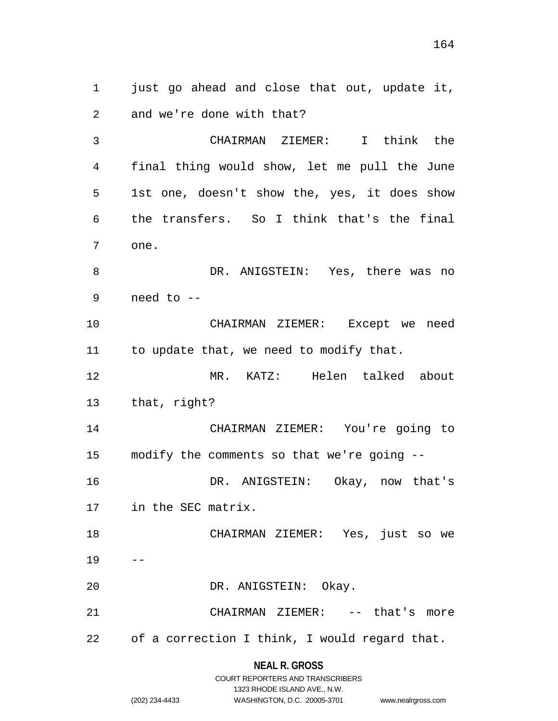1 just go ahead and close that out, update it, 2 and we're done with that?

3 4 5 6 7 8 9 CHAIRMAN ZIEMER: I think the final thing would show, let me pull the June 1st one, doesn't show the, yes, it does show the transfers. So I think that's the final one. DR. ANIGSTEIN: Yes, there was no need to --

10 11 CHAIRMAN ZIEMER: Except we need to update that, we need to modify that.

12 13 MR. KATZ: Helen talked about that, right?

14 15 16 17 CHAIRMAN ZIEMER: You're going to modify the comments so that we're going -- DR. ANIGSTEIN: Okay, now that's in the SEC matrix.

18 19 CHAIRMAN ZIEMER: Yes, just so we --

20 DR. ANIGSTEIN: Okay.

21 22 CHAIRMAN ZIEMER: -- that's more of a correction I think, I would regard that.

> **NEAL R. GROSS** COURT REPORTERS AND TRANSCRIBERS 1323 RHODE ISLAND AVE., N.W. (202) 234-4433 WASHINGTON, D.C. 20005-3701 www.nealrgross.com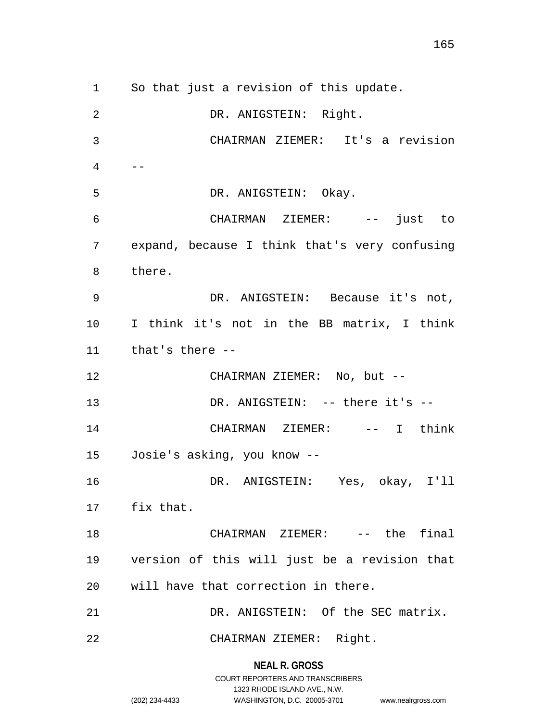1 So that just a revision of this update. 2 3 4 5 6 7 8 9 10 11 12 13 14 15 16 17 18 19 20 21 22 DR. ANIGSTEIN: Right. CHAIRMAN ZIEMER: It's a revision  $- -$  DR. ANIGSTEIN: Okay. CHAIRMAN ZIEMER: -- just to expand, because I think that's very confusing there. DR. ANIGSTEIN: Because it's not, I think it's not in the BB matrix, I think that's there -- CHAIRMAN ZIEMER: No, but -- DR. ANIGSTEIN: -- there it's -- CHAIRMAN ZIEMER: -- I think Josie's asking, you know -- DR. ANIGSTEIN: Yes, okay, I'll fix that. CHAIRMAN ZIEMER: -- the final version of this will just be a revision that will have that correction in there. DR. ANIGSTEIN: Of the SEC matrix. CHAIRMAN ZIEMER: Right.

> **NEAL R. GROSS** COURT REPORTERS AND TRANSCRIBERS

> > 1323 RHODE ISLAND AVE., N.W.

(202) 234-4433 WASHINGTON, D.C. 20005-3701 www.nealrgross.com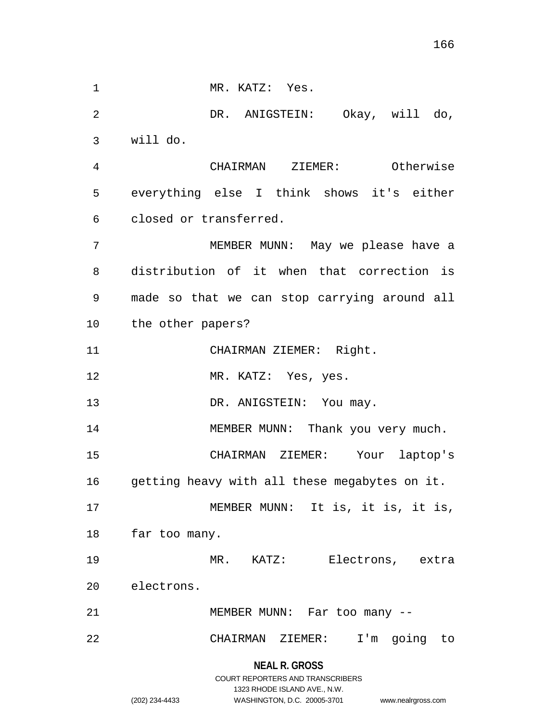**NEAL R. GROSS** 1 MR. KATZ: Yes. 2 3 4 5 6 7 8 9 10 11 12 13 14 15 16 17 18 19 20 21 22 DR. ANIGSTEIN: Okay, will do, will do. CHAIRMAN ZIEMER: Otherwise everything else I think shows it's either closed or transferred. MEMBER MUNN: May we please have a distribution of it when that correction is made so that we can stop carrying around all the other papers? CHAIRMAN ZIEMER: Right. MR. KATZ: Yes, yes. DR. ANIGSTEIN: You may. MEMBER MUNN: Thank you very much. CHAIRMAN ZIEMER: Your laptop's getting heavy with all these megabytes on it. MEMBER MUNN: It is, it is, it is, far too many. MR. KATZ: Electrons, extra electrons. MEMBER MUNN: Far too many -- CHAIRMAN ZIEMER: I'm going to

> COURT REPORTERS AND TRANSCRIBERS 1323 RHODE ISLAND AVE., N.W. (202) 234-4433 WASHINGTON, D.C. 20005-3701 www.nealrgross.com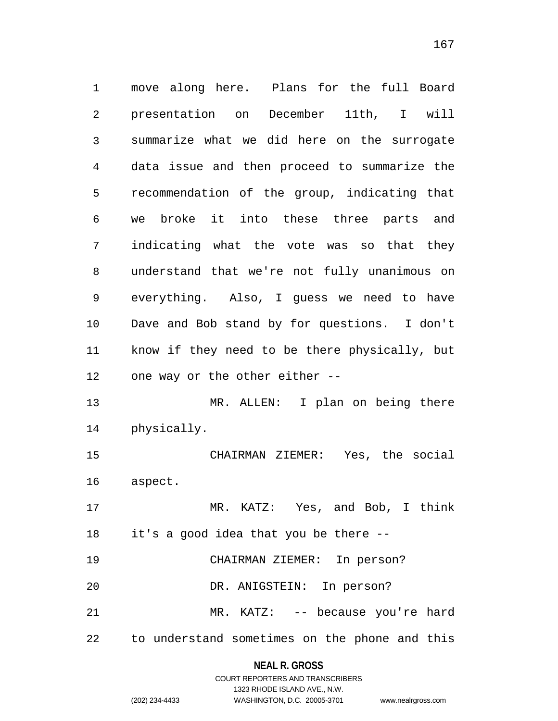1 move along here. Plans for the full Board 2 3 4 5 6 7 8 9 10 11 12 13 14 15 16 17 18 19 20 21 22 presentation on December 11th, I will summarize what we did here on the surrogate data issue and then proceed to summarize the recommendation of the group, indicating that we broke it into these three parts and indicating what the vote was so that they understand that we're not fully unanimous on everything. Also, I guess we need to have Dave and Bob stand by for questions. I don't know if they need to be there physically, but one way or the other either -- MR. ALLEN: I plan on being there physically. CHAIRMAN ZIEMER: Yes, the social aspect. MR. KATZ: Yes, and Bob, I think it's a good idea that you be there -- CHAIRMAN ZIEMER: In person? DR. ANIGSTEIN: In person? MR. KATZ: -- because you're hard to understand sometimes on the phone and this

### **NEAL R. GROSS**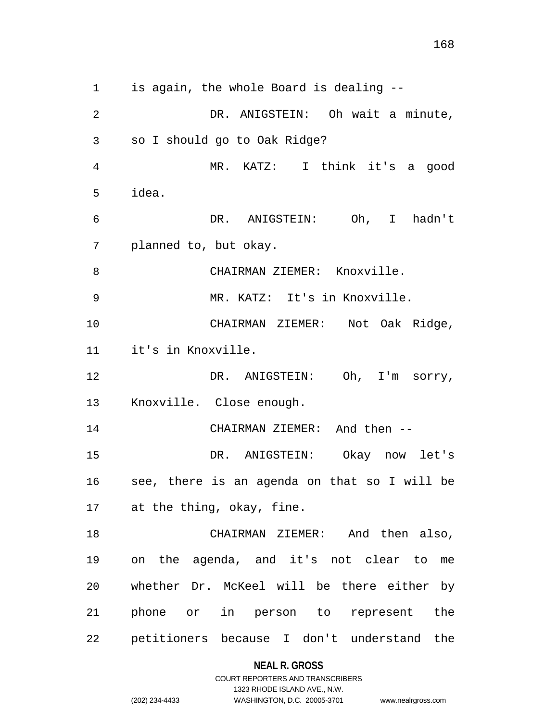1 is again, the whole Board is dealing -- 2 3 4 5 6 7 8 9 10 11 12 13 14 15 16 17 18 19 20 21 22 DR. ANIGSTEIN: Oh wait a minute, so I should go to Oak Ridge? MR. KATZ: I think it's a good idea. DR. ANIGSTEIN: Oh, I hadn't planned to, but okay. CHAIRMAN ZIEMER: Knoxville. MR. KATZ: It's in Knoxville. CHAIRMAN ZIEMER: Not Oak Ridge, it's in Knoxville. DR. ANIGSTEIN: Oh, I'm sorry, Knoxville. Close enough. CHAIRMAN ZIEMER: And then -- DR. ANIGSTEIN: Okay now let's see, there is an agenda on that so I will be at the thing, okay, fine. CHAIRMAN ZIEMER: And then also, on the agenda, and it's not clear to me whether Dr. McKeel will be there either by phone or in person to represent the petitioners because I don't understand the

### **NEAL R. GROSS**

COURT REPORTERS AND TRANSCRIBERS 1323 RHODE ISLAND AVE., N.W. (202) 234-4433 WASHINGTON, D.C. 20005-3701 www.nealrgross.com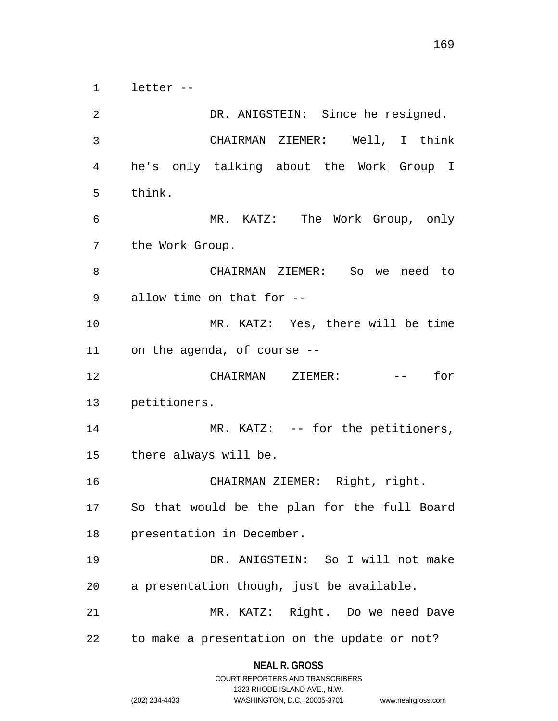1 letter --

2 3 4 5 6 7 8 9 10 11 12 13 14 15 16 17 18 19 20 21 22 DR. ANIGSTEIN: Since he resigned. CHAIRMAN ZIEMER: Well, I think he's only talking about the Work Group I think. MR. KATZ: The Work Group, only the Work Group. CHAIRMAN ZIEMER: So we need to allow time on that for -- MR. KATZ: Yes, there will be time on the agenda, of course -- CHAIRMAN ZIEMER: -- for petitioners. MR. KATZ: -- for the petitioners, there always will be. CHAIRMAN ZIEMER: Right, right. So that would be the plan for the full Board presentation in December. DR. ANIGSTEIN: So I will not make a presentation though, just be available. MR. KATZ: Right. Do we need Dave to make a presentation on the update or not?

> **NEAL R. GROSS** COURT REPORTERS AND TRANSCRIBERS

> > 1323 RHODE ISLAND AVE., N.W.

(202) 234-4433 WASHINGTON, D.C. 20005-3701 www.nealrgross.com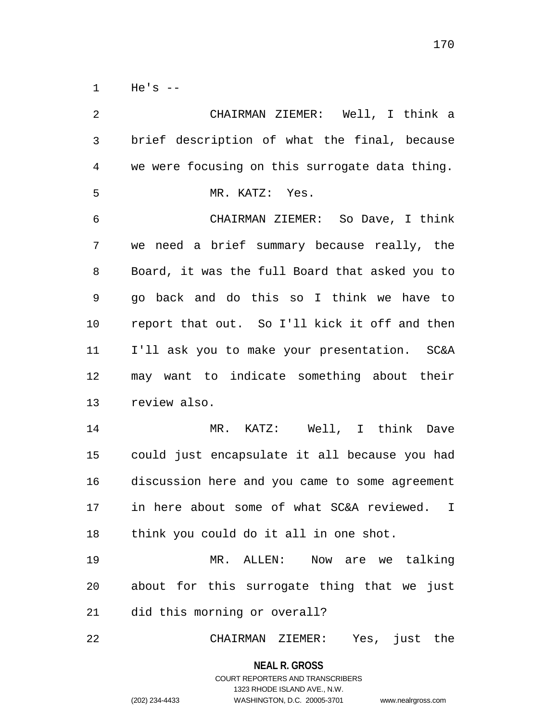$1$  He's  $-$ 

2 3 4 5 6 7 8 9 10 11 12 13 14 15 16 17 18 19 20 21 22 CHAIRMAN ZIEMER: Well, I think a brief description of what the final, because we were focusing on this surrogate data thing. MR. KATZ: Yes. CHAIRMAN ZIEMER: So Dave, I think we need a brief summary because really, the Board, it was the full Board that asked you to go back and do this so I think we have to report that out. So I'll kick it off and then I'll ask you to make your presentation. SC&A may want to indicate something about their review also. MR. KATZ: Well, I think Dave could just encapsulate it all because you had discussion here and you came to some agreement in here about some of what SC&A reviewed. I think you could do it all in one shot. MR. ALLEN: Now are we talking about for this surrogate thing that we just did this morning or overall? CHAIRMAN ZIEMER: Yes, just the

> **NEAL R. GROSS** COURT REPORTERS AND TRANSCRIBERS

1323 RHODE ISLAND AVE., N.W. (202) 234-4433 WASHINGTON, D.C. 20005-3701 www.nealrgross.com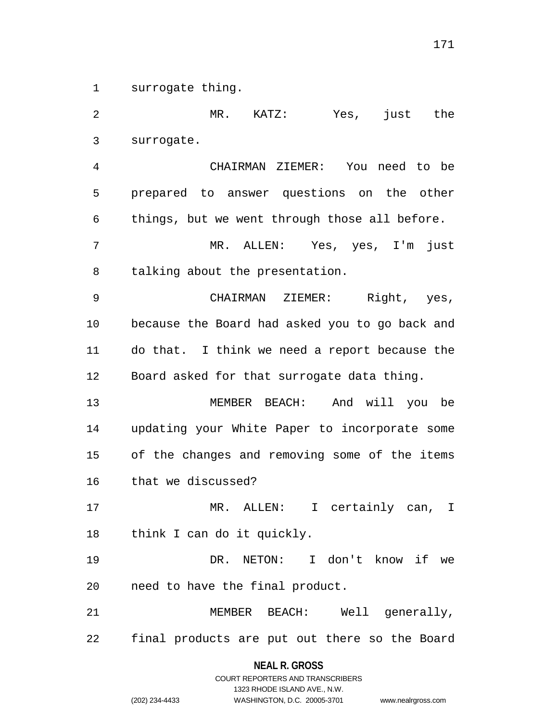1 surrogate thing.

2 3 4 5 6 7 8 9 10 11 12 13 14 15 16 17 18 19 20 21 22 MR. KATZ: Yes, just the surrogate. CHAIRMAN ZIEMER: You need to be prepared to answer questions on the other things, but we went through those all before. MR. ALLEN: Yes, yes, I'm just talking about the presentation. CHAIRMAN ZIEMER: Right, yes, because the Board had asked you to go back and do that. I think we need a report because the Board asked for that surrogate data thing. MEMBER BEACH: And will you be updating your White Paper to incorporate some of the changes and removing some of the items that we discussed? MR. ALLEN: I certainly can, I think I can do it quickly. DR. NETON: I don't know if we need to have the final product. MEMBER BEACH: Well generally, final products are put out there so the Board

> **NEAL R. GROSS** COURT REPORTERS AND TRANSCRIBERS

> > 1323 RHODE ISLAND AVE., N.W.

(202) 234-4433 WASHINGTON, D.C. 20005-3701 www.nealrgross.com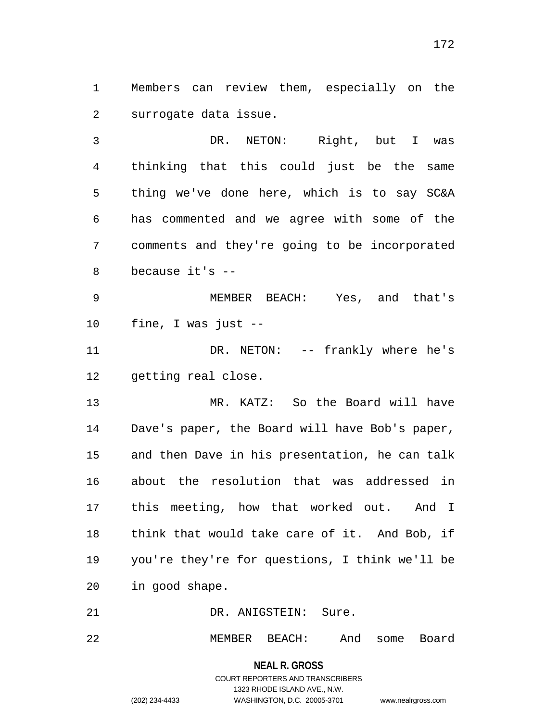1 Members can review them, especially on the 2 surrogate data issue.

3 4 5 6 7 8 DR. NETON: Right, but I was thinking that this could just be the same thing we've done here, which is to say SC&A has commented and we agree with some of the comments and they're going to be incorporated because it's --

9 10 MEMBER BEACH: Yes, and that's fine, I was just --

11 12 DR. NETON: -- frankly where he's getting real close.

13 14 15 16 17 18 19 20 MR. KATZ: So the Board will have Dave's paper, the Board will have Bob's paper, and then Dave in his presentation, he can talk about the resolution that was addressed in this meeting, how that worked out. And I think that would take care of it. And Bob, if you're they're for questions, I think we'll be in good shape.

21 DR. ANIGSTEIN: Sure.

22 MEMBER BEACH: And some Board

> **NEAL R. GROSS** COURT REPORTERS AND TRANSCRIBERS 1323 RHODE ISLAND AVE., N.W. (202) 234-4433 WASHINGTON, D.C. 20005-3701 www.nealrgross.com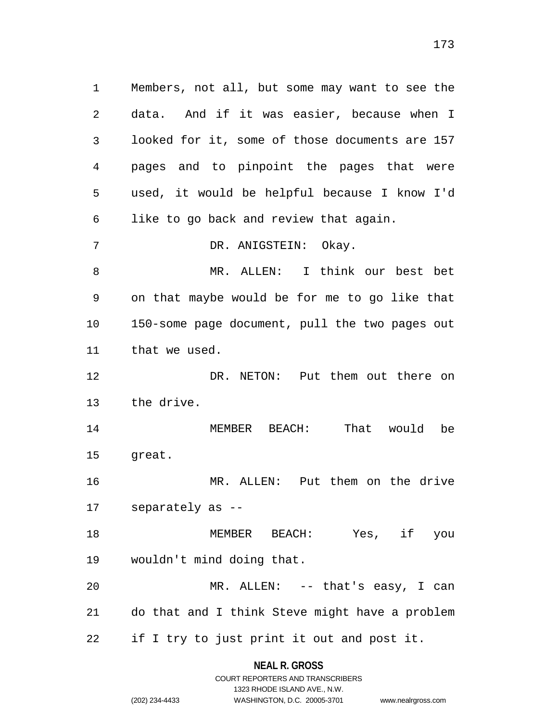1 Members, not all, but some may want to see the 2 3 4 5 6 7 8 9 10 11 12 13 14 15 16 17 18 19 20 21 22 data. And if it was easier, because when I looked for it, some of those documents are 157 pages and to pinpoint the pages that were used, it would be helpful because I know I'd like to go back and review that again. DR. ANIGSTEIN: Okay. MR. ALLEN: I think our best bet on that maybe would be for me to go like that 150-some page document, pull the two pages out that we used. DR. NETON: Put them out there on the drive. MEMBER BEACH: That would be great. MR. ALLEN: Put them on the drive separately as -- MEMBER BEACH: Yes, if you wouldn't mind doing that. MR. ALLEN: -- that's easy, I can do that and I think Steve might have a problem if I try to just print it out and post it.

> **NEAL R. GROSS** COURT REPORTERS AND TRANSCRIBERS

> > 1323 RHODE ISLAND AVE., N.W.

(202) 234-4433 WASHINGTON, D.C. 20005-3701 www.nealrgross.com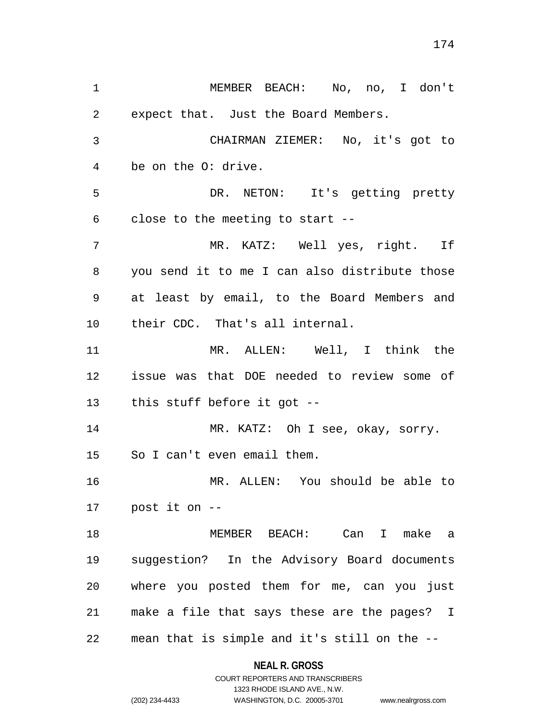1 MEMBER BEACH: No, no, I don't 2 3 4 5 6 7 8 9 10 11 12 13 14 15 16 17 18 19 20 21 22 expect that. Just the Board Members. CHAIRMAN ZIEMER: No, it's got to be on the O: drive. DR. NETON: It's getting pretty close to the meeting to start -- MR. KATZ: Well yes, right. If you send it to me I can also distribute those at least by email, to the Board Members and their CDC. That's all internal. MR. ALLEN: Well, I think the issue was that DOE needed to review some of this stuff before it got -- MR. KATZ: Oh I see, okay, sorry. So I can't even email them. MR. ALLEN: You should be able to post it on -- MEMBER BEACH: Can I make a suggestion? In the Advisory Board documents where you posted them for me, can you just make a file that says these are the pages? I mean that is simple and it's still on the --

## **NEAL R. GROSS**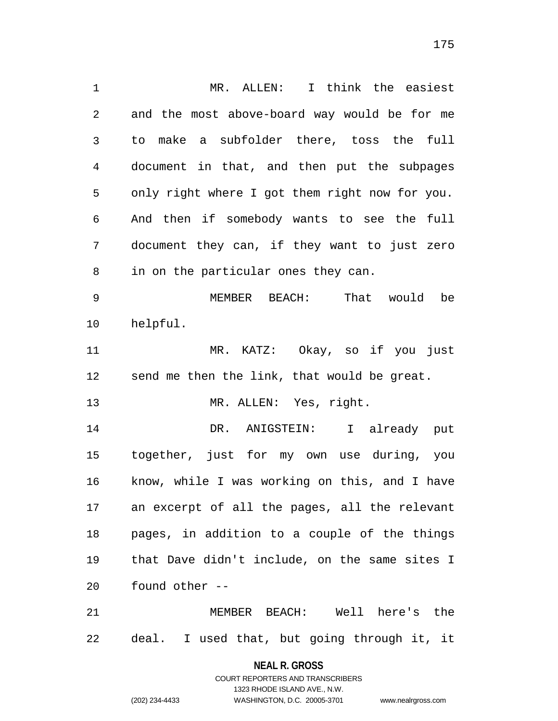1 MR. ALLEN: I think the easiest 2 3 4 5 6 7 8 9 10 11 12 13 14 15 16 17 18 19 20 21 and the most above-board way would be for me to make a subfolder there, toss the full document in that, and then put the subpages only right where I got them right now for you. And then if somebody wants to see the full document they can, if they want to just zero in on the particular ones they can. MEMBER BEACH: That would be helpful. MR. KATZ: Okay, so if you just send me then the link, that would be great. MR. ALLEN: Yes, right. DR. ANIGSTEIN: I already put together, just for my own use during, you know, while I was working on this, and I have an excerpt of all the pages, all the relevant pages, in addition to a couple of the things that Dave didn't include, on the same sites I found other -- MEMBER BEACH: Well here's the

22 deal. I used that, but going through it, it

> **NEAL R. GROSS** COURT REPORTERS AND TRANSCRIBERS

> > 1323 RHODE ISLAND AVE., N.W.

(202) 234-4433 WASHINGTON, D.C. 20005-3701 www.nealrgross.com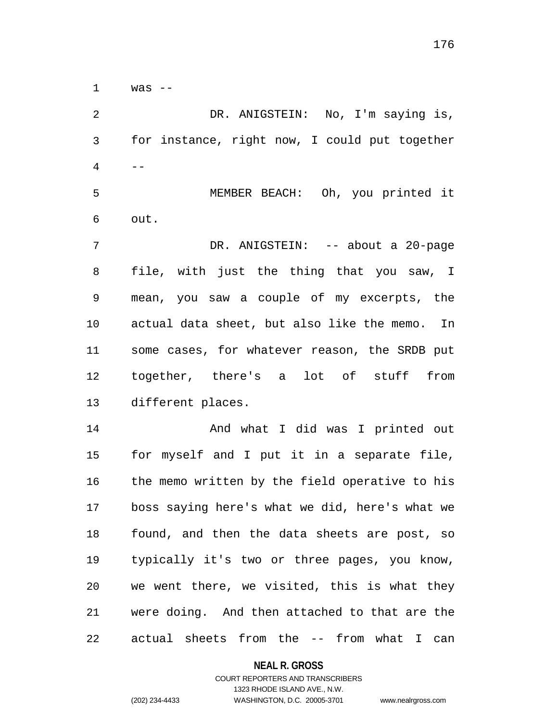$1$  was  $-$ 

2 3 4 5 6 7 8 9 10 11 12 13 14 DR. ANIGSTEIN: No, I'm saying is, for instance, right now, I could put together  $- -$  MEMBER BEACH: Oh, you printed it out. DR. ANIGSTEIN: -- about a 20-page file, with just the thing that you saw, I mean, you saw a couple of my excerpts, the actual data sheet, but also like the memo. In some cases, for whatever reason, the SRDB put together, there's a lot of stuff from different places. And what I did was I printed out

15 16 17 18 19 20 21 22 for myself and I put it in a separate file, the memo written by the field operative to his boss saying here's what we did, here's what we found, and then the data sheets are post, so typically it's two or three pages, you know, we went there, we visited, this is what they were doing. And then attached to that are the actual sheets from the -- from what I can

#### **NEAL R. GROSS**

# COURT REPORTERS AND TRANSCRIBERS 1323 RHODE ISLAND AVE., N.W. (202) 234-4433 WASHINGTON, D.C. 20005-3701 www.nealrgross.com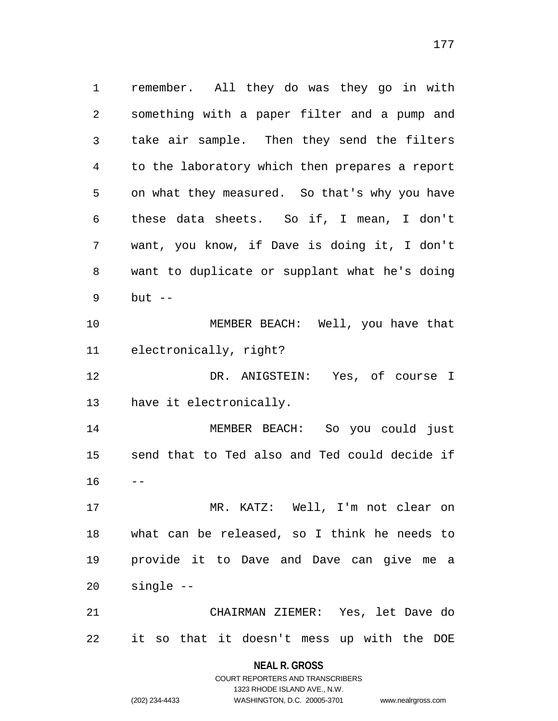1 remember. All they do was they go in with 2 3 4 5 6 7 8 9 10 11 12 13 14 15 16 17 18 19 something with a paper filter and a pump and take air sample. Then they send the filters to the laboratory which then prepares a report on what they measured. So that's why you have these data sheets. So if, I mean, I don't want, you know, if Dave is doing it, I don't want to duplicate or supplant what he's doing but  $--$  MEMBER BEACH: Well, you have that electronically, right? DR. ANIGSTEIN: Yes, of course I have it electronically. MEMBER BEACH: So you could just send that to Ted also and Ted could decide if -- MR. KATZ: Well, I'm not clear on what can be released, so I think he needs to provide it to Dave and Dave can give me a

21 22 CHAIRMAN ZIEMER: Yes, let Dave do it so that it doesn't mess up with the DOE

> **NEAL R. GROSS** COURT REPORTERS AND TRANSCRIBERS

> > 1323 RHODE ISLAND AVE., N.W.

(202) 234-4433 WASHINGTON, D.C. 20005-3701 www.nealrgross.com

single --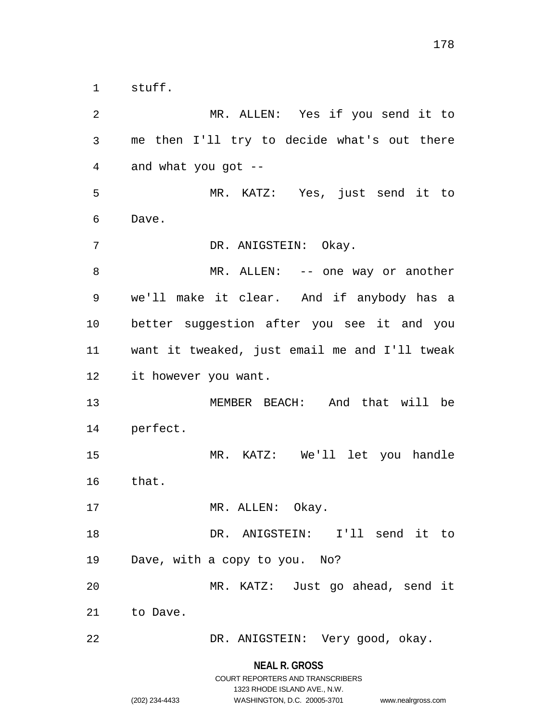1 stuff.

2 3 4 5 6 7 8 9 10 11 12 13 14 15 16 17 18 19 20 21 22 MR. ALLEN: Yes if you send it to me then I'll try to decide what's out there and what you got -- MR. KATZ: Yes, just send it to Dave. DR. ANIGSTEIN: Okay. MR. ALLEN: -- one way or another we'll make it clear. And if anybody has a better suggestion after you see it and you want it tweaked, just email me and I'll tweak it however you want. MEMBER BEACH: And that will be perfect. MR. KATZ: We'll let you handle that. MR. ALLEN: Okay. DR. ANIGSTEIN: I'll send it to Dave, with a copy to you. No? MR. KATZ: Just go ahead, send it to Dave. DR. ANIGSTEIN: Very good, okay.

> **NEAL R. GROSS** COURT REPORTERS AND TRANSCRIBERS

> > 1323 RHODE ISLAND AVE., N.W.

(202) 234-4433 WASHINGTON, D.C. 20005-3701 www.nealrgross.com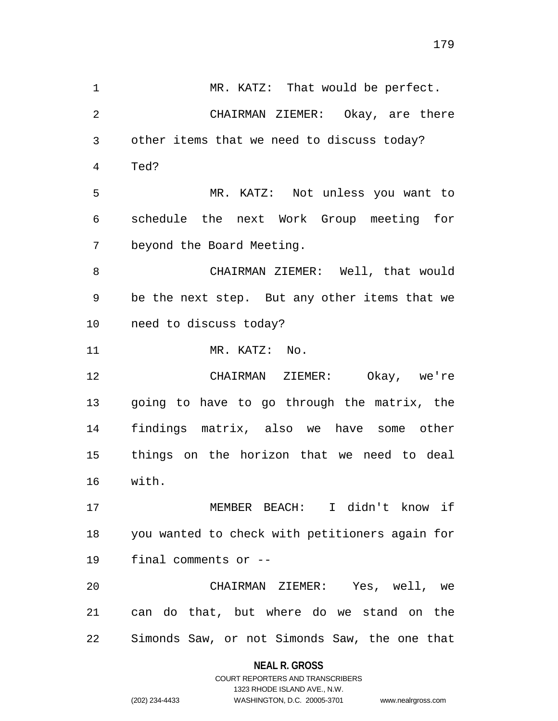1 MR. KATZ: That would be perfect. 2 3 4 5 6 7 8 9 10 11 12 13 14 15 16 17 18 19 20 21 22 CHAIRMAN ZIEMER: Okay, are there other items that we need to discuss today? Ted? MR. KATZ: Not unless you want to schedule the next Work Group meeting for beyond the Board Meeting. CHAIRMAN ZIEMER: Well, that would be the next step. But any other items that we need to discuss today? MR. KATZ: No. CHAIRMAN ZIEMER: Okay, we're going to have to go through the matrix, the findings matrix, also we have some other things on the horizon that we need to deal with. MEMBER BEACH: I didn't know if you wanted to check with petitioners again for final comments or -- CHAIRMAN ZIEMER: Yes, well, we can do that, but where do we stand on the Simonds Saw, or not Simonds Saw, the one that

#### **NEAL R. GROSS**

COURT REPORTERS AND TRANSCRIBERS 1323 RHODE ISLAND AVE., N.W. (202) 234-4433 WASHINGTON, D.C. 20005-3701 www.nealrgross.com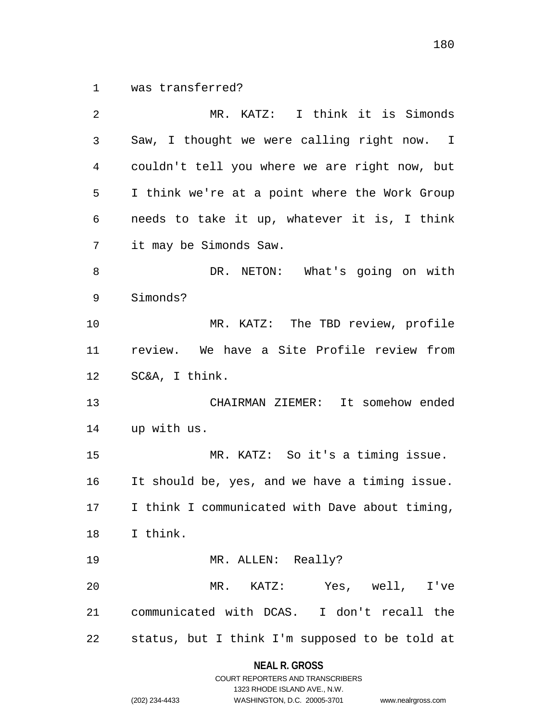1 was transferred?

| 2              | MR. KATZ: I think it is Simonds                |
|----------------|------------------------------------------------|
| $\mathfrak{Z}$ | Saw, I thought we were calling right now. I    |
| 4              | couldn't tell you where we are right now, but  |
| 5              | I think we're at a point where the Work Group  |
| 6              | needs to take it up, whatever it is, I think   |
| 7              | it may be Simonds Saw.                         |
| 8              | DR. NETON: What's going on with                |
| 9              | Simonds?                                       |
| 10             | MR. KATZ: The TBD review, profile              |
| 11             | review. We have a Site Profile review from     |
| 12             | SC&A, I think.                                 |
| 13             | CHAIRMAN ZIEMER: It somehow ended              |
| 14             | up with us.                                    |
| 15             | MR. KATZ: So it's a timing issue.              |
| 16             | It should be, yes, and we have a timing issue. |
| 17             | I think I communicated with Dave about timing, |
|                | 18 I think.                                    |
| 19             | MR. ALLEN: Really?                             |
| 20             | MR. KATZ: Yes, well, I've                      |
| 21             | communicated with DCAS. I don't recall the     |
| 22             | status, but I think I'm supposed to be told at |

**NEAL R. GROSS** COURT REPORTERS AND TRANSCRIBERS

1323 RHODE ISLAND AVE., N.W.

(202) 234-4433 WASHINGTON, D.C. 20005-3701 www.nealrgross.com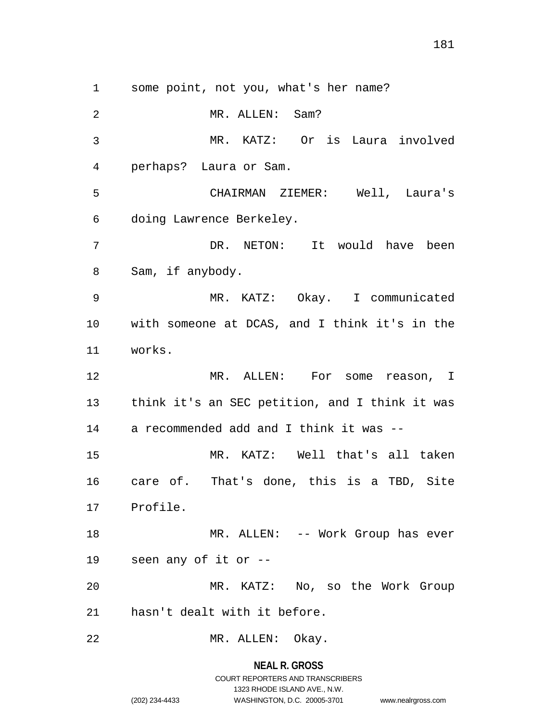1 some point, not you, what's her name?

2 3 4 5 6 7 8 9 10 11 12 13 14 15 16 17 18 19 20 21 22 MR. ALLEN: Sam? MR. KATZ: Or is Laura involved perhaps? Laura or Sam. CHAIRMAN ZIEMER: Well, Laura's doing Lawrence Berkeley. DR. NETON: It would have been Sam, if anybody. MR. KATZ: Okay. I communicated with someone at DCAS, and I think it's in the works. MR. ALLEN: For some reason, I think it's an SEC petition, and I think it was a recommended add and I think it was -- MR. KATZ: Well that's all taken care of. That's done, this is a TBD, Site Profile. MR. ALLEN: -- Work Group has ever seen any of it or -- MR. KATZ: No, so the Work Group hasn't dealt with it before. MR. ALLEN: Okay.

**NEAL R. GROSS**

# COURT REPORTERS AND TRANSCRIBERS 1323 RHODE ISLAND AVE., N.W. (202) 234-4433 WASHINGTON, D.C. 20005-3701 www.nealrgross.com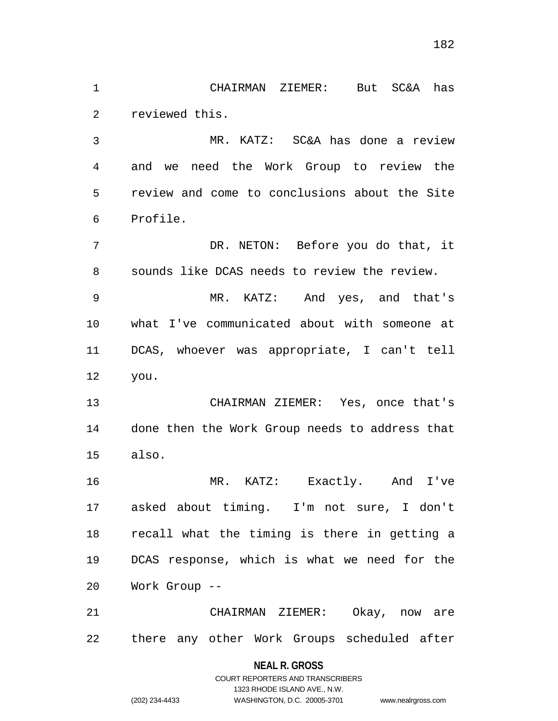1 CHAIRMAN ZIEMER: But SC&A has 2 reviewed this.

3 4 5 6 MR. KATZ: SC&A has done a review and we need the Work Group to review the review and come to conclusions about the Site Profile.

7 8 DR. NETON: Before you do that, it sounds like DCAS needs to review the review.

9 10 11 12 MR. KATZ: And yes, and that's what I've communicated about with someone at DCAS, whoever was appropriate, I can't tell you.

13 14 15 CHAIRMAN ZIEMER: Yes, once that's done then the Work Group needs to address that also.

16 17 18 19 20 MR. KATZ: Exactly. And I've asked about timing. I'm not sure, I don't recall what the timing is there in getting a DCAS response, which is what we need for the Work Group --

21 22 CHAIRMAN ZIEMER: Okay, now are there any other Work Groups scheduled after

**NEAL R. GROSS**

COURT REPORTERS AND TRANSCRIBERS 1323 RHODE ISLAND AVE., N.W. (202) 234-4433 WASHINGTON, D.C. 20005-3701 www.nealrgross.com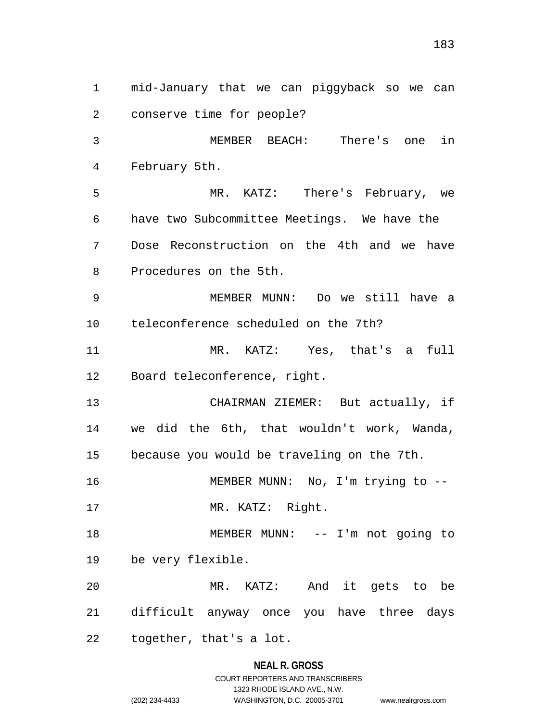1 mid-January that we can piggyback so we can 2 3 4 5 6 7 8 9 10 11 12 13 14 15 16 17 18 19 20 21 22 conserve time for people? MEMBER BEACH: There's one in February 5th. MR. KATZ: There's February, we have two Subcommittee Meetings. We have the Dose Reconstruction on the 4th and we have Procedures on the 5th. MEMBER MUNN: Do we still have a teleconference scheduled on the 7th? MR. KATZ: Yes, that's a full Board teleconference, right. CHAIRMAN ZIEMER: But actually, if we did the 6th, that wouldn't work, Wanda, because you would be traveling on the 7th. MEMBER MUNN: No, I'm trying to -- MR. KATZ: Right. MEMBER MUNN: -- I'm not going to be very flexible. MR. KATZ: And it gets to be difficult anyway once you have three days together, that's a lot.

# **NEAL R. GROSS** COURT REPORTERS AND TRANSCRIBERS 1323 RHODE ISLAND AVE., N.W.

(202) 234-4433 WASHINGTON, D.C. 20005-3701 www.nealrgross.com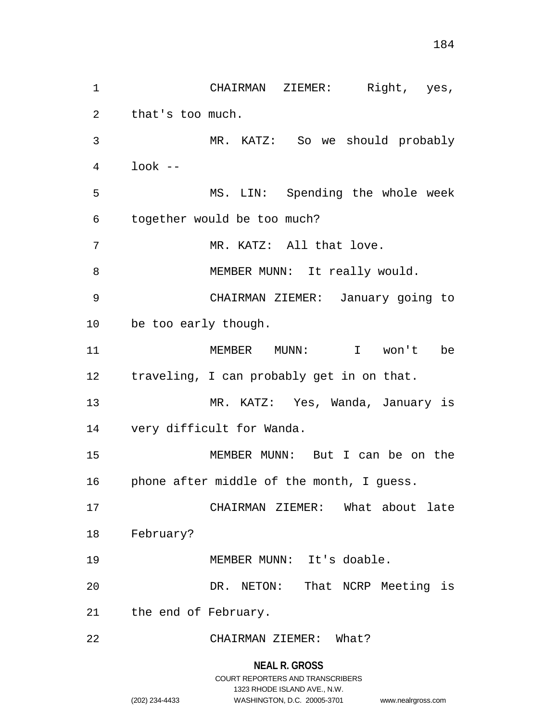1 CHAIRMAN ZIEMER: Right, yes, 2 3 4 5 6 7 8 9 10 11 12 13 14 15 16 17 18 19 20 21 22 that's too much. MR. KATZ: So we should probably look -- MS. LIN: Spending the whole week together would be too much? MR. KATZ: All that love. MEMBER MUNN: It really would. CHAIRMAN ZIEMER: January going to be too early though. MEMBER MUNN: I won't be traveling, I can probably get in on that. MR. KATZ: Yes, Wanda, January is very difficult for Wanda. MEMBER MUNN: But I can be on the phone after middle of the month, I guess. CHAIRMAN ZIEMER: What about late February? MEMBER MUNN: It's doable. DR. NETON: That NCRP Meeting is the end of February. CHAIRMAN ZIEMER: What?

**NEAL R. GROSS**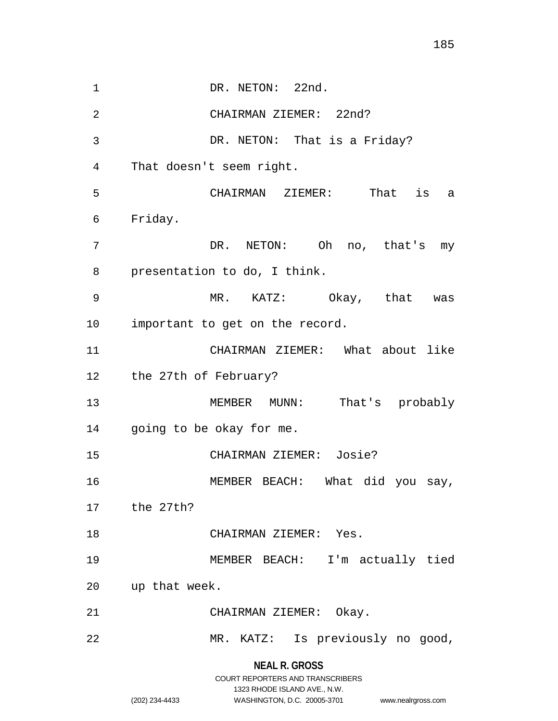**NEAL R. GROSS** 1 DR. NETON: 22nd. 2 3 4 5 6 7 8 9 10 11 12 13 14 15 16 17 18 19 20 21 22 CHAIRMAN ZIEMER: 22nd? DR. NETON: That is a Friday? That doesn't seem right. CHAIRMAN ZIEMER: That is a Friday. DR. NETON: Oh no, that's my presentation to do, I think. MR. KATZ: Okay, that was important to get on the record. CHAIRMAN ZIEMER: What about like the 27th of February? MEMBER MUNN: That's probably going to be okay for me. CHAIRMAN ZIEMER: Josie? MEMBER BEACH: What did you say, the 27th? CHAIRMAN ZIEMER: Yes. MEMBER BEACH: I'm actually tied up that week. CHAIRMAN ZIEMER: Okay. MR. KATZ: Is previously no good,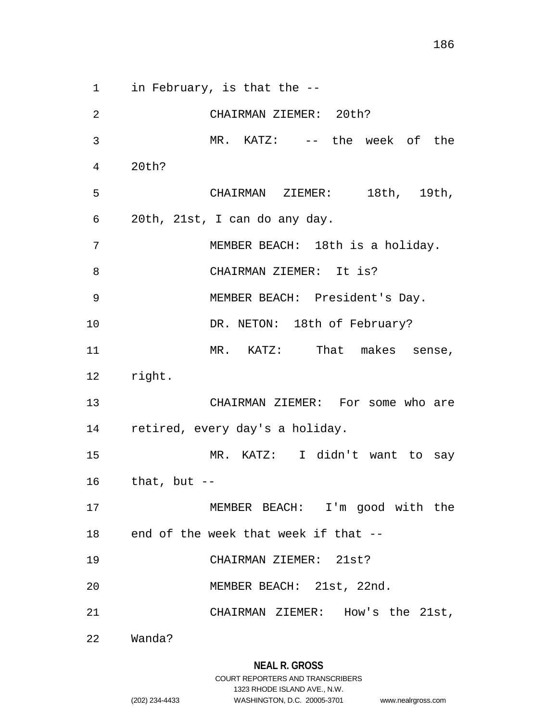186

1 in February, is that the -- 2 CHAIRMAN ZIEMER: 20th?

3 4 5 6 7 8 9 10 11 12 13 14 15 16 17 18 19 20 21 22 MR. KATZ: -- the week of the 20th? CHAIRMAN ZIEMER: 18th, 19th, 20th, 21st, I can do any day. MEMBER BEACH: 18th is a holiday. CHAIRMAN ZIEMER: It is? MEMBER BEACH: President's Day. DR. NETON: 18th of February? MR. KATZ: That makes sense, right. CHAIRMAN ZIEMER: For some who are retired, every day's a holiday. MR. KATZ: I didn't want to say that, but -- MEMBER BEACH: I'm good with the end of the week that week if that -- CHAIRMAN ZIEMER: 21st? MEMBER BEACH: 21st, 22nd. CHAIRMAN ZIEMER: How's the 21st, Wanda?

1323 RHODE ISLAND AVE., N.W.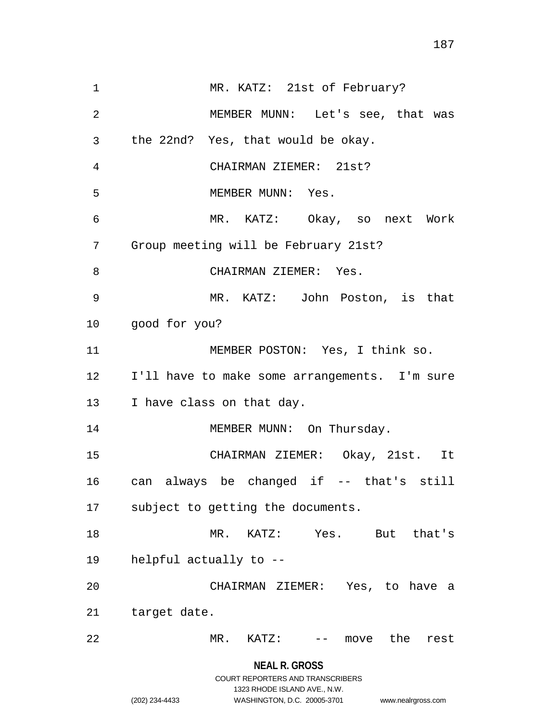1 MR. KATZ: 21st of February? 2 3 4 5 6 7 8 9 10 11 12 13 14 15 16 17 18 19 20 21 22 MEMBER MUNN: Let's see, that was the 22nd? Yes, that would be okay. CHAIRMAN ZIEMER: 21st? MEMBER MUNN: Yes. MR. KATZ: Okay, so next Work Group meeting will be February 21st? CHAIRMAN ZIEMER: Yes. MR. KATZ: John Poston, is that good for you? MEMBER POSTON: Yes, I think so. I'll have to make some arrangements. I'm sure I have class on that day. MEMBER MUNN: On Thursday. CHAIRMAN ZIEMER: Okay, 21st. It can always be changed if -- that's still subject to getting the documents. MR. KATZ: Yes. But that's helpful actually to -- CHAIRMAN ZIEMER: Yes, to have a target date. MR. KATZ: -- move the rest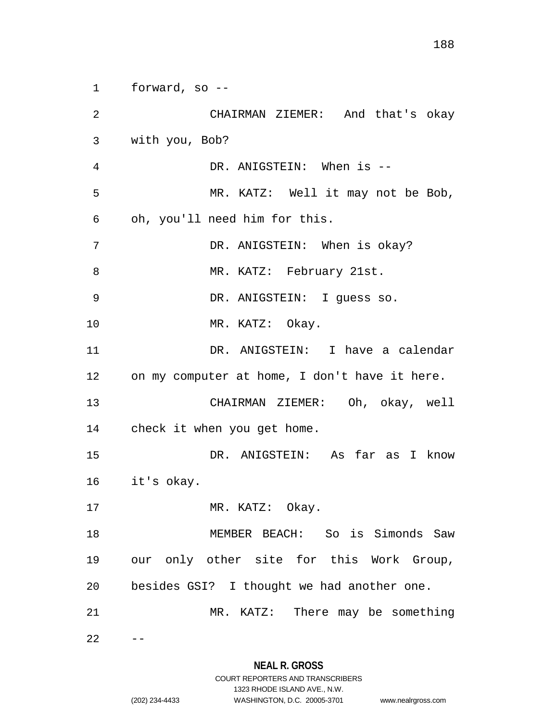188

1 forward, so --

2 3 4 5 6 7 8 9 10 11 12 13 14 15 16 17 18 19 20 21 22 CHAIRMAN ZIEMER: And that's okay with you, Bob? DR. ANIGSTEIN: When is -- MR. KATZ: Well it may not be Bob, oh, you'll need him for this. DR. ANIGSTEIN: When is okay? MR. KATZ: February 21st. DR. ANIGSTEIN: I guess so. MR. KATZ: Okay. DR. ANIGSTEIN: I have a calendar on my computer at home, I don't have it here. CHAIRMAN ZIEMER: Oh, okay, well check it when you get home. DR. ANIGSTEIN: As far as I know it's okay. MR. KATZ: Okay. MEMBER BEACH: So is Simonds Saw our only other site for this Work Group, besides GSI? I thought we had another one. MR. KATZ: There may be something  $-$ 

### **NEAL R. GROSS** COURT REPORTERS AND TRANSCRIBERS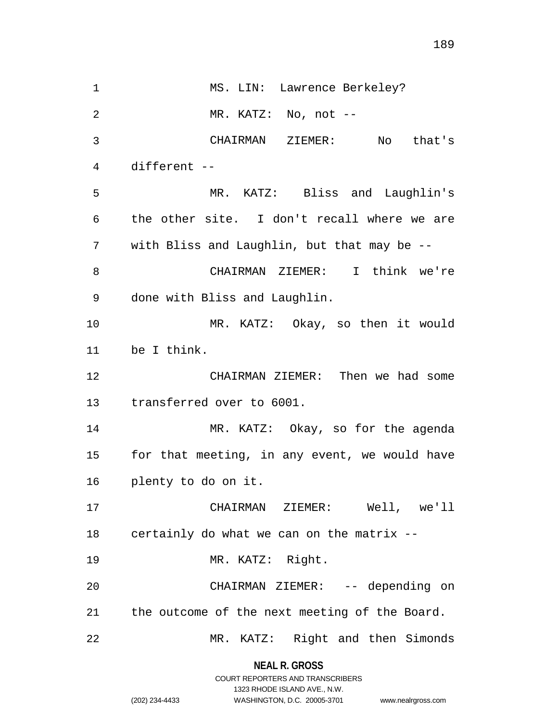1 MS. LIN: Lawrence Berkeley? 2 3 4 5 6 7 8 9 10 11 12 13 14 15 16 17 18 19 20 21 22 MR. KATZ: No, not -- CHAIRMAN ZIEMER: No that's different -- MR. KATZ: Bliss and Laughlin's the other site. I don't recall where we are with Bliss and Laughlin, but that may be -- CHAIRMAN ZIEMER: I think we're done with Bliss and Laughlin. MR. KATZ: Okay, so then it would be I think. CHAIRMAN ZIEMER: Then we had some transferred over to 6001. MR. KATZ: Okay, so for the agenda for that meeting, in any event, we would have plenty to do on it. CHAIRMAN ZIEMER: Well, we'll certainly do what we can on the matrix -- MR. KATZ: Right. CHAIRMAN ZIEMER: -- depending on the outcome of the next meeting of the Board. MR. KATZ: Right and then Simonds

> **NEAL R. GROSS** COURT REPORTERS AND TRANSCRIBERS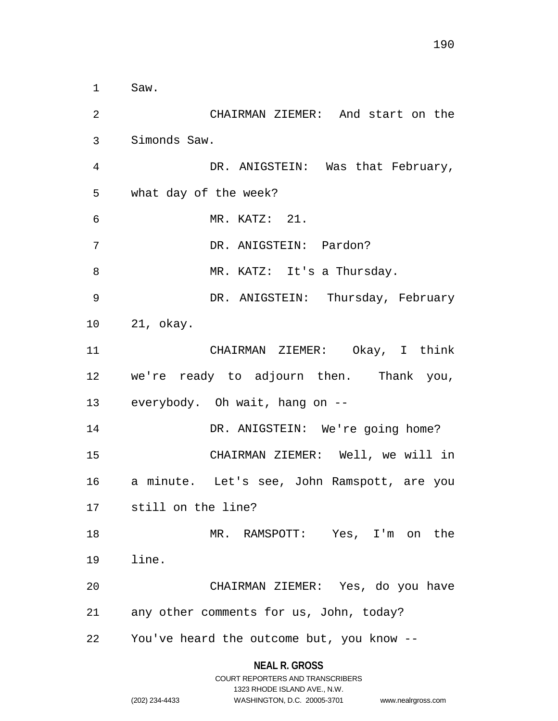1 Saw. 2 3 4 5 6 7 8 9 10 11 12 13 14 15 16 17 18 19 20 21 22 CHAIRMAN ZIEMER: And start on the Simonds Saw. DR. ANIGSTEIN: Was that February, what day of the week? MR. KATZ: 21. DR. ANIGSTEIN: Pardon? MR. KATZ: It's a Thursday. DR. ANIGSTEIN: Thursday, February 21, okay. CHAIRMAN ZIEMER: Okay, I think we're ready to adjourn then. Thank you, everybody. Oh wait, hang on -- DR. ANIGSTEIN: We're going home? CHAIRMAN ZIEMER: Well, we will in a minute. Let's see, John Ramspott, are you still on the line? MR. RAMSPOTT: Yes, I'm on the line. CHAIRMAN ZIEMER: Yes, do you have any other comments for us, John, today? You've heard the outcome but, you know --

#### **NEAL R. GROSS**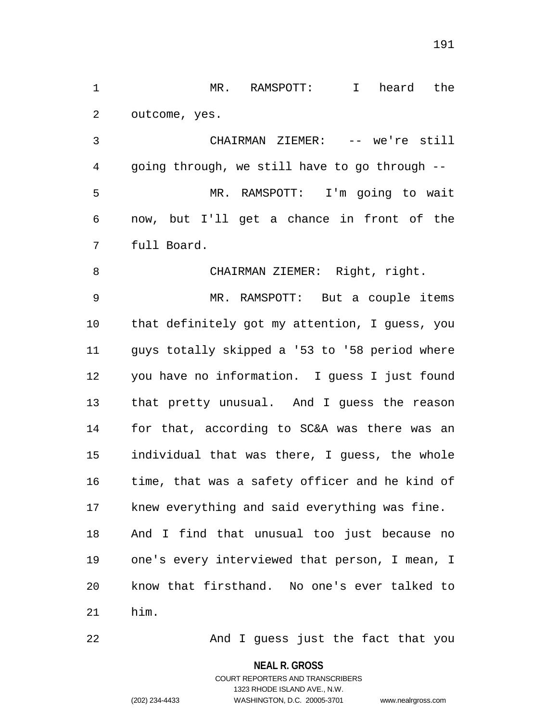1 MR. RAMSPOTT: I heard the 2 outcome, yes.

3 4 5 6 7 CHAIRMAN ZIEMER: -- we're still going through, we still have to go through -- MR. RAMSPOTT: I'm going to wait now, but I'll get a chance in front of the full Board.

8 CHAIRMAN ZIEMER: Right, right.

9 10 11 12 13 14 15 16 17 18 19 20 21 MR. RAMSPOTT: But a couple items that definitely got my attention, I guess, you guys totally skipped a '53 to '58 period where you have no information. I guess I just found that pretty unusual. And I guess the reason for that, according to SC&A was there was an individual that was there, I guess, the whole time, that was a safety officer and he kind of knew everything and said everything was fine. And I find that unusual too just because no one's every interviewed that person, I mean, I know that firsthand. No one's ever talked to him.

22

And I guess just the fact that you

**NEAL R. GROSS**

# COURT REPORTERS AND TRANSCRIBERS 1323 RHODE ISLAND AVE., N.W. (202) 234-4433 WASHINGTON, D.C. 20005-3701 www.nealrgross.com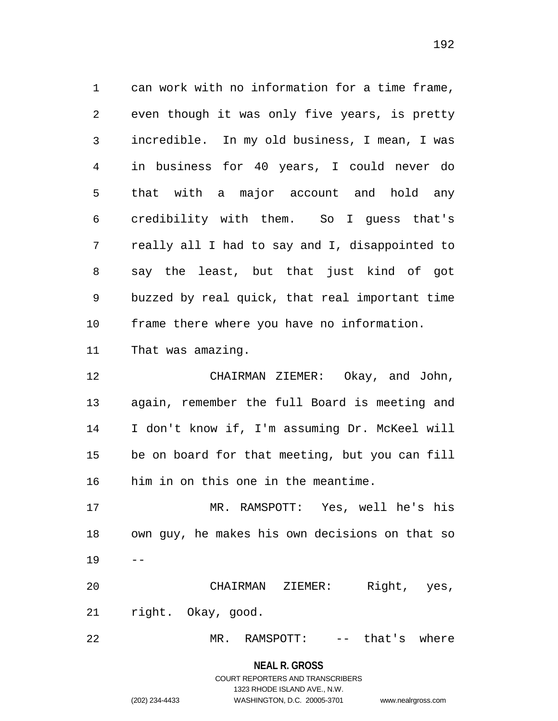1 can work with no information for a time frame, 2 3 4 5 6 7 8 9 10 11 12 13 14 15 16 17 18 19 even though it was only five years, is pretty incredible. In my old business, I mean, I was in business for 40 years, I could never do that with a major account and hold any credibility with them. So I guess that's really all I had to say and I, disappointed to say the least, but that just kind of got buzzed by real quick, that real important time frame there where you have no information. That was amazing. CHAIRMAN ZIEMER: Okay, and John, again, remember the full Board is meeting and I don't know if, I'm assuming Dr. McKeel will be on board for that meeting, but you can fill him in on this one in the meantime. MR. RAMSPOTT: Yes, well he's his own guy, he makes his own decisions on that so --

20 21 CHAIRMAN ZIEMER: Right, yes, right. Okay, good.

22 MR. RAMSPOTT: -- that's where

**NEAL R. GROSS**